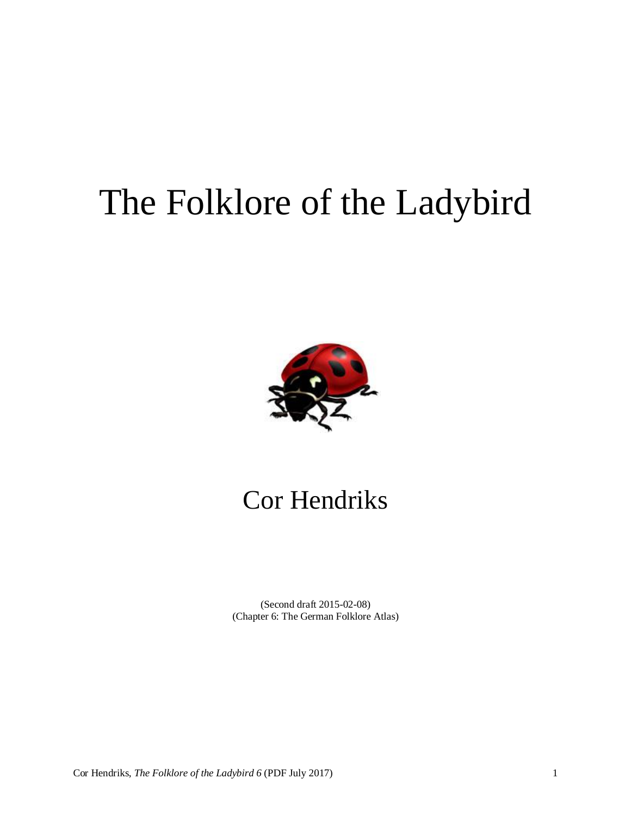# The Folklore of the Ladybird



## Cor Hendriks

(Second draft 2015-02-08) (Chapter 6: The German Folklore Atlas)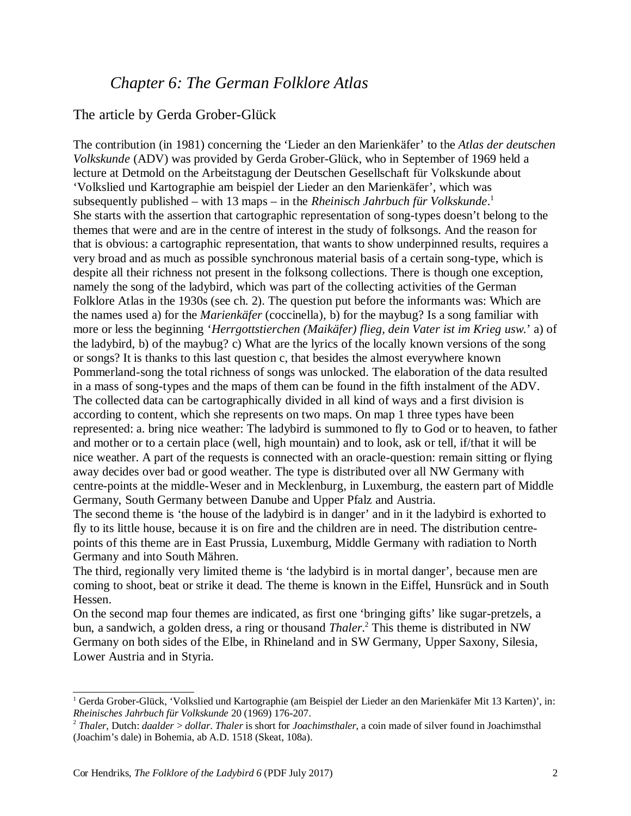### *Chapter 6: The German Folklore Atlas*

#### The article by Gerda Grober-Glück

The contribution (in 1981) concerning the 'Lieder an den Marienkäfer' to the *Atlas der deutschen Volkskunde* (ADV) was provided by Gerda Grober-Glück, who in September of 1969 held a lecture at Detmold on the Arbeitstagung der Deutschen Gesellschaft für Volkskunde about 'Volkslied und Kartographie am beispiel der Lieder an den Marienkäfer', which was subsequently published – with 13 maps – in the *Rheinisch Jahrbuch für Volkskunde*. 1 She starts with the assertion that cartographic representation of song-types doesn't belong to the themes that were and are in the centre of interest in the study of folksongs. And the reason for that is obvious: a cartographic representation, that wants to show underpinned results, requires a very broad and as much as possible synchronous material basis of a certain song-type, which is despite all their richness not present in the folksong collections. There is though one exception, namely the song of the ladybird, which was part of the collecting activities of the German Folklore Atlas in the 1930s (see ch. 2). The question put before the informants was: Which are the names used a) for the *Marienkäfer* (coccinella), b) for the maybug? Is a song familiar with more or less the beginning '*Herrgottstierchen (Maikäfer) flieg, dein Vater ist im Krieg usw.*' a) of the ladybird, b) of the maybug? c) What are the lyrics of the locally known versions of the song or songs? It is thanks to this last question c, that besides the almost everywhere known Pommerland-song the total richness of songs was unlocked. The elaboration of the data resulted in a mass of song-types and the maps of them can be found in the fifth instalment of the ADV. The collected data can be cartographically divided in all kind of ways and a first division is according to content, which she represents on two maps. On map 1 three types have been represented: a. bring nice weather: The ladybird is summoned to fly to God or to heaven, to father and mother or to a certain place (well, high mountain) and to look, ask or tell, if/that it will be nice weather. A part of the requests is connected with an oracle-question: remain sitting or flying away decides over bad or good weather. The type is distributed over all NW Germany with centre-points at the middle-Weser and in Mecklenburg, in Luxemburg, the eastern part of Middle Germany, South Germany between Danube and Upper Pfalz and Austria.

The second theme is 'the house of the ladybird is in danger' and in it the ladybird is exhorted to fly to its little house, because it is on fire and the children are in need. The distribution centrepoints of this theme are in East Prussia, Luxemburg, Middle Germany with radiation to North Germany and into South Mähren.

The third, regionally very limited theme is 'the ladybird is in mortal danger', because men are coming to shoot, beat or strike it dead. The theme is known in the Eiffel, Hunsrück and in South Hessen.

On the second map four themes are indicated, as first one 'bringing gifts' like sugar-pretzels, a bun, a sandwich, a golden dress, a ring or thousand *Thaler*. 2 This theme is distributed in NW Germany on both sides of the Elbe, in Rhineland and in SW Germany, Upper Saxony, Silesia, Lower Austria and in Styria.

<sup>1</sup> Gerda Grober-Glück, 'Volkslied und Kartographie (am Beispiel der Lieder an den Marienkäfer Mit 13 Karten)', in: *Rheinisches Jahrbuch für Volkskunde* 20 (1969) 176-207.

<sup>2</sup> *Thaler*, Dutch: *daalder* > *dollar*. *Thaler* is short for *Joachimsthaler*, a coin made of silver found in Joachimsthal (Joachim's dale) in Bohemia, ab A.D. 1518 (Skeat, 108a).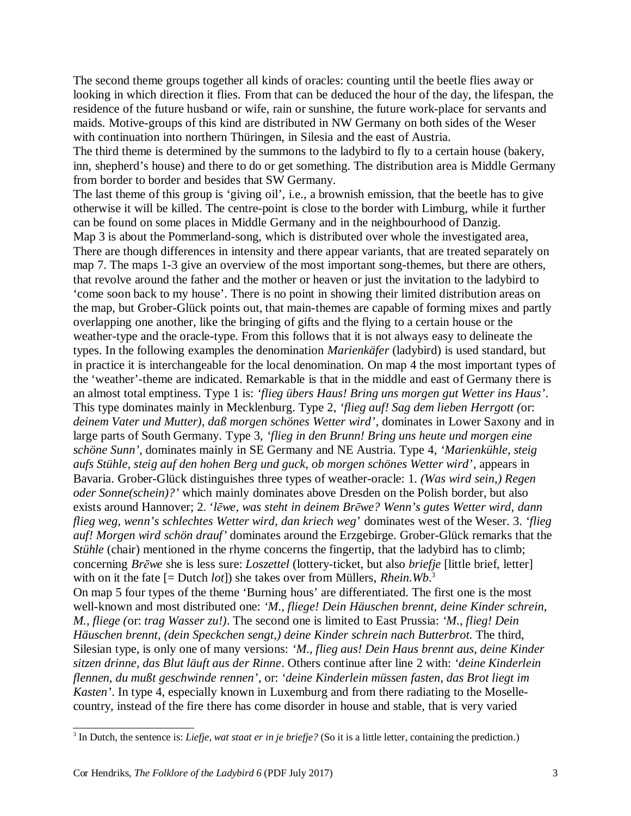The second theme groups together all kinds of oracles: counting until the beetle flies away or looking in which direction it flies. From that can be deduced the hour of the day, the lifespan, the residence of the future husband or wife, rain or sunshine, the future work-place for servants and maids. Motive-groups of this kind are distributed in NW Germany on both sides of the Weser with continuation into northern Thüringen, in Silesia and the east of Austria.

The third theme is determined by the summons to the ladybird to fly to a certain house (bakery, inn, shepherd's house) and there to do or get something. The distribution area is Middle Germany from border to border and besides that SW Germany.

The last theme of this group is 'giving oil', i.e., a brownish emission, that the beetle has to give otherwise it will be killed. The centre-point is close to the border with Limburg, while it further can be found on some places in Middle Germany and in the neighbourhood of Danzig. Map 3 is about the Pommerland-song, which is distributed over whole the investigated area, There are though differences in intensity and there appear variants, that are treated separately on map 7. The maps 1-3 give an overview of the most important song-themes, but there are others, that revolve around the father and the mother or heaven or just the invitation to the ladybird to 'come soon back to my house'. There is no point in showing their limited distribution areas on the map, but Grober-Glück points out, that main-themes are capable of forming mixes and partly overlapping one another, like the bringing of gifts and the flying to a certain house or the weather-type and the oracle-type. From this follows that it is not always easy to delineate the types. In the following examples the denomination *Marienkäfer* (ladybird) is used standard, but in practice it is interchangeable for the local denomination. On map 4 the most important types of the 'weather'-theme are indicated. Remarkable is that in the middle and east of Germany there is an almost total emptiness. Type 1 is: *'flieg übers Haus! Bring uns morgen gut Wetter ins Haus'*. This type dominates mainly in Mecklenburg. Type 2, *'flieg auf! Sag dem lieben Herrgott (*or: *deinem Vater und Mutter), daß morgen schönes Wetter wird'*, dominates in Lower Saxony and in large parts of South Germany. Type 3, *'flieg in den Brunn! Bring uns heute und morgen eine schöne Sunn'*, dominates mainly in SE Germany and NE Austria. Type 4, *'Marienkühle, steig aufs Stühle, steig auf den hohen Berg und guck, ob morgen schönes Wetter wird'*, appears in Bavaria. Grober-Glück distinguishes three types of weather-oracle: 1. *(Was wird sein,) Regen oder Sonne(schein)?'* which mainly dominates above Dresden on the Polish border, but also exists around Hannover; 2. '*lēwe, was steht in deinem Brēwe? Wenn's gutes Wetter wird, dann flieg weg, wenn's schlechtes Wetter wird, dan kriech weg*' dominates west of the Weser. 3. *'flieg auf! Morgen wird schön drauf'* dominates around the Erzgebirge. Grober-Glück remarks that the *Stühle* (chair) mentioned in the rhyme concerns the fingertip, that the ladybird has to climb; concerning *Brēwe* she is less sure: *Loszettel* (lottery-ticket, but also *briefje* [little brief, letter] with on it the fate [= Dutch *lot*]) she takes over from Müllers, *Rhein.Wb*. 3

On map 5 four types of the theme 'Burning hous' are differentiated. The first one is the most well-known and most distributed one: *'M., fliege! Dein Häuschen brennt, deine Kinder schrein, M., fliege (*or: *trag Wasser zu!)*. The second one is limited to East Prussia: *'M., flieg! Dein Häuschen brennt, (dein Speckchen sengt,) deine Kinder schrein nach Butterbrot.* The third, Silesian type, is only one of many versions: *'M., flieg aus! Dein Haus brennt aus, deine Kinder sitzen drinne, das Blut läuft aus der Rinne*. Others continue after line 2 with: *'deine Kinderlein flennen, du mußt geschwinde rennen'*, or: *'deine Kinderlein müssen fasten, das Brot liegt im Kasten'*. In type 4, especially known in Luxemburg and from there radiating to the Mosellecountry, instead of the fire there has come disorder in house and stable, that is very varied

<sup>3</sup> In Dutch, the sentence is: *Liefje, wat staat er in je briefje?* (So it is a little letter, containing the prediction.)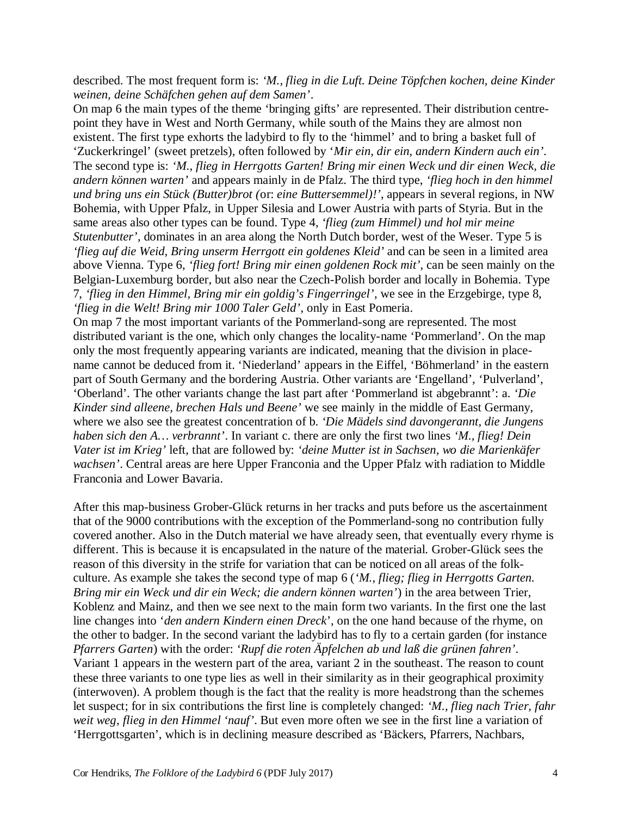described. The most frequent form is: *'M., flieg in die Luft. Deine Töpfchen kochen, deine Kinder weinen, deine Schäfchen gehen auf dem Samen'*.

On map 6 the main types of the theme 'bringing gifts' are represented. Their distribution centrepoint they have in West and North Germany, while south of the Mains they are almost non existent. The first type exhorts the ladybird to fly to the 'himmel' and to bring a basket full of 'Zuckerkringel' (sweet pretzels), often followed by '*Mir ein, dir ein, andern Kindern auch ein'*. The second type is: *'M., flieg in Herrgotts Garten! Bring mir einen Weck und dir einen Weck, die andern können warten'* and appears mainly in de Pfalz. The third type, *'flieg hoch in den himmel und bring uns ein Stück (Butter)brot (*or: *eine Buttersemmel)!'*, appears in several regions, in NW Bohemia, with Upper Pfalz, in Upper Silesia and Lower Austria with parts of Styria. But in the same areas also other types can be found. Type 4, *'flieg (zum Himmel) und hol mir meine Stutenbutter'*, dominates in an area along the North Dutch border, west of the Weser. Type 5 is *'flieg auf die Weid, Bring unserm Herrgott ein goldenes Kleid'* and can be seen in a limited area above Vienna. Type 6, *'flieg fort! Bring mir einen goldenen Rock mit'*, can be seen mainly on the Belgian-Luxemburg border, but also near the Czech-Polish border and locally in Bohemia. Type 7, *'flieg in den Himmel, Bring mir ein goldig's Fingerringel'*, we see in the Erzgebirge, type 8, *'flieg in die Welt! Bring mir 1000 Taler Geld'*, only in East Pomeria.

On map 7 the most important variants of the Pommerland-song are represented. The most distributed variant is the one, which only changes the locality-name 'Pommerland'. On the map only the most frequently appearing variants are indicated, meaning that the division in placename cannot be deduced from it. 'Niederland' appears in the Eiffel, 'Böhmerland' in the eastern part of South Germany and the bordering Austria. Other variants are 'Engelland', 'Pulverland', 'Oberland'. The other variants change the last part after 'Pommerland ist abgebrannt': a. *'Die Kinder sind alleene, brechen Hals und Beene'* we see mainly in the middle of East Germany, where we also see the greatest concentration of b. *'Die Mädels sind davongerannt, die Jungens haben sich den A… verbrannt'*. In variant c. there are only the first two lines *'M., flieg! Dein Vater ist im Krieg'* left, that are followed by: *'deine Mutter ist in Sachsen, wo die Marienkäfer wachsen'*. Central areas are here Upper Franconia and the Upper Pfalz with radiation to Middle Franconia and Lower Bavaria.

After this map-business Grober-Glück returns in her tracks and puts before us the ascertainment that of the 9000 contributions with the exception of the Pommerland-song no contribution fully covered another. Also in the Dutch material we have already seen, that eventually every rhyme is different. This is because it is encapsulated in the nature of the material. Grober-Glück sees the reason of this diversity in the strife for variation that can be noticed on all areas of the folkculture. As example she takes the second type of map 6 (*'M., flieg; flieg in Herrgotts Garten. Bring mir ein Weck und dir ein Weck; die andern können warten'*) in the area between Trier, Koblenz and Mainz, and then we see next to the main form two variants. In the first one the last line changes into '*den andern Kindern einen Dreck*', on the one hand because of the rhyme, on the other to badger. In the second variant the ladybird has to fly to a certain garden (for instance *Pfarrers Garten*) with the order: *'Rupf die roten Äpfelchen ab und laß die grünen fahren'*. Variant 1 appears in the western part of the area, variant 2 in the southeast. The reason to count these three variants to one type lies as well in their similarity as in their geographical proximity (interwoven). A problem though is the fact that the reality is more headstrong than the schemes let suspect; for in six contributions the first line is completely changed: *'M., flieg nach Trier, fahr weit weg, flieg in den Himmel 'nauf'*. But even more often we see in the first line a variation of 'Herrgottsgarten', which is in declining measure described as 'Bäckers, Pfarrers, Nachbars,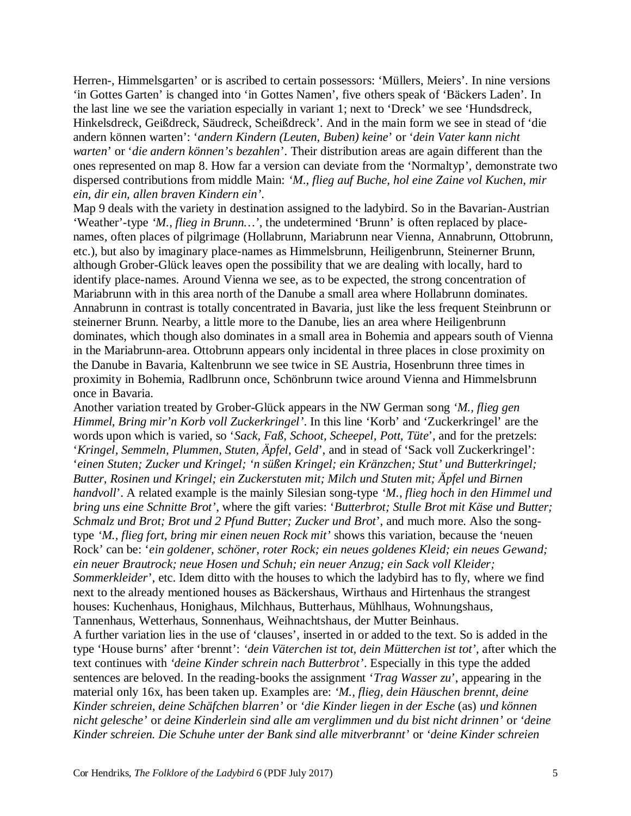Herren-, Himmelsgarten' or is ascribed to certain possessors: 'Müllers, Meiers'. In nine versions 'in Gottes Garten' is changed into 'in Gottes Namen', five others speak of 'Bäckers Laden'. In the last line we see the variation especially in variant 1; next to 'Dreck' we see 'Hundsdreck, Hinkelsdreck, Geißdreck, Säudreck, Scheißdreck'. And in the main form we see in stead of 'die andern können warten': '*andern Kindern (Leuten, Buben) keine*' or '*dein Vater kann nicht warten*' or '*die andern können's bezahlen*'. Their distribution areas are again different than the ones represented on map 8. How far a version can deviate from the 'Normaltyp', demonstrate two dispersed contributions from middle Main: *'M., flieg auf Buche, hol eine Zaine vol Kuchen, mir ein, dir ein, allen braven Kindern ein'*.

Map 9 deals with the variety in destination assigned to the ladybird. So in the Bavarian-Austrian 'Weather'-type *'M., flieg in Brunn…'*, the undetermined 'Brunn' is often replaced by placenames, often places of pilgrimage (Hollabrunn, Mariabrunn near Vienna, Annabrunn, Ottobrunn, etc.), but also by imaginary place-names as Himmelsbrunn, Heiligenbrunn, Steinerner Brunn, although Grober-Glück leaves open the possibility that we are dealing with locally, hard to identify place-names. Around Vienna we see, as to be expected, the strong concentration of Mariabrunn with in this area north of the Danube a small area where Hollabrunn dominates. Annabrunn in contrast is totally concentrated in Bavaria, just like the less frequent Steinbrunn or steinerner Brunn. Nearby, a little more to the Danube, lies an area where Heiligenbrunn dominates, which though also dominates in a small area in Bohemia and appears south of Vienna in the Mariabrunn-area. Ottobrunn appears only incidental in three places in close proximity on the Danube in Bavaria, Kaltenbrunn we see twice in SE Austria, Hosenbrunn three times in proximity in Bohemia, Radlbrunn once, Schönbrunn twice around Vienna and Himmelsbrunn once in Bavaria.

Another variation treated by Grober-Glück appears in the NW German song *'M., flieg gen Himmel, Bring mir'n Korb voll Zuckerkringel'*. In this line 'Korb' and 'Zuckerkringel' are the words upon which is varied, so '*Sack, Faß, Schoot, Scheepel, Pott, Tüte*', and for the pretzels: '*Kringel, Semmeln, Plummen, Stuten, Äpfel, Geld*', and in stead of 'Sack voll Zuckerkringel': '*einen Stuten; Zucker und Kringel; 'n süßen Kringel; ein Kränzchen; Stut' und Butterkringel; Butter, Rosinen und Kringel; ein Zuckerstuten mit; Milch und Stuten mit; Äpfel und Birnen handvoll*'. A related example is the mainly Silesian song-type *'M., flieg hoch in den Himmel und bring uns eine Schnitte Brot'*, where the gift varies: '*Butterbrot; Stulle Brot mit Käse und Butter; Schmalz und Brot; Brot und 2 Pfund Butter; Zucker und Brot*', and much more. Also the songtype *'M., flieg fort, bring mir einen neuen Rock mit'* shows this variation, because the 'neuen Rock' can be: '*ein goldener, schöner, roter Rock; ein neues goldenes Kleid; ein neues Gewand; ein neuer Brautrock; neue Hosen und Schuh; ein neuer Anzug; ein Sack voll Kleider; Sommerkleider*', etc. Idem ditto with the houses to which the ladybird has to fly, where we find next to the already mentioned houses as Bäckershaus, Wirthaus and Hirtenhaus the strangest houses: Kuchenhaus, Honighaus, Milchhaus, Butterhaus, Mühlhaus, Wohnungshaus, Tannenhaus, Wetterhaus, Sonnenhaus, Weihnachtshaus, der Mutter Beinhaus.

A further variation lies in the use of 'clauses', inserted in or added to the text. So is added in the type 'House burns' after 'brennt': *'dein Väterchen ist tot, dein Mütterchen ist tot'*, after which the text continues with *'deine Kinder schrein nach Butterbrot'*. Especially in this type the added sentences are beloved. In the reading-books the assignment '*Trag Wasser zu*', appearing in the material only 16x, has been taken up. Examples are: *'M., flieg, dein Häuschen brennt, deine Kinder schreien, deine Schäfchen blarren'* or *'die Kinder liegen in der Esche* (as) *und können nicht gelesche'* or *deine Kinderlein sind alle am verglimmen und du bist nicht drinnen'* or *'deine Kinder schreien. Die Schuhe unter der Bank sind alle mitverbrannt'* or *'deine Kinder schreien*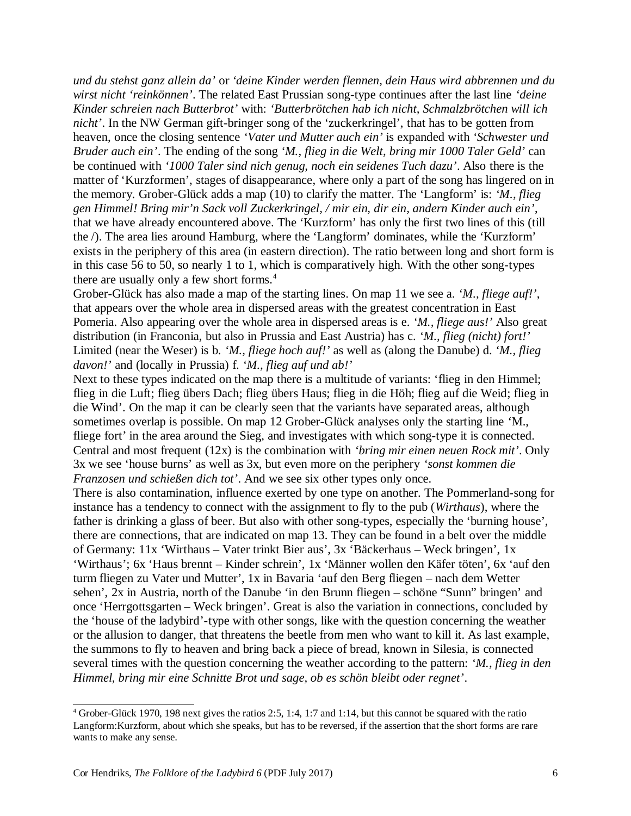*und du stehst ganz allein da'* or *'deine Kinder werden flennen, dein Haus wird abbrennen und du wirst nicht 'reinkönnen'*. The related East Prussian song-type continues after the last line *'deine Kinder schreien nach Butterbrot'* with: *'Butterbrötchen hab ich nicht, Schmalzbrötchen will ich nicht'*. In the NW German gift-bringer song of the 'zuckerkringel', that has to be gotten from heaven, once the closing sentence *'Vater und Mutter auch ein'* is expanded with *'Schwester und Bruder auch ein'*. The ending of the song *'M., flieg in die Welt, bring mir 1000 Taler Geld'* can be continued with *'1000 Taler sind nich genug, noch ein seidenes Tuch dazu'*. Also there is the matter of 'Kurzformen', stages of disappearance, where only a part of the song has lingered on in the memory. Grober-Glück adds a map (10) to clarify the matter. The 'Langform' is: *'M., flieg gen Himmel! Bring mir'n Sack voll Zuckerkringel, / mir ein, dir ein, andern Kinder auch ein'*, that we have already encountered above. The 'Kurzform' has only the first two lines of this (till the /). The area lies around Hamburg, where the 'Langform' dominates, while the 'Kurzform' exists in the periphery of this area (in eastern direction). The ratio between long and short form is in this case 56 to 50, so nearly 1 to 1, which is comparatively high. With the other song-types there are usually only a few short forms. $4$ 

Grober-Glück has also made a map of the starting lines. On map 11 we see a. *'M., fliege auf!'*, that appears over the whole area in dispersed areas with the greatest concentration in East Pomeria. Also appearing over the whole area in dispersed areas is e. *'M., fliege aus!'* Also great distribution (in Franconia, but also in Prussia and East Austria) has c. *'M., flieg (nicht) fort!'* Limited (near the Weser) is b. *'M., fliege hoch auf!'* as well as (along the Danube) d. *'M., flieg davon!'* and (locally in Prussia) f. *'M., flieg auf und ab!'*

Next to these types indicated on the map there is a multitude of variants: 'flieg in den Himmel; flieg in die Luft; flieg übers Dach; flieg übers Haus; flieg in die Höh; flieg auf die Weid; flieg in die Wind'. On the map it can be clearly seen that the variants have separated areas, although sometimes overlap is possible. On map 12 Grober-Glück analyses only the starting line 'M., fliege fort' in the area around the Sieg, and investigates with which song-type it is connected. Central and most frequent (12x) is the combination with *'bring mir einen neuen Rock mit'*. Only 3x we see 'house burns' as well as 3x, but even more on the periphery *'sonst kommen die Franzosen und schießen dich tot'*. And we see six other types only once.

There is also contamination, influence exerted by one type on another. The Pommerland-song for instance has a tendency to connect with the assignment to fly to the pub (*Wirthaus*), where the father is drinking a glass of beer. But also with other song-types, especially the 'burning house', there are connections, that are indicated on map 13. They can be found in a belt over the middle of Germany: 11x 'Wirthaus – Vater trinkt Bier aus', 3x 'Bäckerhaus – Weck bringen', 1x 'Wirthaus'; 6x 'Haus brennt – Kinder schrein', 1x 'Männer wollen den Käfer töten', 6x 'auf den turm fliegen zu Vater und Mutter', 1x in Bavaria 'auf den Berg fliegen – nach dem Wetter sehen', 2x in Austria, north of the Danube 'in den Brunn fliegen – schöne "Sunn" bringen' and once 'Herrgottsgarten – Weck bringen'. Great is also the variation in connections, concluded by the 'house of the ladybird'-type with other songs, like with the question concerning the weather or the allusion to danger, that threatens the beetle from men who want to kill it. As last example, the summons to fly to heaven and bring back a piece of bread, known in Silesia, is connected several times with the question concerning the weather according to the pattern: *'M., flieg in den Himmel, bring mir eine Schnitte Brot und sage, ob es schön bleibt oder regnet'*.

<sup>4</sup> Grober-Glück 1970, 198 next gives the ratios 2:5, 1:4, 1:7 and 1:14, but this cannot be squared with the ratio Langform:Kurzform, about which she speaks, but has to be reversed, if the assertion that the short forms are rare wants to make any sense.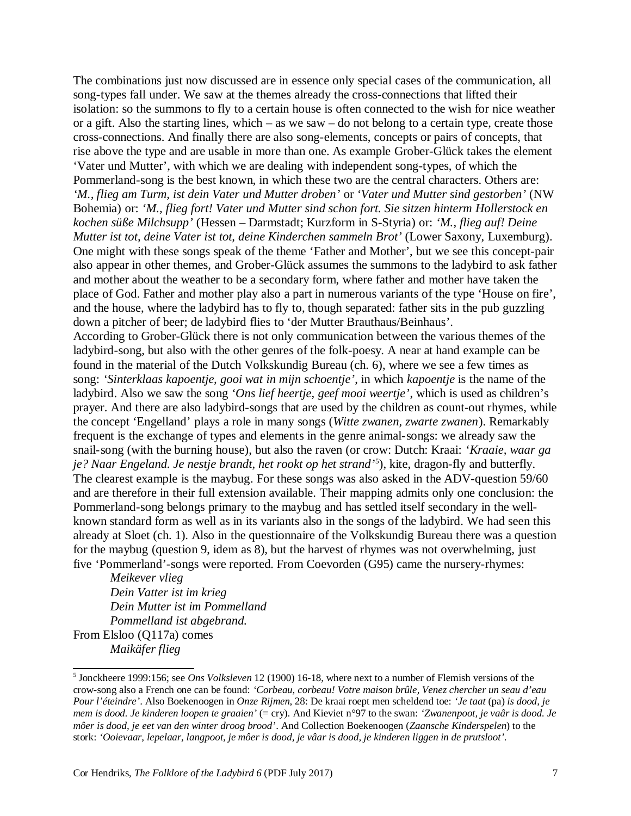The combinations just now discussed are in essence only special cases of the communication, all song-types fall under. We saw at the themes already the cross-connections that lifted their isolation: so the summons to fly to a certain house is often connected to the wish for nice weather or a gift. Also the starting lines, which – as we saw – do not belong to a certain type, create those cross-connections. And finally there are also song-elements, concepts or pairs of concepts, that rise above the type and are usable in more than one. As example Grober-Glück takes the element 'Vater und Mutter', with which we are dealing with independent song-types, of which the Pommerland-song is the best known, in which these two are the central characters. Others are: *'M., flieg am Turm, ist dein Vater und Mutter droben'* or *'Vater und Mutter sind gestorben'* (NW Bohemia) or: *'M., flieg fort! Vater und Mutter sind schon fort. Sie sitzen hinterm Hollerstock en kochen süße Milchsupp'* (Hessen – Darmstadt; Kurzform in S-Styria) or: *'M., flieg auf! Deine Mutter ist tot, deine Vater ist tot, deine Kinderchen sammeln Brot'* (Lower Saxony, Luxemburg). One might with these songs speak of the theme 'Father and Mother', but we see this concept-pair also appear in other themes, and Grober-Glück assumes the summons to the ladybird to ask father and mother about the weather to be a secondary form, where father and mother have taken the place of God. Father and mother play also a part in numerous variants of the type 'House on fire', and the house, where the ladybird has to fly to, though separated: father sits in the pub guzzling down a pitcher of beer; de ladybird flies to 'der Mutter Brauthaus/Beinhaus'. According to Grober-Glück there is not only communication between the various themes of the ladybird-song, but also with the other genres of the folk-poesy. A near at hand example can be found in the material of the Dutch Volkskundig Bureau (ch. 6), where we see a few times as song: *'Sinterklaas kapoentje, gooi wat in mijn schoentje'*, in which *kapoentje* is the name of the ladybird. Also we saw the song *'Ons lief heertje, geef mooi weertje'*, which is used as children's prayer. And there are also ladybird-songs that are used by the children as count-out rhymes, while the concept 'Engelland' plays a role in many songs (*Witte zwanen, zwarte zwanen*). Remarkably frequent is the exchange of types and elements in the genre animal-songs: we already saw the snail-song (with the burning house), but also the raven (or crow: Dutch: Kraai: *'Kraaie, waar ga je? Naar Engeland. Je nestje brandt, het rookt op het strand'*<sup>5</sup> ), kite, dragon-fly and butterfly. The clearest example is the maybug. For these songs was also asked in the ADV-question 59/60 and are therefore in their full extension available. Their mapping admits only one conclusion: the Pommerland-song belongs primary to the maybug and has settled itself secondary in the wellknown standard form as well as in its variants also in the songs of the ladybird. We had seen this already at Sloet (ch. 1). Also in the questionnaire of the Volkskundig Bureau there was a question for the maybug (question 9, idem as 8), but the harvest of rhymes was not overwhelming, just five 'Pommerland'-songs were reported. From Coevorden (G95) came the nursery-rhymes:

*Meikever vlieg Dein Vatter ist im krieg Dein Mutter ist im Pommelland Pommelland ist abgebrand.* From Elsloo (Q117a) comes *Maikäfer flieg*

<sup>5</sup> Jonckheere 1999:156; see *Ons Volksleven* 12 (1900) 16-18, where next to a number of Flemish versions of the crow-song also a French one can be found: *'Corbeau, corbeau! Votre maison brûle, Venez chercher un seau d'eau Pour l'éteindre'*. Also Boekenoogen in *Onze Rijmen*, 28: De kraai roept men scheldend toe: *'Je taat* (pa) *is dood, je mem is dood. Je kinderen loopen te graaien'* (= cry). And Kieviet n°97 to the swan: *'Zwanenpoot, je vaâr is dood. Je môer is dood, je eet van den winter droog brood'*. And Collection Boekenoogen (*Zaansche Kinderspelen*) to the stork: *'Ooievaar, lepelaar, langpoot, je môer is dood, je vâar is dood, je kinderen liggen in de prutsloot'*.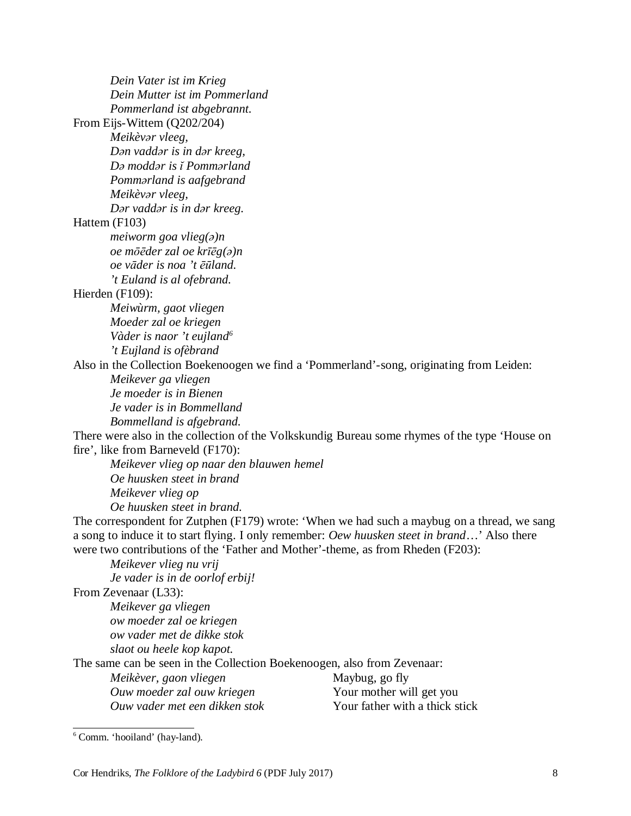| Dein Vater ist im Krieg<br>Dein Mutter ist im Pommerland                                      |                                |  |
|-----------------------------------------------------------------------------------------------|--------------------------------|--|
|                                                                                               |                                |  |
| Pommerland ist abgebrannt.                                                                    |                                |  |
| From Eijs-Wittem (Q202/204)                                                                   |                                |  |
| Meikèvar vleeg,                                                                               |                                |  |
| Dan vaddar is in dar kreeg,                                                                   |                                |  |
| Da moddar is i Pommarland                                                                     |                                |  |
| Pommarland is aafgebrand                                                                      |                                |  |
| Meikèvər vleeg,                                                                               |                                |  |
| Dar vaddar is in dar kreeg.                                                                   |                                |  |
| Hattem (F103)                                                                                 |                                |  |
| meiworm goa vlieg $(a)$ n                                                                     |                                |  |
| oe mõēder zal oe krīēg(a)n                                                                    |                                |  |
| oe vāder is noa 't ēūland.                                                                    |                                |  |
| 't Euland is al ofebrand.                                                                     |                                |  |
| Hierden (F109):                                                                               |                                |  |
| Meiwùrm, gaot vliegen                                                                         |                                |  |
| Moeder zal oe kriegen                                                                         |                                |  |
| Vàder is naor 't eujland <sup>6</sup>                                                         |                                |  |
| 't Eujland is ofèbrand                                                                        |                                |  |
| Also in the Collection Boekenoogen we find a 'Pommerland'-song, originating from Leiden:      |                                |  |
| Meikever ga vliegen                                                                           |                                |  |
| Je moeder is in Bienen                                                                        |                                |  |
| Je vader is in Bommelland                                                                     |                                |  |
| Bommelland is afgebrand.                                                                      |                                |  |
| There were also in the collection of the Volkskundig Bureau some rhymes of the type 'House on |                                |  |
| fire', like from Barneveld (F170):                                                            |                                |  |
| Meikever vlieg op naar den blauwen hemel                                                      |                                |  |
| Oe huusken steet in brand                                                                     |                                |  |
| Meikever vlieg op                                                                             |                                |  |
| Oe huusken steet in brand.                                                                    |                                |  |
| The correspondent for Zutphen (F179) wrote: 'When we had such a maybug on a thread, we sang   |                                |  |
| a song to induce it to start flying. I only remember: Oew huusken steet in brand' Also there  |                                |  |
| were two contributions of the 'Father and Mother'-theme, as from Rheden (F203):               |                                |  |
| Meikever vlieg nu vrij                                                                        |                                |  |
| Je vader is in de oorlof erbij!                                                               |                                |  |
| From Zevenaar (L33):                                                                          |                                |  |
| Meikever ga vliegen                                                                           |                                |  |
| ow moeder zal oe kriegen                                                                      |                                |  |
| ow vader met de dikke stok                                                                    |                                |  |
| slaot ou heele kop kapot.                                                                     |                                |  |
| The same can be seen in the Collection Boekenoogen, also from Zevenaar:                       |                                |  |
| Meikèver, gaon vliegen                                                                        | Maybug, go fly                 |  |
| Ouw moeder zal ouw kriegen                                                                    | Your mother will get you       |  |
| Ouw vader met een dikken stok                                                                 | Your father with a thick stick |  |
|                                                                                               |                                |  |

 $6$  Comm. 'hooiland' (hay-land).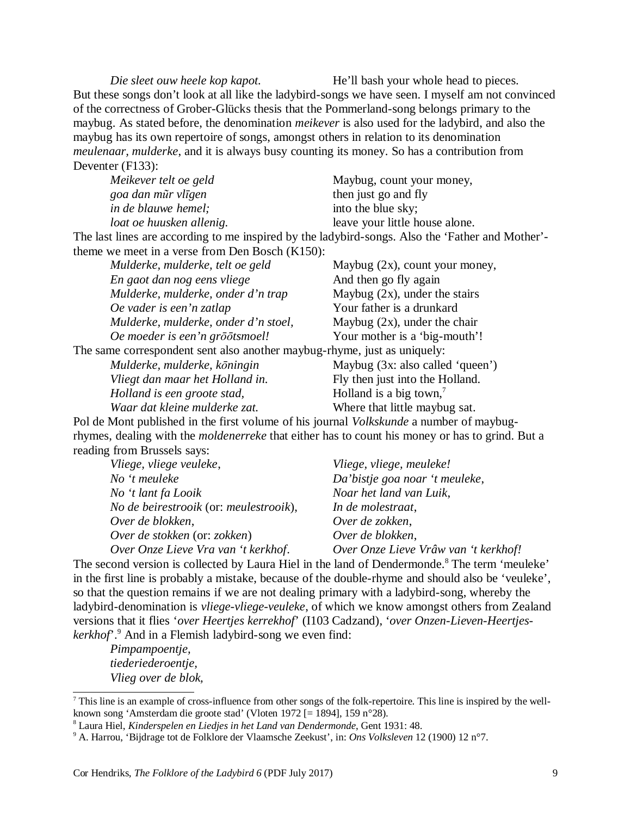*Die sleet ouw heele kop kapot.* He'll bash your whole head to pieces. But these songs don't look at all like the ladybird-songs we have seen. I myself am not convinced of the correctness of Grober-Glücks thesis that the Pommerland-song belongs primary to the maybug. As stated before, the denomination *meikever* is also used for the ladybird, and also the maybug has its own repertoire of songs, amongst others in relation to its denomination *meulenaar, mulderke*, and it is always busy counting its money. So has a contribution from Deventer (F133):

| Meikever telt oe geld      | Maybug, count your money,      |
|----------------------------|--------------------------------|
| goa dan mũr vlīgen         | then just go and fly           |
| <i>in de blauwe hemel;</i> | into the blue sky;             |
| loat oe huusken allenig.   | leave your little house alone. |
|                            |                                |

The last lines are according to me inspired by the ladybird-songs. Also the 'Father and Mother' theme we meet in a verse from Den Bosch (K150):

| Mulderke, mulderke, telt oe geld                                         | Maybug $(2x)$ , count your money,   |
|--------------------------------------------------------------------------|-------------------------------------|
| En gaot dan nog eens vliege                                              | And then go fly again               |
| Mulderke, mulderke, onder d'n trap                                       | Maybug $(2x)$ , under the stairs    |
| Oe vader is een'n zatlap                                                 | Your father is a drunkard           |
| Mulderke, mulderke, onder d'n stoel,                                     | Maybug $(2x)$ , under the chair     |
| Oe moeder is een'n grōōtsmoel!                                           | Your mother is a 'big-mouth'!       |
| The same correspondent sent also another maybug-rhyme, just as uniquely: |                                     |
| Mulderke, mulderke, köningin                                             | Maybug (3x: also called 'queen')    |
| Vliegt dan maar het Holland in.                                          | Fly then just into the Holland.     |
| Holland is een groote stad,                                              | Holland is a big town, <sup>7</sup> |
| Waar dat kleine mulderke zat.                                            | Where that little maybug sat.       |

Pol de Mont published in the first volume of his journal *Volkskunde* a number of maybugrhymes, dealing with the *moldenerreke* that either has to count his money or has to grind. But a reading from Brussels says:

| Vliege, vliege, meuleke!             |
|--------------------------------------|
| Da'bistje goa noar 't meuleke,       |
| Noar het land van Luik,              |
| In de molestraat,                    |
| Over de zokken,                      |
| Over de blokken,                     |
| Over Onze Lieve Vrâw van 't kerkhof! |
|                                      |

The second version is collected by Laura Hiel in the land of Dendermonde.<sup>8</sup> The term 'meuleke' in the first line is probably a mistake, because of the double-rhyme and should also be 'veuleke', so that the question remains if we are not dealing primary with a ladybird-song, whereby the ladybird-denomination is *vliege-vliege-veuleke*, of which we know amongst others from Zealand versions that it flies '*over Heertjes kerrekhof*' (I103 Cadzand), '*over Onzen-Lieven-Heertjeskerkhof*'.<sup>9</sup> And in a Flemish ladybird-song we even find:

*Pimpampoentje, tiederiederoentje, Vlieg over de blok,* 

 $^7$  This line is an example of cross-influence from other songs of the folk-repertoire. This line is inspired by the wellknown song 'Amsterdam die groote stad' (Vloten 1972 [= 1894], 159 n°28).

<sup>8</sup> Laura Hiel, *Kinderspelen en Liedjes in het Land van Dendermonde*, Gent 1931: 48.

<sup>9</sup> A. Harrou, 'Bijdrage tot de Folklore der Vlaamsche Zeekust', in: *Ons Volksleven* 12 (1900) 12 n°7.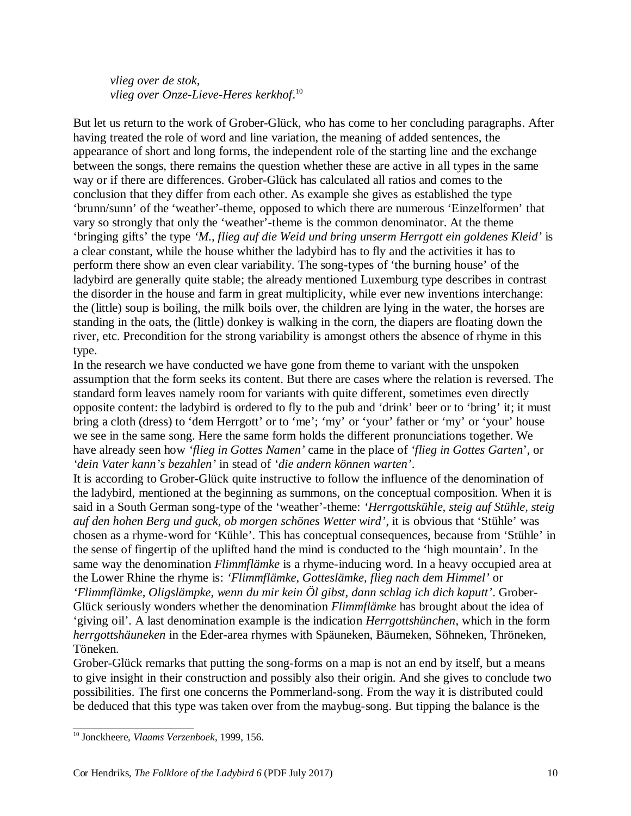*vlieg over de stok, vlieg over Onze-Lieve-Heres kerkhof*. 10

But let us return to the work of Grober-Glück, who has come to her concluding paragraphs. After having treated the role of word and line variation, the meaning of added sentences, the appearance of short and long forms, the independent role of the starting line and the exchange between the songs, there remains the question whether these are active in all types in the same way or if there are differences. Grober-Glück has calculated all ratios and comes to the conclusion that they differ from each other. As example she gives as established the type 'brunn/sunn' of the 'weather'-theme, opposed to which there are numerous 'Einzelformen' that vary so strongly that only the 'weather'-theme is the common denominator. At the theme 'bringing gifts' the type *'M., flieg auf die Weid und bring unserm Herrgott ein goldenes Kleid'* is a clear constant, while the house whither the ladybird has to fly and the activities it has to perform there show an even clear variability. The song-types of 'the burning house' of the ladybird are generally quite stable; the already mentioned Luxemburg type describes in contrast the disorder in the house and farm in great multiplicity, while ever new inventions interchange: the (little) soup is boiling, the milk boils over, the children are lying in the water, the horses are standing in the oats, the (little) donkey is walking in the corn, the diapers are floating down the river, etc. Precondition for the strong variability is amongst others the absence of rhyme in this type.

In the research we have conducted we have gone from theme to variant with the unspoken assumption that the form seeks its content. But there are cases where the relation is reversed. The standard form leaves namely room for variants with quite different, sometimes even directly opposite content: the ladybird is ordered to fly to the pub and 'drink' beer or to 'bring' it; it must bring a cloth (dress) to 'dem Herrgott' or to 'me'; 'my' or 'your' father or 'my' or 'your' house we see in the same song. Here the same form holds the different pronunciations together. We have already seen how *'flieg in Gottes Namen'* came in the place of *'flieg in Gottes Garten*', or *'dein Vater kann's bezahlen'* in stead of *'die andern können warten'*.

It is according to Grober-Glück quite instructive to follow the influence of the denomination of the ladybird, mentioned at the beginning as summons, on the conceptual composition. When it is said in a South German song-type of the 'weather'-theme: *'Herrgottskühle, steig auf Stühle, steig auf den hohen Berg und guck, ob morgen schönes Wetter wird'*, it is obvious that 'Stühle' was chosen as a rhyme-word for 'Kühle'. This has conceptual consequences, because from 'Stühle' in the sense of fingertip of the uplifted hand the mind is conducted to the 'high mountain'. In the same way the denomination *Flimmflämke* is a rhyme-inducing word. In a heavy occupied area at the Lower Rhine the rhyme is: *'Flimmflämke, Gotteslämke, flieg nach dem Himmel'* or *'Flimmflämke, Oligslämpke, wenn du mir kein Öl gibst, dann schlag ich dich kaputt'*. Grober-Glück seriously wonders whether the denomination *Flimmflämke* has brought about the idea of 'giving oil'. A last denomination example is the indication *Herrgottshünchen*, which in the form *herrgottshäuneken* in the Eder-area rhymes with Späuneken, Bäumeken, Söhneken, Thröneken, Töneken.

Grober-Glück remarks that putting the song-forms on a map is not an end by itself, but a means to give insight in their construction and possibly also their origin. And she gives to conclude two possibilities. The first one concerns the Pommerland-song. From the way it is distributed could be deduced that this type was taken over from the maybug-song. But tipping the balance is the

<sup>10</sup> Jonckheere, *Vlaams Verzenboek*, 1999, 156.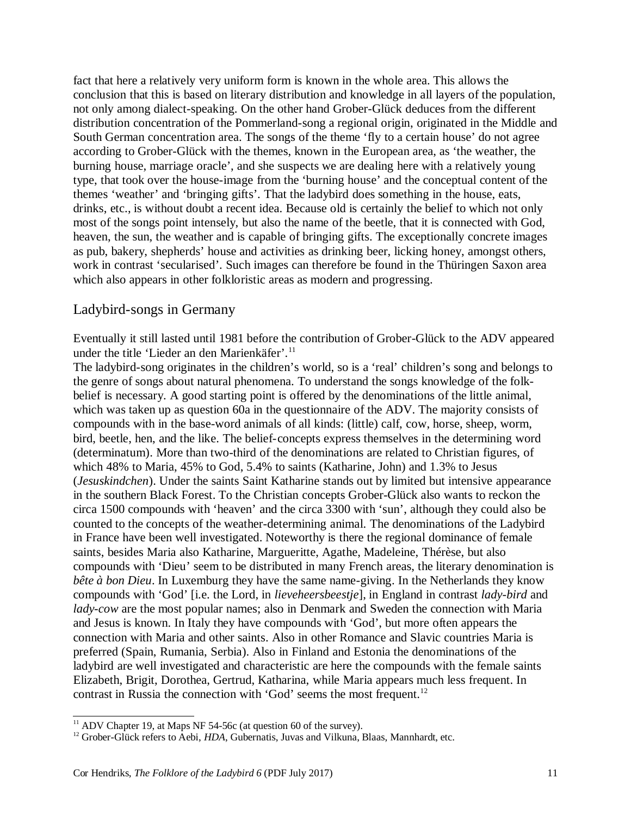fact that here a relatively very uniform form is known in the whole area. This allows the conclusion that this is based on literary distribution and knowledge in all layers of the population, not only among dialect-speaking. On the other hand Grober-Glück deduces from the different distribution concentration of the Pommerland-song a regional origin, originated in the Middle and South German concentration area. The songs of the theme 'fly to a certain house' do not agree according to Grober-Glück with the themes, known in the European area, as 'the weather, the burning house, marriage oracle', and she suspects we are dealing here with a relatively young type, that took over the house-image from the 'burning house' and the conceptual content of the themes 'weather' and 'bringing gifts'. That the ladybird does something in the house, eats, drinks, etc., is without doubt a recent idea. Because old is certainly the belief to which not only most of the songs point intensely, but also the name of the beetle, that it is connected with God, heaven, the sun, the weather and is capable of bringing gifts. The exceptionally concrete images as pub, bakery, shepherds' house and activities as drinking beer, licking honey, amongst others, work in contrast 'secularised'. Such images can therefore be found in the Thüringen Saxon area which also appears in other folkloristic areas as modern and progressing.

#### Ladybird-songs in Germany

Eventually it still lasted until 1981 before the contribution of Grober-Glück to the ADV appeared under the title 'Lieder an den Marienkäfer'.<sup>11</sup>

The ladybird-song originates in the children's world, so is a 'real' children's song and belongs to the genre of songs about natural phenomena. To understand the songs knowledge of the folkbelief is necessary. A good starting point is offered by the denominations of the little animal, which was taken up as question 60a in the questionnaire of the ADV. The majority consists of compounds with in the base-word animals of all kinds: (little) calf, cow, horse, sheep, worm, bird, beetle, hen, and the like. The belief-concepts express themselves in the determining word (determinatum). More than two-third of the denominations are related to Christian figures, of which 48% to Maria, 45% to God, 5.4% to saints (Katharine, John) and 1.3% to Jesus (*Jesuskindchen*). Under the saints Saint Katharine stands out by limited but intensive appearance in the southern Black Forest. To the Christian concepts Grober-Glück also wants to reckon the circa 1500 compounds with 'heaven' and the circa 3300 with 'sun', although they could also be counted to the concepts of the weather-determining animal. The denominations of the Ladybird in France have been well investigated. Noteworthy is there the regional dominance of female saints, besides Maria also Katharine, Margueritte, Agathe, Madeleine, Thérèse, but also compounds with 'Dieu' seem to be distributed in many French areas, the literary denomination is *bête à bon Dieu*. In Luxemburg they have the same name-giving. In the Netherlands they know compounds with 'God' [i.e. the Lord, in *lieveheersbeestje*], in England in contrast *lady-bird* and *lady-cow* are the most popular names; also in Denmark and Sweden the connection with Maria and Jesus is known. In Italy they have compounds with 'God', but more often appears the connection with Maria and other saints. Also in other Romance and Slavic countries Maria is preferred (Spain, Rumania, Serbia). Also in Finland and Estonia the denominations of the ladybird are well investigated and characteristic are here the compounds with the female saints Elizabeth, Brigit, Dorothea, Gertrud, Katharina, while Maria appears much less frequent. In contrast in Russia the connection with 'God' seems the most frequent.<sup>12</sup>

<sup>&</sup>lt;sup>11</sup> ADV Chapter 19, at Maps NF 54-56c (at question 60 of the survey).

<sup>&</sup>lt;sup>12</sup> Grober-Glück refers to Aebi, *HDA*, Gubernatis, Juvas and Vilkuna, Blaas, Mannhardt, etc.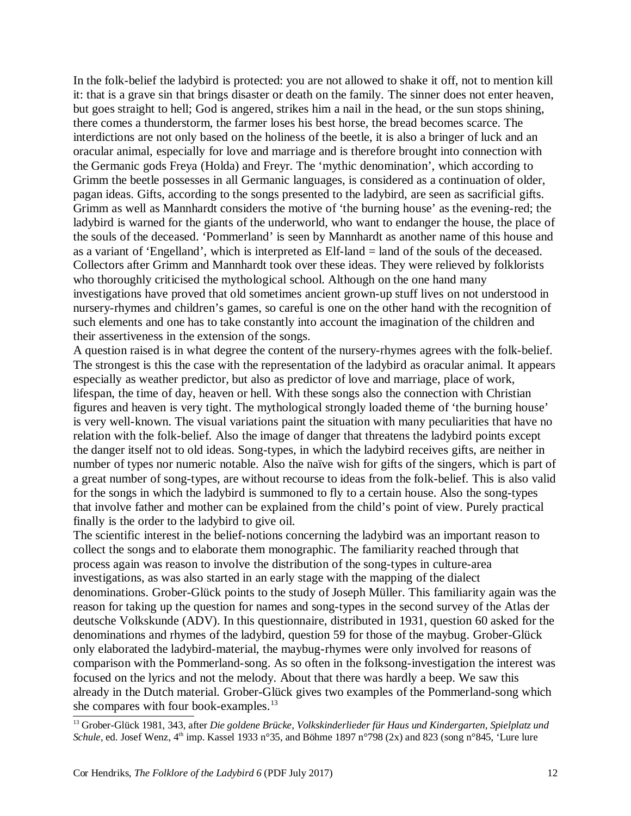In the folk-belief the ladybird is protected: you are not allowed to shake it off, not to mention kill it: that is a grave sin that brings disaster or death on the family. The sinner does not enter heaven, but goes straight to hell; God is angered, strikes him a nail in the head, or the sun stops shining, there comes a thunderstorm, the farmer loses his best horse, the bread becomes scarce. The interdictions are not only based on the holiness of the beetle, it is also a bringer of luck and an oracular animal, especially for love and marriage and is therefore brought into connection with the Germanic gods Freya (Holda) and Freyr. The 'mythic denomination', which according to Grimm the beetle possesses in all Germanic languages, is considered as a continuation of older, pagan ideas. Gifts, according to the songs presented to the ladybird, are seen as sacrificial gifts. Grimm as well as Mannhardt considers the motive of 'the burning house' as the evening-red; the ladybird is warned for the giants of the underworld, who want to endanger the house, the place of the souls of the deceased. 'Pommerland' is seen by Mannhardt as another name of this house and as a variant of 'Engelland', which is interpreted as Elf-land = land of the souls of the deceased. Collectors after Grimm and Mannhardt took over these ideas. They were relieved by folklorists who thoroughly criticised the mythological school. Although on the one hand many investigations have proved that old sometimes ancient grown-up stuff lives on not understood in nursery-rhymes and children's games, so careful is one on the other hand with the recognition of such elements and one has to take constantly into account the imagination of the children and their assertiveness in the extension of the songs.

A question raised is in what degree the content of the nursery-rhymes agrees with the folk-belief. The strongest is this the case with the representation of the ladybird as oracular animal. It appears especially as weather predictor, but also as predictor of love and marriage, place of work, lifespan, the time of day, heaven or hell. With these songs also the connection with Christian figures and heaven is very tight. The mythological strongly loaded theme of 'the burning house' is very well-known. The visual variations paint the situation with many peculiarities that have no relation with the folk-belief. Also the image of danger that threatens the ladybird points except the danger itself not to old ideas. Song-types, in which the ladybird receives gifts, are neither in number of types nor numeric notable. Also the naïve wish for gifts of the singers, which is part of a great number of song-types, are without recourse to ideas from the folk-belief. This is also valid for the songs in which the ladybird is summoned to fly to a certain house. Also the song-types that involve father and mother can be explained from the child's point of view. Purely practical finally is the order to the ladybird to give oil.

The scientific interest in the belief-notions concerning the ladybird was an important reason to collect the songs and to elaborate them monographic. The familiarity reached through that process again was reason to involve the distribution of the song-types in culture-area investigations, as was also started in an early stage with the mapping of the dialect denominations. Grober-Glück points to the study of Joseph Müller. This familiarity again was the reason for taking up the question for names and song-types in the second survey of the Atlas der deutsche Volkskunde (ADV). In this questionnaire, distributed in 1931, question 60 asked for the denominations and rhymes of the ladybird, question 59 for those of the maybug. Grober-Glück only elaborated the ladybird-material, the maybug-rhymes were only involved for reasons of comparison with the Pommerland-song. As so often in the folksong-investigation the interest was focused on the lyrics and not the melody. About that there was hardly a beep. We saw this already in the Dutch material. Grober-Glück gives two examples of the Pommerland-song which she compares with four book-examples.<sup>13</sup>

<sup>13</sup> Grober-Glück 1981, 343, after *Die goldene Brücke, Volkskinderlieder für Haus und Kindergarten, Spielplatz und Schule*, ed. Josef Wenz,  $4<sup>th</sup>$  imp. Kassel 1933 n°35, and Böhme 1897 n°798 (2x) and 823 (song n°845, 'Lure lure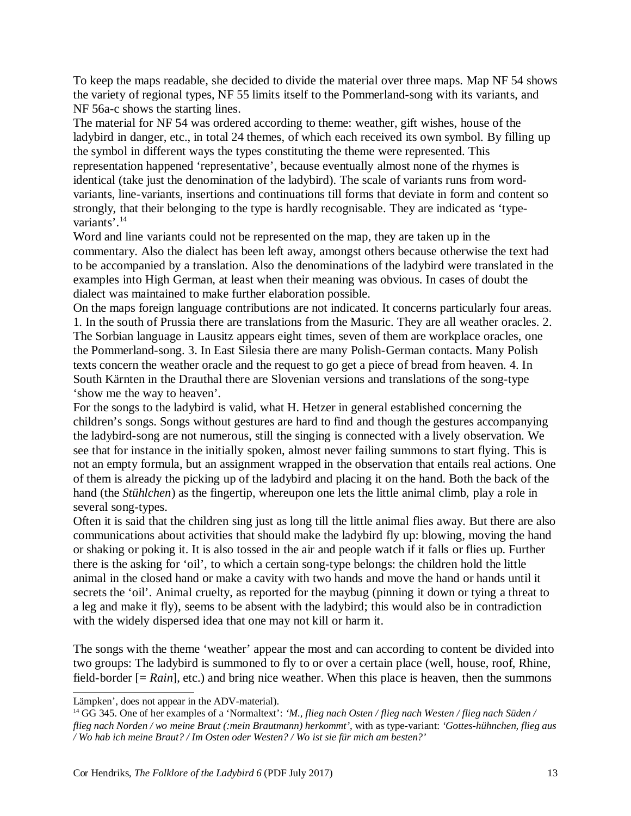To keep the maps readable, she decided to divide the material over three maps. Map NF 54 shows the variety of regional types, NF 55 limits itself to the Pommerland-song with its variants, and NF 56a-c shows the starting lines.

The material for NF 54 was ordered according to theme: weather, gift wishes, house of the ladybird in danger, etc., in total 24 themes, of which each received its own symbol. By filling up the symbol in different ways the types constituting the theme were represented. This representation happened 'representative', because eventually almost none of the rhymes is identical (take just the denomination of the ladybird). The scale of variants runs from wordvariants, line-variants, insertions and continuations till forms that deviate in form and content so strongly, that their belonging to the type is hardly recognisable. They are indicated as 'typevariants'.<sup>14</sup>

Word and line variants could not be represented on the map, they are taken up in the commentary. Also the dialect has been left away, amongst others because otherwise the text had to be accompanied by a translation. Also the denominations of the ladybird were translated in the examples into High German, at least when their meaning was obvious. In cases of doubt the dialect was maintained to make further elaboration possible.

On the maps foreign language contributions are not indicated. It concerns particularly four areas. 1. In the south of Prussia there are translations from the Masuric. They are all weather oracles. 2. The Sorbian language in Lausitz appears eight times, seven of them are workplace oracles, one the Pommerland-song. 3. In East Silesia there are many Polish-German contacts. Many Polish texts concern the weather oracle and the request to go get a piece of bread from heaven. 4. In South Kärnten in the Drauthal there are Slovenian versions and translations of the song-type 'show me the way to heaven'.

For the songs to the ladybird is valid, what H. Hetzer in general established concerning the children's songs. Songs without gestures are hard to find and though the gestures accompanying the ladybird-song are not numerous, still the singing is connected with a lively observation. We see that for instance in the initially spoken, almost never failing summons to start flying. This is not an empty formula, but an assignment wrapped in the observation that entails real actions. One of them is already the picking up of the ladybird and placing it on the hand. Both the back of the hand (the *Stühlchen*) as the fingertip, whereupon one lets the little animal climb, play a role in several song-types.

Often it is said that the children sing just as long till the little animal flies away. But there are also communications about activities that should make the ladybird fly up: blowing, moving the hand or shaking or poking it. It is also tossed in the air and people watch if it falls or flies up. Further there is the asking for 'oil', to which a certain song-type belongs: the children hold the little animal in the closed hand or make a cavity with two hands and move the hand or hands until it secrets the 'oil'. Animal cruelty, as reported for the maybug (pinning it down or tying a threat to a leg and make it fly), seems to be absent with the ladybird; this would also be in contradiction with the widely dispersed idea that one may not kill or harm it.

The songs with the theme 'weather' appear the most and can according to content be divided into two groups: The ladybird is summoned to fly to or over a certain place (well, house, roof, Rhine, field-border [= *Rain*], etc.) and bring nice weather. When this place is heaven, then the summons

Lämpken', does not appear in the ADV-material).

<sup>14</sup> GG 345. One of her examples of a 'Normaltext': *'M., flieg nach Osten / flieg nach Westen / flieg nach Süden / flieg nach Norden / wo meine Braut (:mein Brautmann) herkommt'*, with as type-variant: *'Gottes-hühnchen, flieg aus / Wo hab ich meine Braut? / Im Osten oder Westen? / Wo ist sie für mich am besten?'*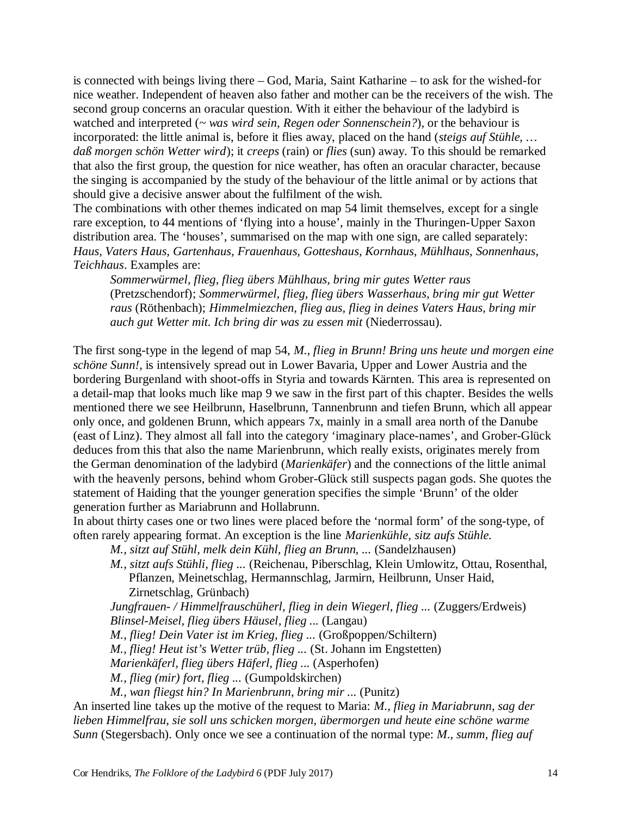is connected with beings living there – God, Maria, Saint Katharine – to ask for the wished-for nice weather. Independent of heaven also father and mother can be the receivers of the wish. The second group concerns an oracular question. With it either the behaviour of the ladybird is watched and interpreted (*~ was wird sein, Regen oder Sonnenschein?*), or the behaviour is incorporated: the little animal is, before it flies away, placed on the hand (*steigs auf Stühle, … daß morgen schön Wetter wird*); it *creeps* (rain) or *flies* (sun) away. To this should be remarked that also the first group, the question for nice weather, has often an oracular character, because the singing is accompanied by the study of the behaviour of the little animal or by actions that should give a decisive answer about the fulfilment of the wish.

The combinations with other themes indicated on map 54 limit themselves, except for a single rare exception, to 44 mentions of 'flying into a house', mainly in the Thuringen-Upper Saxon distribution area. The 'houses', summarised on the map with one sign, are called separately: *Haus, Vaters Haus, Gartenhaus, Frauenhaus, Gotteshaus, Kornhaus, Mühlhaus, Sonnenhaus, Teichhaus*. Examples are:

*Sommerwürmel, flieg, flieg übers Mühlhaus, bring mir gutes Wetter raus* (Pretzschendorf); *Sommerwürmel, flieg, flieg übers Wasserhaus, bring mir gut Wetter raus* (Röthenbach); *Himmelmiezchen, flieg aus, flieg in deines Vaters Haus, bring mir auch gut Wetter mit. Ich bring dir was zu essen mit* (Niederrossau).

The first song-type in the legend of map 54, *M., flieg in Brunn! Bring uns heute und morgen eine schöne Sunn!*, is intensively spread out in Lower Bavaria, Upper and Lower Austria and the bordering Burgenland with shoot-offs in Styria and towards Kärnten. This area is represented on a detail-map that looks much like map 9 we saw in the first part of this chapter. Besides the wells mentioned there we see Heilbrunn, Haselbrunn, Tannenbrunn and tiefen Brunn, which all appear only once, and goldenen Brunn, which appears 7x, mainly in a small area north of the Danube (east of Linz). They almost all fall into the category 'imaginary place-names', and Grober-Glück deduces from this that also the name Marienbrunn, which really exists, originates merely from the German denomination of the ladybird (*Marienkäfer*) and the connections of the little animal with the heavenly persons, behind whom Grober-Glück still suspects pagan gods. She quotes the statement of Haiding that the younger generation specifies the simple 'Brunn' of the older generation further as Mariabrunn and Hollabrunn.

In about thirty cases one or two lines were placed before the 'normal form' of the song-type, of often rarely appearing format. An exception is the line *Marienkühle, sitz aufs Stühle*.

*M., sitzt auf Stühl, melk dein Kühl, flieg an Brunn, ...* (Sandelzhausen)

*M., sitzt aufs Stühli, flieg ...* (Reichenau, Piberschlag, Klein Umlowitz, Ottau, Rosenthal, Pflanzen, Meinetschlag, Hermannschlag, Jarmirn, Heilbrunn, Unser Haid, Zirnetschlag, Grünbach)

*Jungfrauen- / Himmelfrauschüherl, flieg in dein Wiegerl, flieg ...* (Zuggers/Erdweis) *Blinsel-Meisel, flieg übers Häusel, flieg ...* (Langau)

*M., flieg! Dein Vater ist im Krieg, flieg ...* (Großpoppen/Schiltern)

*M., flieg! Heut ist's Wetter trüb, flieg ...* (St. Johann im Engstetten)

*Marienkäferl, flieg übers Häferl, flieg ...* (Asperhofen)

*M., flieg (mir) fort, flieg ...* (Gumpoldskirchen)

*M., wan fliegst hin? In Marienbrunn, bring mir ...* (Punitz)

An inserted line takes up the motive of the request to Maria: *M., flieg in Mariabrunn, sag der lieben Himmelfrau, sie soll uns schicken morgen, übermorgen und heute eine schöne warme Sunn* (Stegersbach). Only once we see a continuation of the normal type: *M., summ, flieg auf*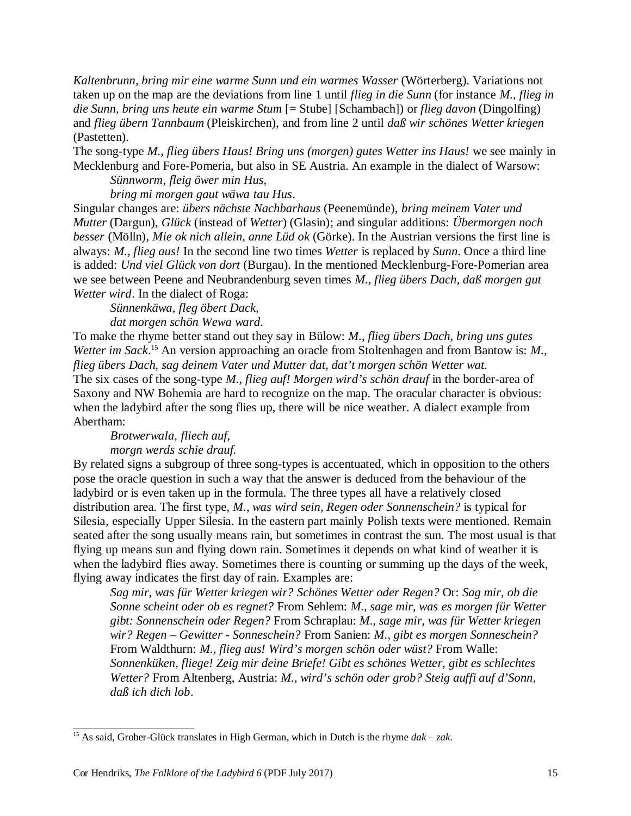*Kaltenbrunn, bring mir eine warme Sunn und ein warmes Wasser* (Wörterberg). Variations not taken up on the map are the deviations from line 1 until *flieg in die Sunn* (for instance *M., flieg in die Sunn, bring uns heute ein warme Stum* [= Stube] [Schambach]) or *flieg davon* (Dingolfing) and *flieg übern Tannbaum* (Pleiskirchen), and from line 2 until *daß wir schönes Wetter kriegen* (Pastetten).

The song-type *M., flieg übers Haus! Bring uns (morgen) gutes Wetter ins Haus!* we see mainly in Mecklenburg and Fore-Pomeria, but also in SE Austria. An example in the dialect of Warsow: *Sünnworm, fleig öwer min Hus,* 

*bring mi morgen gaut wäwa tau Hus*.

Singular changes are: *übers nächste Nachbarhaus* (Peenemünde), *bring meinem Vater und Mutter* (Dargun), *Glück* (instead of *Wetter*) (Glasin); and singular additions: *Übermorgen noch besser* (Mölln), *Mie ok nich allein, anne Lüd ok* (Görke). In the Austrian versions the first line is always: *M., flieg aus!* In the second line two times *Wetter* is replaced by *Sunn*. Once a third line is added: *Und viel Glück von dort* (Burgau). In the mentioned Mecklenburg-Fore-Pomerian area we see between Peene and Neubrandenburg seven times *M., flieg übers Dach, daß morgen gut Wetter wird*. In the dialect of Roga:

*Sünnenkäwa, fleg öbert Dack, dat morgen schön Wewa ward.*

To make the rhyme better stand out they say in Bülow: *M., flieg übers Dach, bring uns gutes Wetter im Sack*. <sup>15</sup> An version approaching an oracle from Stoltenhagen and from Bantow is: *M., flieg übers Dach, sag deinem Vater und Mutter dat, dat't morgen schön Wetter wat.* The six cases of the song-type *M., flieg auf! Morgen wird's schön drauf* in the border-area of Saxony and NW Bohemia are hard to recognize on the map. The oracular character is obvious: when the ladybird after the song flies up, there will be nice weather. A dialect example from Abertham:

*Brotwerwala, fliech auf,* 

*morgn werds schie drauf.*

By related signs a subgroup of three song-types is accentuated, which in opposition to the others pose the oracle question in such a way that the answer is deduced from the behaviour of the ladybird or is even taken up in the formula. The three types all have a relatively closed distribution area. The first type, *M., was wird sein, Regen oder Sonnenschein?* is typical for Silesia, especially Upper Silesia. In the eastern part mainly Polish texts were mentioned. Remain seated after the song usually means rain, but sometimes in contrast the sun. The most usual is that flying up means sun and flying down rain. Sometimes it depends on what kind of weather it is when the ladybird flies away. Sometimes there is counting or summing up the days of the week, flying away indicates the first day of rain. Examples are:

*Sag mir, was für Wetter kriegen wir? Schönes Wetter oder Regen?* Or: *Sag mir, ob die Sonne scheint oder ob es regnet?* From Sehlem: *M., sage mir, was es morgen für Wetter gibt: Sonnenschein oder Regen?* From Schraplau: *M., sage mir, was für Wetter kriegen wir? Regen – Gewitter - Sonneschein?* From Sanien: *M., gibt es morgen Sonneschein?* From Waldthurn: *M., flieg aus! Wird's morgen schön oder wüst?* From Walle: *Sonnenküken, fliege! Zeig mir deine Briefe! Gibt es schönes Wetter, gibt es schlechtes Wetter?* From Altenberg, Austria: *M., wird's schön oder grob? Steig auffi auf d'Sonn, daß ich dich lob*.

<sup>15</sup> As said, Grober-Glück translates in High German, which in Dutch is the rhyme *dak* – *zak*.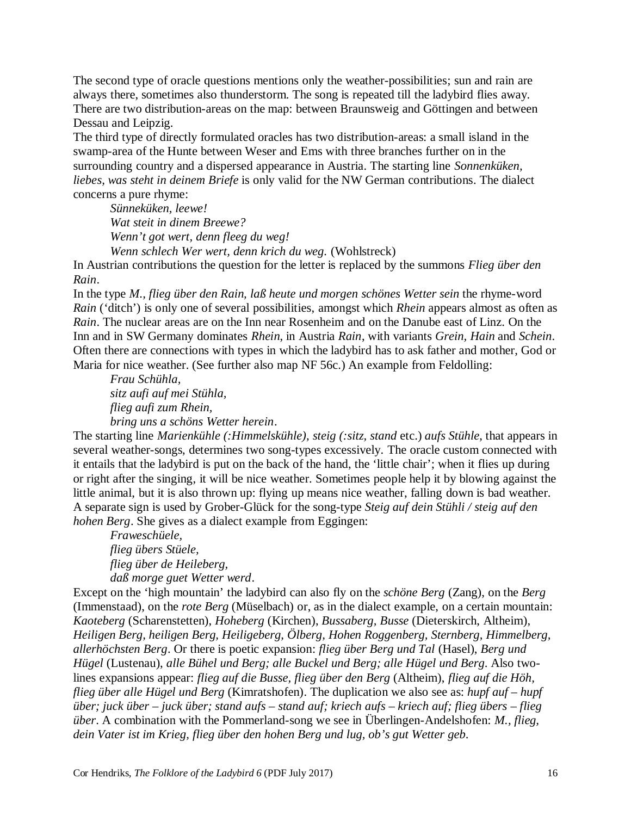The second type of oracle questions mentions only the weather-possibilities; sun and rain are always there, sometimes also thunderstorm. The song is repeated till the ladybird flies away. There are two distribution-areas on the map: between Braunsweig and Göttingen and between Dessau and Leipzig.

The third type of directly formulated oracles has two distribution-areas: a small island in the swamp-area of the Hunte between Weser and Ems with three branches further on in the surrounding country and a dispersed appearance in Austria. The starting line *Sonnenküken, liebes, was steht in deinem Briefe* is only valid for the NW German contributions. The dialect concerns a pure rhyme:

*Sünneküken, leewe! Wat steit in dinem Breewe? Wenn't got wert, denn fleeg du weg! Wenn schlech Wer wert, denn krich du weg.* (Wohlstreck)

In Austrian contributions the question for the letter is replaced by the summons *Flieg über den Rain*.

In the type *M., flieg über den Rain, laß heute und morgen schönes Wetter sein* the rhyme-word *Rain* ('ditch') is only one of several possibilities, amongst which *Rhein* appears almost as often as *Rain*. The nuclear areas are on the Inn near Rosenheim and on the Danube east of Linz. On the Inn and in SW Germany dominates *Rhein*, in Austria *Rain*, with variants *Grein, Hain* and *Schein*. Often there are connections with types in which the ladybird has to ask father and mother, God or Maria for nice weather. (See further also map NF 56c.) An example from Feldolling:

*Frau Schühla, sitz aufi auf mei Stühla, flieg aufi zum Rhein, bring uns a schöns Wetter herein*.

The starting line *Marienkühle (:Himmelskühle), steig (:sitz, stand* etc.) *aufs Stühle*, that appears in several weather-songs, determines two song-types excessively. The oracle custom connected with it entails that the ladybird is put on the back of the hand, the 'little chair'; when it flies up during or right after the singing, it will be nice weather. Sometimes people help it by blowing against the little animal, but it is also thrown up: flying up means nice weather, falling down is bad weather. A separate sign is used by Grober-Glück for the song-type *Steig auf dein Stühli / steig auf den hohen Berg*. She gives as a dialect example from Eggingen:

*Fraweschüele, flieg übers Stüele, flieg über de Heileberg, daß morge guet Wetter werd*.

Except on the 'high mountain' the ladybird can also fly on the *schöne Berg* (Zang), on the *Berg* (Immenstaad), on the *rote Berg* (Müselbach) or, as in the dialect example, on a certain mountain: *Kaoteberg* (Scharenstetten), *Hoheberg* (Kirchen), *Bussaberg, Busse* (Dieterskirch, Altheim), *Heiligen Berg, heiligen Berg, Heiligeberg, Ölberg, Hohen Roggenberg, Sternberg, Himmelberg, allerhöchsten Berg*. Or there is poetic expansion: *flieg über Berg und Tal* (Hasel), *Berg und Hügel* (Lustenau), *alle Bühel und Berg; alle Buckel und Berg; alle Hügel und Berg*. Also twolines expansions appear: *flieg auf die Busse, flieg über den Berg* (Altheim), *flieg auf die Höh, flieg über alle Hügel und Berg* (Kimratshofen). The duplication we also see as: *hupf auf – hupf über; juck über – juck über; stand aufs – stand auf; kriech aufs – kriech auf; flieg übers – flieg über*. A combination with the Pommerland-song we see in Überlingen-Andelshofen: *M., flieg, dein Vater ist im Krieg, flieg über den hohen Berg und lug, ob's gut Wetter geb*.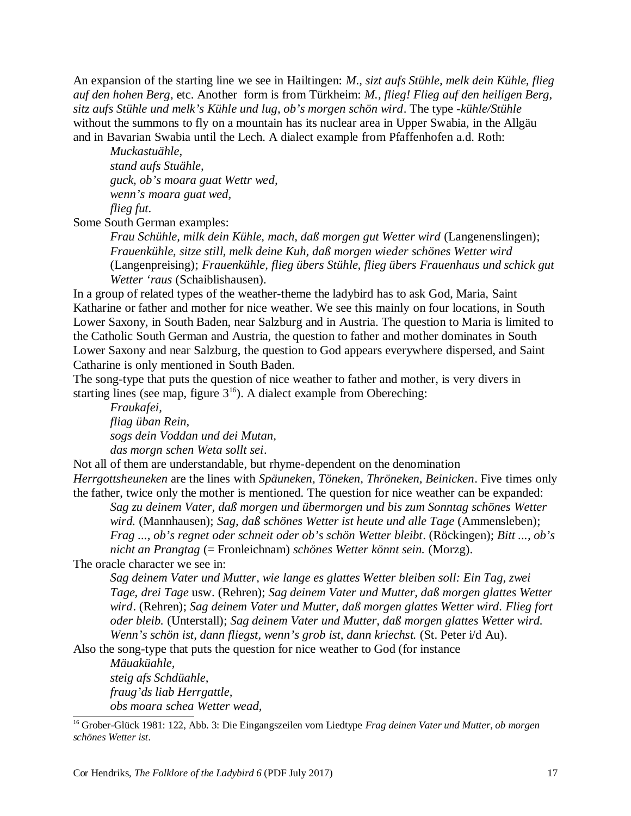An expansion of the starting line we see in Hailtingen: *M., sizt aufs Stühle, melk dein Kühle, flieg auf den hohen Berg*, etc. Another form is from Türkheim: *M., flieg! Flieg auf den heiligen Berg, sitz aufs Stühle und melk's Kühle und lug, ob's morgen schön wird*. The type *-kühle/Stühle* without the summons to fly on a mountain has its nuclear area in Upper Swabia, in the Allgäu and in Bavarian Swabia until the Lech. A dialect example from Pfaffenhofen a.d. Roth:

*Muckastuähle, stand aufs Stuähle, guck, ob's moara guat Wettr wed, wenn's moara guat wed, flieg fut*.

Some South German examples:

*Frau Schühle, milk dein Kühle, mach, daß morgen gut Wetter wird* (Langenenslingen); *Frauenkühle, sitze still, melk deine Kuh, daß morgen wieder schönes Wetter wird* (Langenpreising); *Frauenkühle, flieg übers Stühle, flieg übers Frauenhaus und schick gut Wetter 'raus* (Schaiblishausen).

In a group of related types of the weather-theme the ladybird has to ask God, Maria, Saint Katharine or father and mother for nice weather. We see this mainly on four locations, in South Lower Saxony, in South Baden, near Salzburg and in Austria. The question to Maria is limited to the Catholic South German and Austria, the question to father and mother dominates in South Lower Saxony and near Salzburg, the question to God appears everywhere dispersed, and Saint Catharine is only mentioned in South Baden.

The song-type that puts the question of nice weather to father and mother, is very divers in starting lines (see map, figure  $3^{16}$ ). A dialect example from Obereching:

*Fraukafei, fliag üban Rein, sogs dein Voddan und dei Mutan, das morgn schen Weta sollt sei*.

Not all of them are understandable, but rhyme-dependent on the denomination *Herrgottsheuneken* are the lines with *Späuneken, Töneken, Thröneken, Beinicken*. Five times only the father, twice only the mother is mentioned. The question for nice weather can be expanded:

*Sag zu deinem Vater, daß morgen und übermorgen und bis zum Sonntag schönes Wetter wird.* (Mannhausen); *Sag, daß schönes Wetter ist heute und alle Tage* (Ammensleben); *Frag ..., ob's regnet oder schneit oder ob's schön Wetter bleibt*. (Röckingen); *Bitt ..., ob's nicht an Prangtag* (= Fronleichnam) *schönes Wetter könnt sein.* (Morzg).

The oracle character we see in:

*Sag deinem Vater und Mutter, wie lange es glattes Wetter bleiben soll: Ein Tag, zwei Tage, drei Tage* usw. (Rehren); *Sag deinem Vater und Mutter, daß morgen glattes Wetter wird*. (Rehren); *Sag deinem Vater und Mutter, daß morgen glattes Wetter wird. Flieg fort oder bleib.* (Unterstall); *Sag deinem Vater und Mutter, daß morgen glattes Wetter wird. Wenn's schön ist, dann fliegst, wenn's grob ist, dann kriechst.* (St. Peter i/d Au).

Also the song-type that puts the question for nice weather to God (for instance

*Mäuaküahle, steig afs Schdüahle, fraug'ds liab Herrgattle, obs moara schea Wetter wead,*

<sup>16</sup> Grober-Glück 1981: 122, Abb. 3: Die Eingangszeilen vom Liedtype *Frag deinen Vater und Mutter, ob morgen schönes Wetter ist*.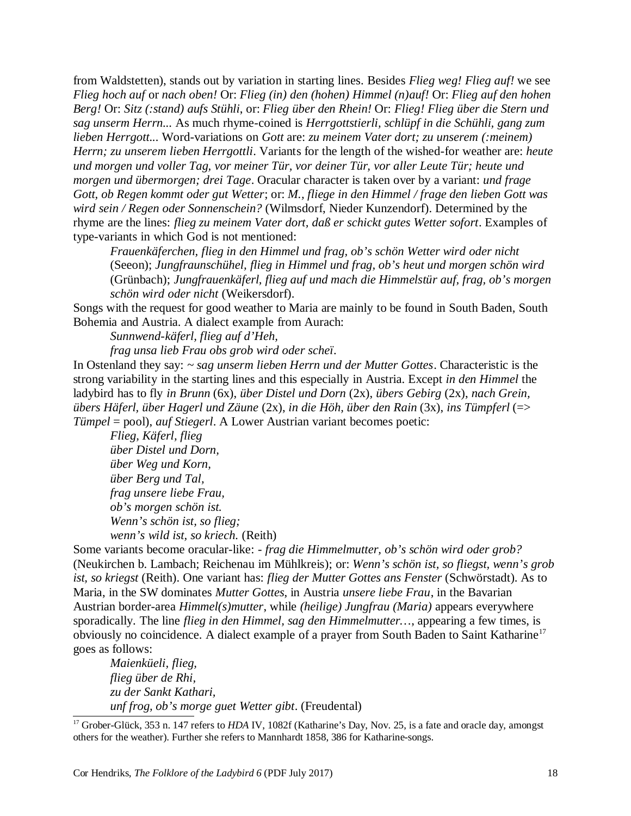from Waldstetten), stands out by variation in starting lines. Besides *Flieg weg! Flieg auf!* we see *Flieg hoch auf* or *nach oben!* Or: *Flieg (in) den (hohen) Himmel (n)auf!* Or: *Flieg auf den hohen Berg!* Or: *Sitz (:stand) aufs Stühli*, or: *Flieg über den Rhein!* Or: *Flieg! Flieg über die Stern und sag unserm Herrn...* As much rhyme-coined is *Herrgottstierli, schlüpf in die Schühli, gang zum lieben Herrgott...* Word-variations on *Gott* are: *zu meinem Vater dort; zu unserem (:meinem) Herrn; zu unserem lieben Herrgottli*. Variants for the length of the wished-for weather are: *heute und morgen und voller Tag, vor meiner Tür, vor deiner Tür, vor aller Leute Tür; heute und morgen und übermorgen; drei Tage*. Oracular character is taken over by a variant: *und frage Gott, ob Regen kommt oder gut Wetter*; or: *M., fliege in den Himmel / frage den lieben Gott was wird sein / Regen oder Sonnenschein?* (Wilmsdorf, Nieder Kunzendorf). Determined by the rhyme are the lines: *flieg zu meinem Vater dort, daß er schickt gutes Wetter sofort*. Examples of type-variants in which God is not mentioned:

*Frauenkäferchen, flieg in den Himmel und frag, ob's schön Wetter wird oder nicht* (Seeon); *Jungfraunschühel, flieg in Himmel und frag, ob's heut und morgen schön wird* (Grünbach); *Jungfrauenkäferl, flieg auf und mach die Himmelstür auf, frag, ob's morgen schön wird oder nicht* (Weikersdorf).

Songs with the request for good weather to Maria are mainly to be found in South Baden, South Bohemia and Austria. A dialect example from Aurach:

*Sunnwend-käferl, flieg auf d'Heh,* 

*frag unsa lieb Frau obs grob wird oder scheï*.

In Ostenland they say: *~ sag unserm lieben Herrn und der Mutter Gottes*. Characteristic is the strong variability in the starting lines and this especially in Austria. Except *in den Himmel* the ladybird has to fly *in Brunn* (6x), *über Distel und Dorn* (2x), *übers Gebirg* (2x), *nach Grein, übers Häferl, über Hagerl und Zäune* (2x), *in die Höh, über den Rain* (3x), *ins Tümpferl* (=> *Tümpel* = pool), *auf Stiegerl*. A Lower Austrian variant becomes poetic:

*Flieg, Käferl, flieg über Distel und Dorn, über Weg und Korn, über Berg und Tal, frag unsere liebe Frau, ob's morgen schön ist. Wenn's schön ist, so flieg; wenn's wild ist, so kriech.* (Reith)

Some variants become oracular-like: *- frag die Himmelmutter, ob's schön wird oder grob?* (Neukirchen b. Lambach; Reichenau im Mühlkreis); or: *Wenn's schön ist, so fliegst, wenn's grob ist, so kriegst* (Reith). One variant has: *flieg der Mutter Gottes ans Fenster* (Schwörstadt). As to Maria, in the SW dominates *Mutter Gottes*, in Austria *unsere liebe Frau*, in the Bavarian Austrian border-area *Himmel(s)mutter*, while *(heilige) Jungfrau (Maria)* appears everywhere sporadically. The line *flieg in den Himmel, sag den Himmelmutter…*, appearing a few times, is obviously no coincidence. A dialect example of a prayer from South Baden to Saint Katharine<sup>17</sup> goes as follows:

*Maienküeli, flieg, flieg über de Rhi, zu der Sankt Kathari, unf frog, ob's morge guet Wetter gibt*. (Freudental)

<sup>17</sup> Grober-Glück, 353 n. 147 refers to *HDA IV*, 1082f (Katharine's Day, Nov. 25, is a fate and oracle day, amongst others for the weather). Further she refers to Mannhardt 1858, 386 for Katharine-songs.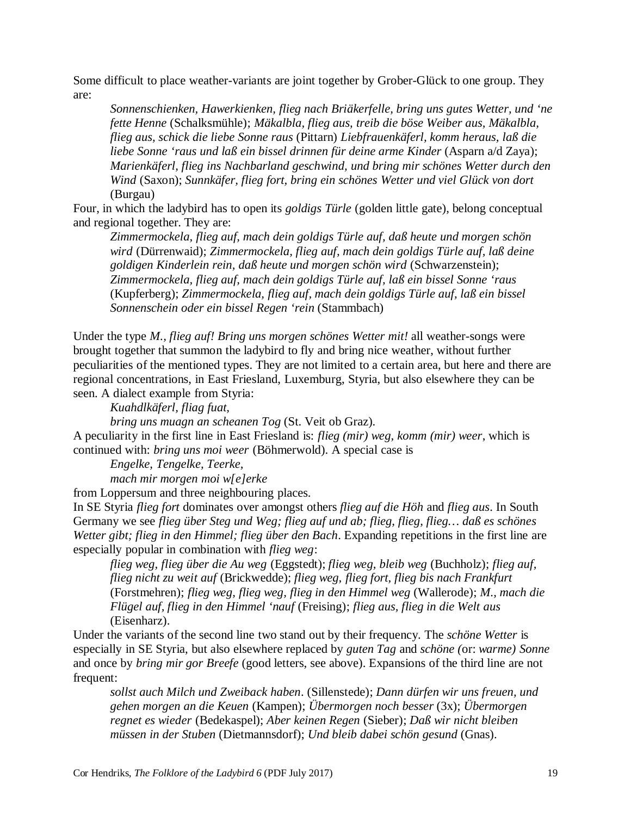Some difficult to place weather-variants are joint together by Grober-Glück to one group. They are:

*Sonnenschienken, Hawerkienken, flieg nach Briäkerfelle, bring uns gutes Wetter, und 'ne fette Henne* (Schalksmühle); *Mäkalbla, flieg aus, treib die böse Weiber aus, Mäkalbla, flieg aus, schick die liebe Sonne raus* (Pittarn) *Liebfrauenkäferl, komm heraus, laß die liebe Sonne 'raus und laß ein bissel drinnen für deine arme Kinder* (Asparn a/d Zaya); *Marienkäferl, flieg ins Nachbarland geschwind, und bring mir schönes Wetter durch den Wind* (Saxon); *Sunnkäfer, flieg fort, bring ein schönes Wetter und viel Glück von dort* (Burgau)

Four, in which the ladybird has to open its *goldigs Türle* (golden little gate), belong conceptual and regional together. They are:

*Zimmermockela, flieg auf, mach dein goldigs Türle auf, daß heute und morgen schön wird* (Dürrenwaid); *Zimmermockela, flieg auf, mach dein goldigs Türle auf, laß deine goldigen Kinderlein rein, daß heute und morgen schön wird* (Schwarzenstein); *Zimmermockela, flieg auf, mach dein goldigs Türle auf, laß ein bissel Sonne 'raus* (Kupferberg); *Zimmermockela, flieg auf, mach dein goldigs Türle auf, laß ein bissel Sonnenschein oder ein bissel Regen 'rein* (Stammbach)

Under the type *M., flieg auf! Bring uns morgen schönes Wetter mit!* all weather-songs were brought together that summon the ladybird to fly and bring nice weather, without further peculiarities of the mentioned types. They are not limited to a certain area, but here and there are regional concentrations, in East Friesland, Luxemburg, Styria, but also elsewhere they can be seen. A dialect example from Styria:

*Kuahdlkäferl, fliag fuat,* 

*bring uns muagn an scheanen Tog* (St. Veit ob Graz).

A peculiarity in the first line in East Friesland is: *flieg (mir) weg, komm (mir) weer*, which is continued with: *bring uns moi weer* (Böhmerwold). A special case is

*Engelke, Tengelke, Teerke,* 

*mach mir morgen moi w[e]erke*

from Loppersum and three neighbouring places.

In SE Styria *flieg fort* dominates over amongst others *flieg auf die Höh* and *flieg aus*. In South Germany we see *flieg über Steg und Weg; flieg auf und ab; flieg, flieg, flieg… daß es schönes Wetter gibt; flieg in den Himmel; flieg über den Bach*. Expanding repetitions in the first line are especially popular in combination with *flieg weg*:

*flieg weg, flieg über die Au weg* (Eggstedt); *flieg weg, bleib weg* (Buchholz); *flieg auf, flieg nicht zu weit auf* (Brickwedde); *flieg weg, flieg fort, flieg bis nach Frankfurt* (Forstmehren); *flieg weg, flieg weg, flieg in den Himmel weg* (Wallerode); *M., mach die Flügel auf, flieg in den Himmel 'nauf* (Freising); *flieg aus, flieg in die Welt aus* (Eisenharz).

Under the variants of the second line two stand out by their frequency. The *schöne Wetter* is especially in SE Styria, but also elsewhere replaced by *guten Tag* and *schöne (*or: *warme) Sonne* and once by *bring mir gor Breefe* (good letters, see above). Expansions of the third line are not frequent:

*sollst auch Milch und Zweiback haben*. (Sillenstede); *Dann dürfen wir uns freuen, und gehen morgen an die Keuen* (Kampen); *Übermorgen noch besser* (3x); *Übermorgen regnet es wieder* (Bedekaspel); *Aber keinen Regen* (Sieber); *Daß wir nicht bleiben müssen in der Stuben* (Dietmannsdorf); *Und bleib dabei schön gesund* (Gnas).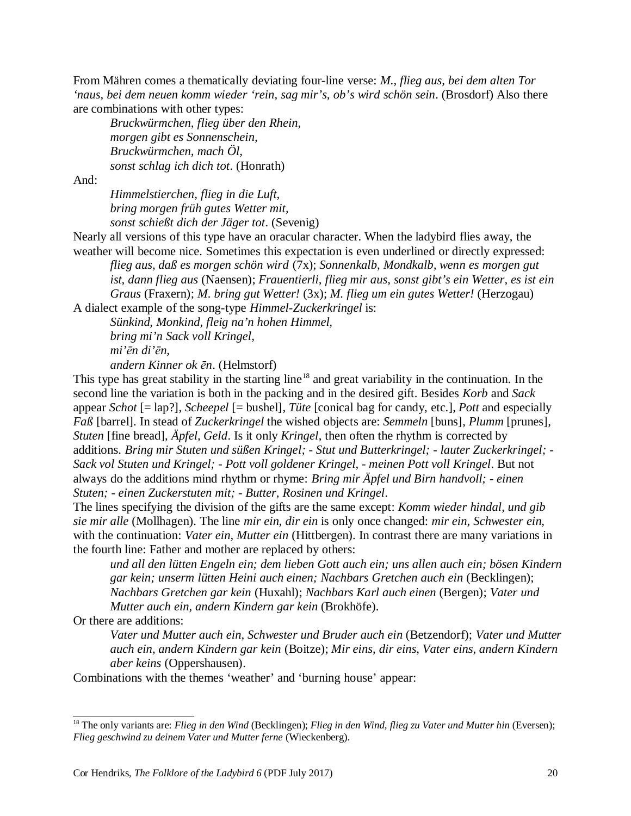From Mähren comes a thematically deviating four-line verse: *M., flieg aus, bei dem alten Tor 'naus, bei dem neuen komm wieder 'rein, sag mir's, ob's wird schön sein*. (Brosdorf) Also there are combinations with other types:

*Bruckwürmchen, flieg über den Rhein, morgen gibt es Sonnenschein, Bruckwürmchen, mach Öl, sonst schlag ich dich tot*. (Honrath)

And:

*Himmelstierchen, flieg in die Luft, bring morgen früh gutes Wetter mit, sonst schießt dich der Jäger tot*. (Sevenig)

Nearly all versions of this type have an oracular character. When the ladybird flies away, the weather will become nice. Sometimes this expectation is even underlined or directly expressed:

*flieg aus, daß es morgen schön wird* (7x); *Sonnenkalb, Mondkalb, wenn es morgen gut ist, dann flieg aus* (Naensen); *Frauentierli, flieg mir aus, sonst gibt's ein Wetter, es ist ein Graus* (Fraxern); *M. bring gut Wetter!* (3x); *M. flieg um ein gutes Wetter!* (Herzogau)

A dialect example of the song-type *Himmel-Zuckerkringel* is:

*Sünkind, Monkind, fleig na'n hohen Himmel, bring mi'n Sack voll Kringel,* 

*mi'ēn di'ēn,* 

*andern Kinner ok ēn*. (Helmstorf)

This type has great stability in the starting line<sup>18</sup> and great variability in the continuation. In the second line the variation is both in the packing and in the desired gift. Besides *Korb* and *Sack* appear *Schot* [= lap?]*, Scheepel* [= bushel]*, Tüte* [conical bag for candy, etc.], *Pott* and especially *Faß* [barrel]. In stead of *Zuckerkringel* the wished objects are: *Semmeln* [buns]*, Plumm* [prunes]*, Stuten* [fine bread], *Äpfel, Geld*. Is it only *Kringel*, then often the rhythm is corrected by additions. *Bring mir Stuten und süßen Kringel; - Stut und Butterkringel; - lauter Zuckerkringel; - Sack vol Stuten und Kringel; - Pott voll goldener Kringel, - meinen Pott voll Kringel*. But not always do the additions mind rhythm or rhyme: *Bring mir Äpfel und Birn handvoll; - einen Stuten; - einen Zuckerstuten mit; - Butter, Rosinen und Kringel*.

The lines specifying the division of the gifts are the same except: *Komm wieder hindal, und gib sie mir alle* (Mollhagen). The line *mir ein, dir ein* is only once changed: *mir ein, Schwester ein*, with the continuation: *Vater ein, Mutter ein* (Hittbergen). In contrast there are many variations in the fourth line: Father and mother are replaced by others:

*und all den lütten Engeln ein; dem lieben Gott auch ein; uns allen auch ein; bösen Kindern gar kein; unserm lütten Heini auch einen; Nachbars Gretchen auch ein* (Becklingen); *Nachbars Gretchen gar kein* (Huxahl); *Nachbars Karl auch einen* (Bergen); *Vater und Mutter auch ein, andern Kindern gar kein* (Brokhöfe).

Or there are additions:

*Vater und Mutter auch ein, Schwester und Bruder auch ein* (Betzendorf); *Vater und Mutter auch ein, andern Kindern gar kein* (Boitze); *Mir eins, dir eins, Vater eins, andern Kindern aber keins* (Oppershausen).

Combinations with the themes 'weather' and 'burning house' appear:

<sup>18</sup> The only variants are: *Flieg in den Wind* (Becklingen); *Flieg in den Wind, flieg zu Vater und Mutter hin* (Eversen); *Flieg geschwind zu deinem Vater und Mutter ferne* (Wieckenberg).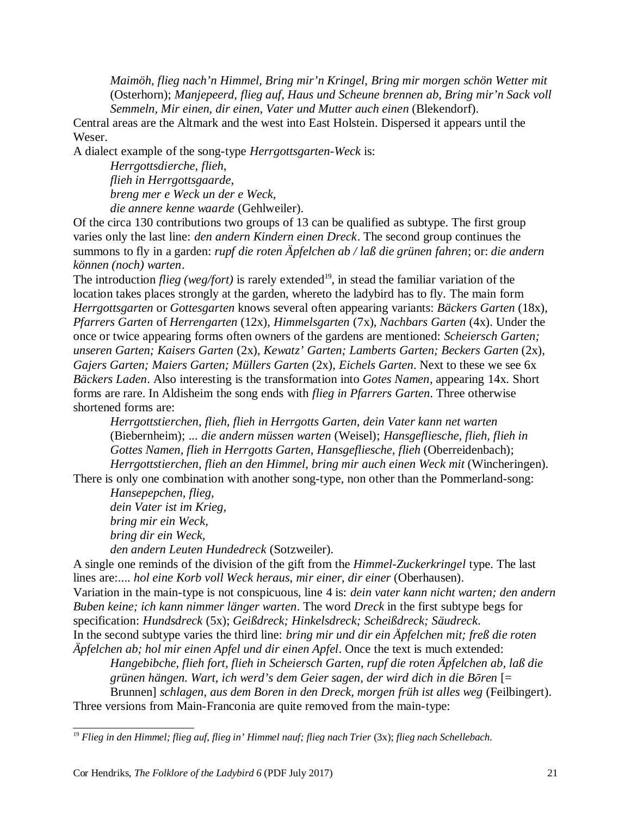*Maimöh, flieg nach'n Himmel, Bring mir'n Kringel, Bring mir morgen schön Wetter mit* (Osterhorn); *Manjepeerd, flieg auf, Haus und Scheune brennen ab, Bring mir'n Sack voll Semmeln, Mir einen, dir einen, Vater und Mutter auch einen* (Blekendorf).

Central areas are the Altmark and the west into East Holstein. Dispersed it appears until the Weser.

A dialect example of the song-type *Herrgottsgarten-Weck* is:

*Herrgottsdierche, flieh, flieh in Herrgottsgaarde, breng mer e Weck un der e Weck, die annere kenne waarde* (Gehlweiler).

Of the circa 130 contributions two groups of 13 can be qualified as subtype. The first group varies only the last line: *den andern Kindern einen Dreck*. The second group continues the summons to fly in a garden: *rupf die roten Äpfelchen ab / laß die grünen fahren*; or: *die andern können (noch) warten*.

The introduction *flieg (weg/fort)* is rarely extended<sup>19</sup>, in stead the familiar variation of the location takes places strongly at the garden, whereto the ladybird has to fly. The main form *Herrgottsgarten* or *Gottesgarten* knows several often appearing variants: *Bäckers Garten* (18x), *Pfarrers Garten* of *Herrengarten* (12x), *Himmelsgarten* (7x), *Nachbars Garten* (4x). Under the once or twice appearing forms often owners of the gardens are mentioned: *Scheiersch Garten; unseren Garten; Kaisers Garten* (2x), *Kewatz' Garten; Lamberts Garten; Beckers Garten* (2x), *Gajers Garten; Maiers Garten; Müllers Garten* (2x), *Eichels Garten*. Next to these we see 6x *Bäckers Laden*. Also interesting is the transformation into *Gotes Namen*, appearing 14x. Short forms are rare. In Aldisheim the song ends with *flieg in Pfarrers Garten*. Three otherwise shortened forms are:

*Herrgottstierchen, flieh, flieh in Herrgotts Garten, dein Vater kann net warten* (Biebernheim); *... die andern müssen warten* (Weisel); *Hansgefliesche, flieh, flieh in Gottes Namen, flieh in Herrgotts Garten, Hansgefliesche, flieh* (Oberreidenbach); *Herrgottstierchen, flieh an den Himmel, bring mir auch einen Weck mit* (Wincheringen).

There is only one combination with another song-type, non other than the Pommerland-song:

*Hansepepchen, flieg, dein Vater ist im Krieg, bring mir ein Weck, bring dir ein Weck,* 

*den andern Leuten Hundedreck* (Sotzweiler).

A single one reminds of the division of the gift from the *Himmel-Zuckerkringel* type. The last lines are:*.... hol eine Korb voll Weck heraus, mir einer, dir einer* (Oberhausen).

Variation in the main-type is not conspicuous, line 4 is: *dein vater kann nicht warten; den andern Buben keine; ich kann nimmer länger warten*. The word *Dreck* in the first subtype begs for specification: *Hundsdreck* (5x); *Geißdreck; Hinkelsdreck; Scheißdreck; Säudreck*.

In the second subtype varies the third line: *bring mir und dir ein Äpfelchen mit; freß die roten Äpfelchen ab; hol mir einen Apfel und dir einen Apfel*. Once the text is much extended:

*Hangebibche, flieh fort, flieh in Scheiersch Garten, rupf die roten Äpfelchen ab, laß die grünen hängen. Wart, ich werd's dem Geier sagen, der wird dich in die Bōren* [= Brunnen] *schlagen, aus dem Boren in den Dreck, morgen früh ist alles weg* (Feilbingert).

Three versions from Main-Franconia are quite removed from the main-type:

<sup>19</sup> *Flieg in den Himmel; flieg auf, flieg in' Himmel nauf; flieg nach Trier* (3x); *flieg nach Schellebach*.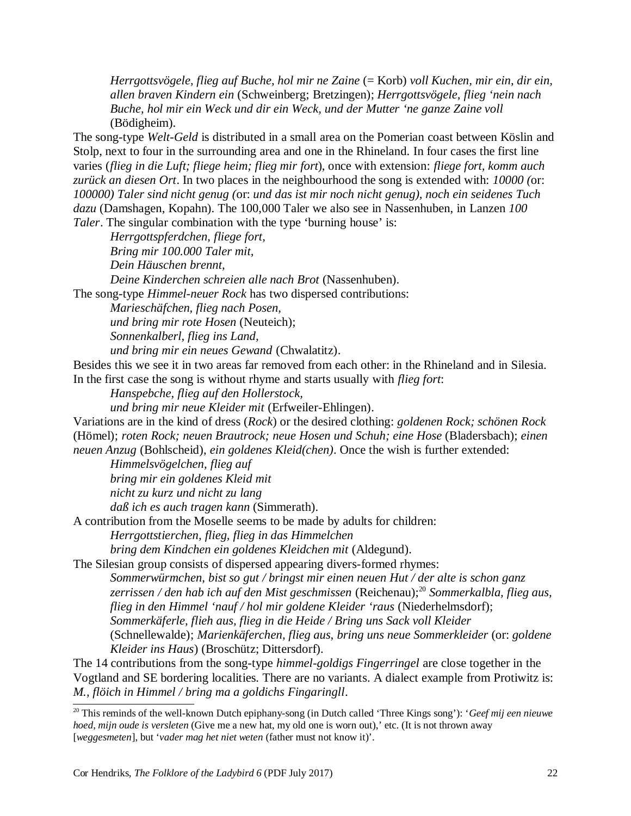*Herrgottsvögele, flieg auf Buche, hol mir ne Zaine* (= Korb) *voll Kuchen, mir ein, dir ein, allen braven Kindern ein* (Schweinberg; Bretzingen); *Herrgottsvögele, flieg 'nein nach Buche, hol mir ein Weck und dir ein Weck, und der Mutter 'ne ganze Zaine voll* (Bödigheim).

The song-type *Welt-Geld* is distributed in a small area on the Pomerian coast between Köslin and Stolp, next to four in the surrounding area and one in the Rhineland. In four cases the first line varies (*flieg in die Luft; fliege heim; flieg mir fort*), once with extension: *fliege fort, komm auch zurück an diesen Ort*. In two places in the neighbourhood the song is extended with: *10000 (*or: *100000) Taler sind nicht genug (*or: *und das ist mir noch nicht genug), noch ein seidenes Tuch dazu* (Damshagen, Kopahn). The 100,000 Taler we also see in Nassenhuben, in Lanzen *100 Taler*. The singular combination with the type 'burning house' is:

*Herrgottspferdchen, fliege fort, Bring mir 100.000 Taler mit, Dein Häuschen brennt, Deine Kinderchen schreien alle nach Brot* (Nassenhuben).

The song-type *Himmel-neuer Rock* has two dispersed contributions:

*Marieschäfchen, flieg nach Posen,* 

*und bring mir rote Hosen* (Neuteich);

*Sonnenkalberl, flieg ins Land,* 

*und bring mir ein neues Gewand* (Chwalatitz).

Besides this we see it in two areas far removed from each other: in the Rhineland and in Silesia. In the first case the song is without rhyme and starts usually with *flieg fort*:

*Hanspebche, flieg auf den Hollerstock,* 

*und bring mir neue Kleider mit* (Erfweiler-Ehlingen).

Variations are in the kind of dress (*Rock*) or the desired clothing: *goldenen Rock; schönen Rock* (Hömel); *roten Rock; neuen Brautrock; neue Hosen und Schuh; eine Hose* (Bladersbach); *einen neuen Anzug* (Bohlscheid), *ein goldenes Kleid(chen)*. Once the wish is further extended:

*Himmelsvögelchen, flieg auf* 

*bring mir ein goldenes Kleid mit* 

*nicht zu kurz und nicht zu lang* 

*daß ich es auch tragen kann* (Simmerath).

A contribution from the Moselle seems to be made by adults for children:

*Herrgottstierchen, flieg, flieg in das Himmelchen* 

*bring dem Kindchen ein goldenes Kleidchen mit* (Aldegund).

The Silesian group consists of dispersed appearing divers-formed rhymes:

*Sommerwürmchen, bist so gut / bringst mir einen neuen Hut / der alte is schon ganz zerrissen / den hab ich auf den Mist geschmissen* (Reichenau);<sup>20</sup> *Sommerkalbla, flieg aus, flieg in den Himmel 'nauf / hol mir goldene Kleider 'raus* (Niederhelmsdorf); *Sommerkäferle, flieh aus, flieg in die Heide / Bring uns Sack voll Kleider* (Schnellewalde); *Marienkäferchen, flieg aus, bring uns neue Sommerkleider* (or: *goldene Kleider ins Haus*) (Broschütz; Dittersdorf).

The 14 contributions from the song-type *himmel-goldigs Fingerringel* are close together in the Vogtland and SE bordering localities. There are no variants. A dialect example from Protiwitz is: *M., flöich in Himmel / bring ma a goldichs Fingaringll*.

<sup>20</sup> This reminds of the well-known Dutch epiphany-song (in Dutch called 'Three Kings song'): '*Geef mij een nieuwe hoed, mijn oude is versleten* (Give me a new hat, my old one is worn out),' etc. (It is not thrown away [*weggesmeten*], but '*vader mag het niet weten* (father must not know it)'.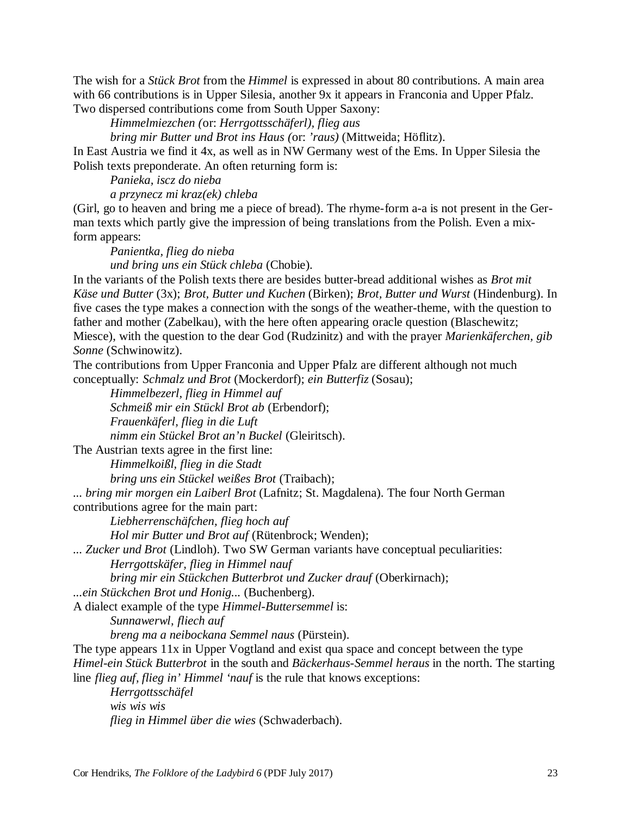The wish for a *Stück Brot* from the *Himmel* is expressed in about 80 contributions. A main area with 66 contributions is in Upper Silesia, another 9x it appears in Franconia and Upper Pfalz. Two dispersed contributions come from South Upper Saxony:

*Himmelmiezchen (*or: *Herrgottsschäferl), flieg aus* 

*bring mir Butter und Brot ins Haus (*or: *'raus)* (Mittweida; Höflitz).

In East Austria we find it 4x, as well as in NW Germany west of the Ems. In Upper Silesia the Polish texts preponderate. An often returning form is:

*Panieka, iscz do nieba* 

*a przynecz mi kraz(ek) chleba*

(Girl, go to heaven and bring me a piece of bread). The rhyme-form a-a is not present in the German texts which partly give the impression of being translations from the Polish. Even a mixform appears:

*Panientka, flieg do nieba und bring uns ein Stück chleba* (Chobie).

In the variants of the Polish texts there are besides butter-bread additional wishes as *Brot mit Käse und Butter* (3x); *Brot, Butter und Kuchen* (Birken); *Brot, Butter und Wurst* (Hindenburg). In five cases the type makes a connection with the songs of the weather-theme, with the question to father and mother (Zabelkau), with the here often appearing oracle question (Blaschewitz; Miesce), with the question to the dear God (Rudzinitz) and with the prayer *Marienkäferchen, gib Sonne* (Schwinowitz).

The contributions from Upper Franconia and Upper Pfalz are different although not much conceptually: *Schmalz und Brot* (Mockerdorf); *ein Butterfiz* (Sosau);

*Himmelbezerl, flieg in Himmel auf Schmeiß mir ein Stückl Brot ab* (Erbendorf); *Frauenkäferl, flieg in die Luft nimm ein Stückel Brot an'n Buckel* (Gleiritsch).

The Austrian texts agree in the first line:

*Himmelkoißl, flieg in die Stadt* 

*bring uns ein Stückel weißes Brot* (Traibach);

*... bring mir morgen ein Laiberl Brot* (Lafnitz; St. Magdalena). The four North German contributions agree for the main part:

*Liebherrenschäfchen, flieg hoch auf* 

*Hol mir Butter und Brot auf* (Rütenbrock; Wenden);

*... Zucker und Brot* (Lindloh). Two SW German variants have conceptual peculiarities:

*Herrgottskäfer, flieg in Himmel nauf* 

*bring mir ein Stückchen Butterbrot und Zucker drauf* (Oberkirnach);

*...ein Stückchen Brot und Honig...* (Buchenberg).

A dialect example of the type *Himmel-Buttersemmel* is:

*Sunnawerwl, fliech auf* 

*breng ma a neibockana Semmel naus* (Pürstein).

The type appears 11x in Upper Vogtland and exist qua space and concept between the type *Himel-ein Stück Butterbrot* in the south and *Bäckerhaus-Semmel heraus* in the north. The starting line *flieg auf, flieg in' Himmel 'nauf* is the rule that knows exceptions:

*Herrgottsschäfel wis wis wis flieg in Himmel über die wies* (Schwaderbach).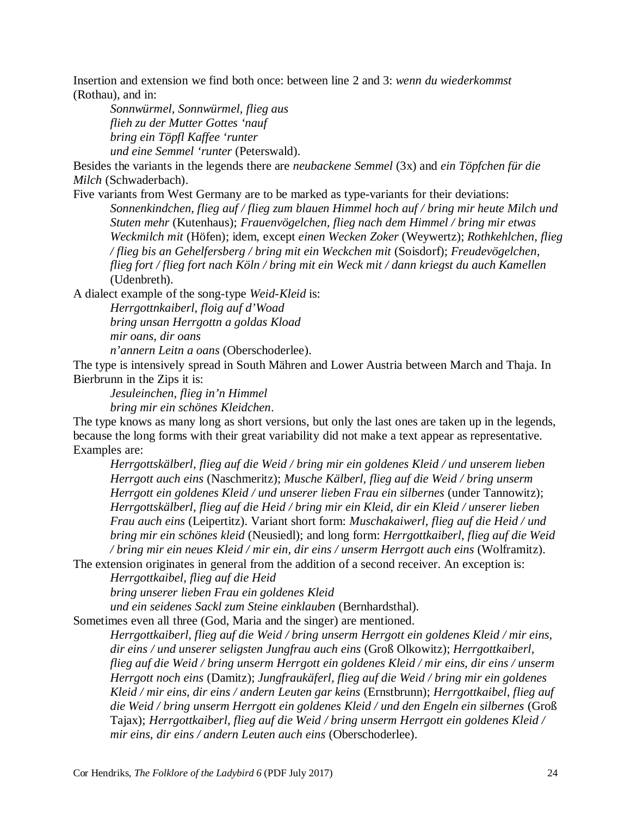Insertion and extension we find both once: between line 2 and 3: *wenn du wiederkommst* (Rothau), and in:

*Sonnwürmel, Sonnwürmel, flieg aus flieh zu der Mutter Gottes 'nauf bring ein Töpfl Kaffee 'runter und eine Semmel 'runter* (Peterswald).

Besides the variants in the legends there are *neubackene Semmel* (3x) and *ein Töpfchen für die Milch* (Schwaderbach).

Five variants from West Germany are to be marked as type-variants for their deviations: *Sonnenkindchen, flieg auf / flieg zum blauen Himmel hoch auf / bring mir heute Milch und Stuten mehr* (Kutenhaus); *Frauenvögelchen, flieg nach dem Himmel / bring mir etwas Weckmilch mit* (Höfen); idem, except *einen Wecken Zoker* (Weywertz); *Rothkehlchen, flieg / flieg bis an Gehelfersberg / bring mit ein Weckchen mit* (Soisdorf); *Freudevögelchen, flieg fort / flieg fort nach Köln / bring mit ein Weck mit / dann kriegst du auch Kamellen* (Udenbreth).

A dialect example of the song-type *Weid-Kleid* is:

*Herrgottnkaiberl, floig auf d'Woad bring unsan Herrgottn a goldas Kload mir oans, dir oans* 

*n'annern Leitn a oans* (Oberschoderlee).

The type is intensively spread in South Mähren and Lower Austria between March and Thaja. In Bierbrunn in the Zips it is:

*Jesuleinchen, flieg in'n Himmel bring mir ein schönes Kleidchen*.

The type knows as many long as short versions, but only the last ones are taken up in the legends, because the long forms with their great variability did not make a text appear as representative. Examples are:

*Herrgottskälberl, flieg auf die Weid / bring mir ein goldenes Kleid / und unserem lieben Herrgott auch eins* (Naschmeritz); *Musche Kälberl, flieg auf die Weid / bring unserm Herrgott ein goldenes Kleid / und unserer lieben Frau ein silbernes* (under Tannowitz); *Herrgottskälberl, flieg auf die Heid / bring mir ein Kleid, dir ein Kleid / unserer lieben Frau auch eins* (Leipertitz). Variant short form: *Muschakaiwerl, flieg auf die Heid / und bring mir ein schönes kleid* (Neusiedl); and long form: *Herrgottkaiberl, flieg auf die Weid / bring mir ein neues Kleid / mir ein, dir eins / unserm Herrgott auch eins* (Wolframitz).

The extension originates in general from the addition of a second receiver. An exception is: *Herrgottkaibel, flieg auf die Heid* 

*bring unserer lieben Frau ein goldenes Kleid* 

*und ein seidenes Sackl zum Steine einklauben* (Bernhardsthal).

Sometimes even all three (God, Maria and the singer) are mentioned.

*Herrgottkaiberl, flieg auf die Weid / bring unserm Herrgott ein goldenes Kleid / mir eins, dir eins / und unserer seligsten Jungfrau auch eins* (Groß Olkowitz); *Herrgottkaiberl, flieg auf die Weid / bring unserm Herrgott ein goldenes Kleid / mir eins, dir eins / unserm Herrgott noch eins* (Damitz); *Jungfraukäferl, flieg auf die Weid / bring mir ein goldenes Kleid / mir eins, dir eins / andern Leuten gar keins* (Ernstbrunn); *Herrgottkaibel, flieg auf die Weid / bring unserm Herrgott ein goldenes Kleid / und den Engeln ein silbernes* (Groß Tajax); *Herrgottkaiberl, flieg auf die Weid / bring unserm Herrgott ein goldenes Kleid / mir eins, dir eins / andern Leuten auch eins* (Oberschoderlee).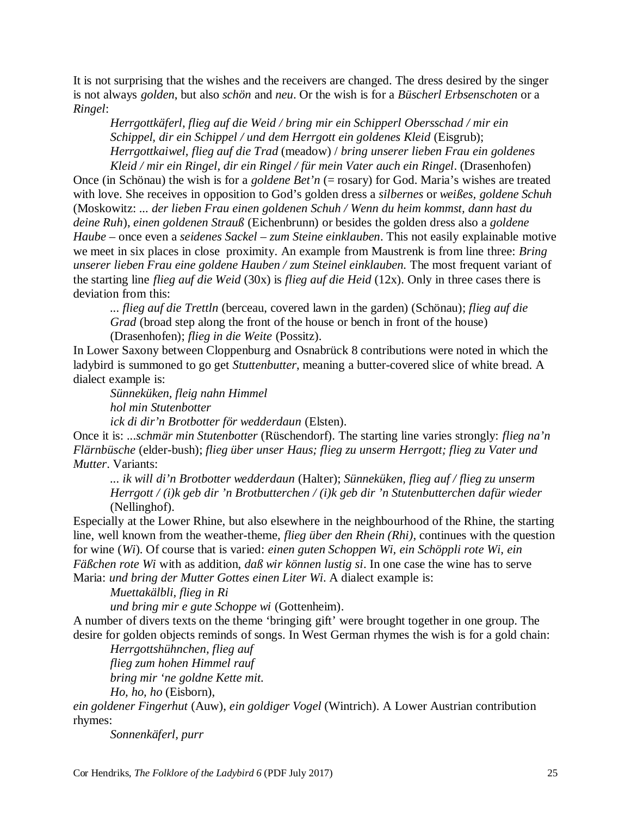It is not surprising that the wishes and the receivers are changed. The dress desired by the singer is not always *golden*, but also *schön* and *neu*. Or the wish is for a *Büscherl Erbsenschoten* or a *Ringel*:

*Herrgottkäferl, flieg auf die Weid / bring mir ein Schipperl Obersschad / mir ein Schippel, dir ein Schippel / und dem Herrgott ein goldenes Kleid* (Eisgrub); *Herrgottkaiwel, flieg auf die Trad* (meadow) / *bring unserer lieben Frau ein goldenes Kleid / mir ein Ringel, dir ein Ringel / für mein Vater auch ein Ringel*. (Drasenhofen)

Once (in Schönau) the wish is for a *goldene Bet'n* (= rosary) for God. Maria's wishes are treated with love. She receives in opposition to God's golden dress a *silbernes* or *weißes, goldene Schuh* (Moskowitz: *... der lieben Frau einen goldenen Schuh / Wenn du heim kommst, dann hast du deine Ruh*), *einen goldenen Strauß* (Eichenbrunn) or besides the golden dress also a *goldene Haube* – once even a *seidenes Sackel – zum Steine einklauben*. This not easily explainable motive we meet in six places in close proximity. An example from Maustrenk is from line three: *Bring unserer lieben Frau eine goldene Hauben / zum Steinel einklauben.* The most frequent variant of the starting line *flieg auf die Weid* (30x) is *flieg auf die Heid* (12x). Only in three cases there is deviation from this:

*... flieg auf die Trettln* (berceau, covered lawn in the garden) (Schönau); *flieg auf die Grad* (broad step along the front of the house or bench in front of the house) (Drasenhofen); *flieg in die Weite* (Possitz).

In Lower Saxony between Cloppenburg and Osnabrück 8 contributions were noted in which the ladybird is summoned to go get *Stuttenbutter*, meaning a butter-covered slice of white bread. A dialect example is:

*Sünneküken, fleig nahn Himmel hol min Stutenbotter ick di dir'n Brotbotter för wedderdaun* (Elsten).

Once it is: *...schmär min Stutenbotter* (Rüschendorf). The starting line varies strongly: *flieg na'n Flärnbüsche* (elder-bush); *flieg über unser Haus; flieg zu unserm Herrgott; flieg zu Vater und Mutter*. Variants:

*... ik will di'n Brotbotter wedderdaun* (Halter); *Sünneküken, flieg auf / flieg zu unserm Herrgott / (i)k geb dir 'n Brotbutterchen / (i)k geb dir 'n Stutenbutterchen dafür wieder* (Nellinghof).

Especially at the Lower Rhine, but also elsewhere in the neighbourhood of the Rhine, the starting line, well known from the weather-theme, *flieg über den Rhein (Rhi)*, continues with the question for wine (*Wi*). Of course that is varied: *einen guten Schoppen Wi, ein Schöppli rote Wi, ein Fäßchen rote Wi* with as addition, *daß wir können lustig si*. In one case the wine has to serve Maria: *und bring der Mutter Gottes einen Liter Wi*. A dialect example is:

*Muettakälbli, flieg in Ri* 

*und bring mir e gute Schoppe wi* (Gottenheim).

A number of divers texts on the theme 'bringing gift' were brought together in one group. The desire for golden objects reminds of songs. In West German rhymes the wish is for a gold chain:

*Herrgottshühnchen, flieg auf* 

*flieg zum hohen Himmel rauf bring mir 'ne goldne Kette mit.* 

*Ho, ho, ho* (Eisborn),

*ein goldener Fingerhut* (Auw), *ein goldiger Vogel* (Wintrich). A Lower Austrian contribution rhymes:

*Sonnenkäferl, purr*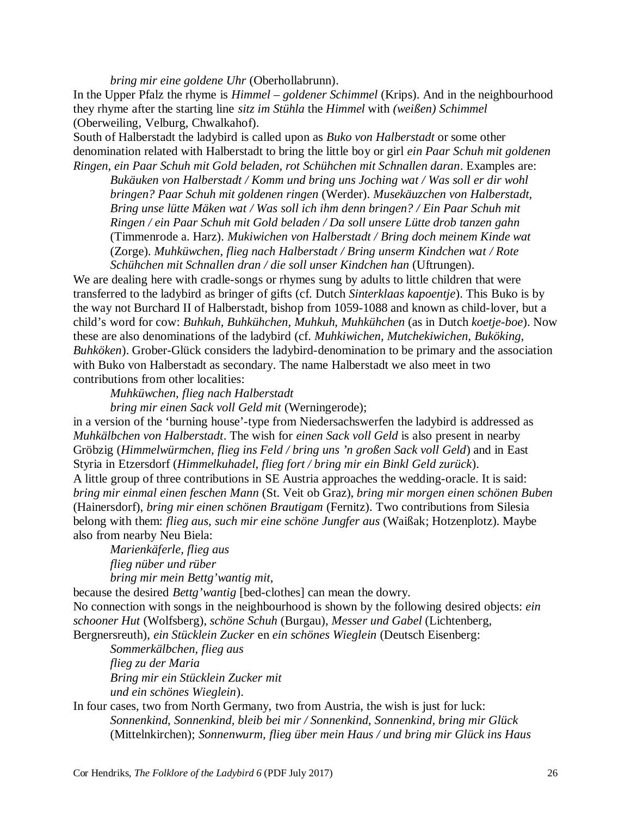*bring mir eine goldene Uhr* (Oberhollabrunn).

In the Upper Pfalz the rhyme is *Himmel – goldener Schimmel* (Krips). And in the neighbourhood they rhyme after the starting line *sitz im Stühla* the *Himmel* with *(weißen) Schimmel* (Oberweiling, Velburg, Chwalkahof).

South of Halberstadt the ladybird is called upon as *Buko von Halberstadt* or some other denomination related with Halberstadt to bring the little boy or girl *ein Paar Schuh mit goldenen Ringen, ein Paar Schuh mit Gold beladen, rot Schühchen mit Schnallen daran*. Examples are:

*Bukäuken von Halberstadt / Komm und bring uns Joching wat / Was soll er dir wohl bringen? Paar Schuh mit goldenen ringen* (Werder). *Musekäuzchen von Halberstadt, Bring unse lütte Mäken wat / Was soll ich ihm denn bringen? / Ein Paar Schuh mit Ringen / ein Paar Schuh mit Gold beladen / Da soll unsere Lütte drob tanzen gahn* (Timmenrode a. Harz). *Mukiwichen von Halberstadt / Bring doch meinem Kinde wat* (Zorge). *Muhküwchen, flieg nach Halberstadt / Bring unserm Kindchen wat / Rote Schühchen mit Schnallen dran / die soll unser Kindchen han* (Uftrungen).

We are dealing here with cradle-songs or rhymes sung by adults to little children that were transferred to the ladybird as bringer of gifts (cf. Dutch *Sinterklaas kapoentje*). This Buko is by the way not Burchard II of Halberstadt, bishop from 1059-1088 and known as child-lover, but a child's word for cow: *Buhkuh, Buhkühchen, Muhkuh, Muhkühchen* (as in Dutch *koetje-boe*). Now these are also denominations of the ladybird (cf. *Muhkiwichen, Mutchekiwichen, Buköking, Buhköken*). Grober-Glück considers the ladybird-denomination to be primary and the association with Buko von Halberstadt as secondary. The name Halberstadt we also meet in two contributions from other localities:

*Muhküwchen, flieg nach Halberstadt* 

*bring mir einen Sack voll Geld mit* (Werningerode);

in a version of the 'burning house'-type from Niedersachswerfen the ladybird is addressed as *Muhkälbchen von Halberstadt*. The wish for *einen Sack voll Geld* is also present in nearby Gröbzig (*Himmelwürmchen, flieg ins Feld / bring uns 'n großen Sack voll Geld*) and in East Styria in Etzersdorf (*Himmelkuhadel, flieg fort / bring mir ein Binkl Geld zurück*).

A little group of three contributions in SE Austria approaches the wedding-oracle. It is said: *bring mir einmal einen feschen Mann* (St. Veit ob Graz), *bring mir morgen einen schönen Buben* (Hainersdorf), *bring mir einen schönen Brautigam* (Fernitz). Two contributions from Silesia belong with them: *flieg aus, such mir eine schöne Jungfer aus* (Waißak; Hotzenplotz). Maybe also from nearby Neu Biela:

*Marienkäferle, flieg aus flieg nüber und rüber bring mir mein Bettg'wantig mit*,

because the desired *Bettg'wantig* [bed-clothes] can mean the dowry. No connection with songs in the neighbourhood is shown by the following desired objects: *ein schooner Hut* (Wolfsberg), *schöne Schuh* (Burgau), *Messer und Gabel* (Lichtenberg, Bergnersreuth), *ein Stücklein Zucker* en *ein schönes Wieglein* (Deutsch Eisenberg:

*Sommerkälbchen, flieg aus flieg zu der Maria Bring mir ein Stücklein Zucker mit und ein schönes Wieglein*).

#### In four cases, two from North Germany, two from Austria, the wish is just for luck: *Sonnenkind, Sonnenkind, bleib bei mir / Sonnenkind, Sonnenkind, bring mir Glück* (Mittelnkirchen); *Sonnenwurm, flieg über mein Haus / und bring mir Glück ins Haus*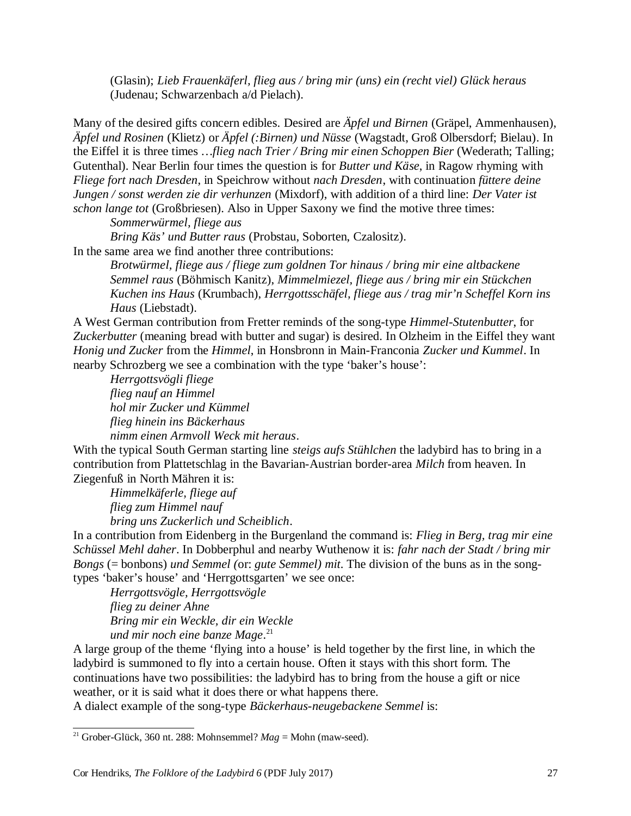(Glasin); *Lieb Frauenkäferl, flieg aus / bring mir (uns) ein (recht viel) Glück heraus* (Judenau; Schwarzenbach a/d Pielach).

Many of the desired gifts concern edibles. Desired are *Äpfel und Birnen* (Gräpel, Ammenhausen), *Äpfel und Rosinen* (Klietz) or *Äpfel (:Birnen) und Nüsse* (Wagstadt, Groß Olbersdorf; Bielau). In the Eiffel it is three times *…flieg nach Trier / Bring mir einen Schoppen Bier* (Wederath; Talling; Gutenthal). Near Berlin four times the question is for *Butter und Käse*, in Ragow rhyming with *Fliege fort nach Dresden*, in Speichrow without *nach Dresden*, with continuation *füttere deine Jungen / sonst werden zie dir verhunzen* (Mixdorf), with addition of a third line: *Der Vater ist schon lange tot* (Großbriesen). Also in Upper Saxony we find the motive three times:

*Sommerwürmel, fliege aus* 

*Bring Käs' und Butter raus* (Probstau, Soborten, Czalositz).

In the same area we find another three contributions:

*Brotwürmel, fliege aus / fliege zum goldnen Tor hinaus / bring mir eine altbackene Semmel raus* (Böhmisch Kanitz), *Mimmelmiezel, fliege aus / bring mir ein Stückchen Kuchen ins Haus* (Krumbach), *Herrgottsschäfel, fliege aus / trag mir'n Scheffel Korn ins Haus* (Liebstadt).

A West German contribution from Fretter reminds of the song-type *Himmel-Stutenbutter*, for *Zuckerbutter* (meaning bread with butter and sugar) is desired. In Olzheim in the Eiffel they want *Honig und Zucker* from the *Himmel*, in Honsbronn in Main-Franconia *Zucker und Kummel*. In nearby Schrozberg we see a combination with the type 'baker's house':

*Herrgottsvögli fliege flieg nauf an Himmel hol mir Zucker und Kümmel flieg hinein ins Bäckerhaus nimm einen Armvoll Weck mit heraus*.

With the typical South German starting line *steigs aufs Stühlchen* the ladybird has to bring in a contribution from Plattetschlag in the Bavarian-Austrian border-area *Milch* from heaven. In Ziegenfuß in North Mähren it is:

*Himmelkäferle, fliege auf flieg zum Himmel nauf bring uns Zuckerlich und Scheiblich*.

In a contribution from Eidenberg in the Burgenland the command is: *Flieg in Berg, trag mir eine Schüssel Mehl daher*. In Dobberphul and nearby Wuthenow it is: *fahr nach der Stadt / bring mir Bongs* (= bonbons) *und Semmel (*or: *gute Semmel) mit*. The division of the buns as in the songtypes 'baker's house' and 'Herrgottsgarten' we see once:

*Herrgottsvögle, Herrgottsvögle flieg zu deiner Ahne Bring mir ein Weckle, dir ein Weckle und mir noch eine banze Mage*. 21

A large group of the theme 'flying into a house' is held together by the first line, in which the ladybird is summoned to fly into a certain house. Often it stays with this short form. The continuations have two possibilities: the ladybird has to bring from the house a gift or nice weather, or it is said what it does there or what happens there.

A dialect example of the song-type *Bäckerhaus-neugebackene Semmel* is:

<sup>&</sup>lt;sup>21</sup> Grober-Glück, 360 nt. 288: Mohnsemmel?  $Mag =$  Mohn (maw-seed).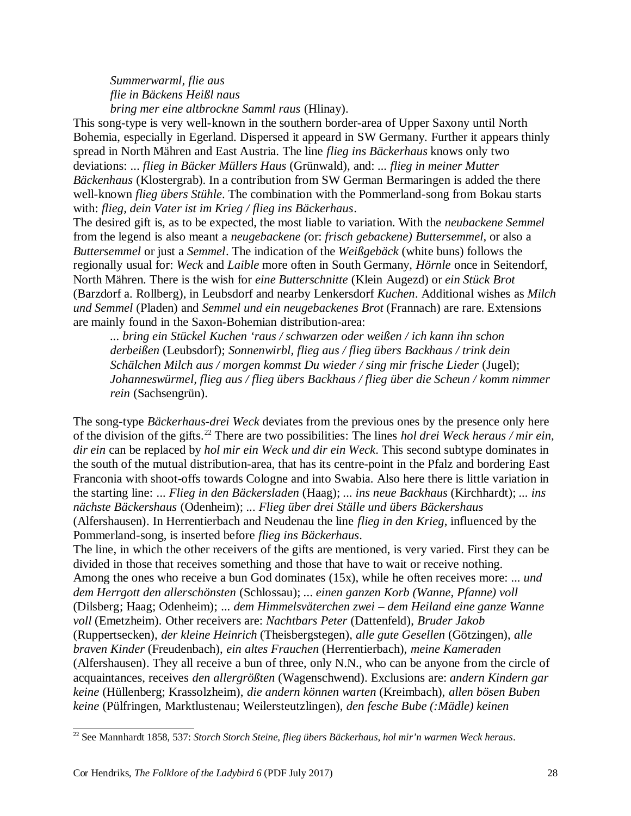*Summerwarml, flie aus flie in Bäckens Heißl naus bring mer eine altbrockne Samml raus* (Hlinay).

This song-type is very well-known in the southern border-area of Upper Saxony until North Bohemia, especially in Egerland. Dispersed it appeard in SW Germany. Further it appears thinly spread in North Mähren and East Austria. The line *flieg ins Bäckerhaus* knows only two deviations: *... flieg in Bäcker Müllers Haus* (Grünwald), and: *... flieg in meiner Mutter Bäckenhaus* (Klostergrab). In a contribution from SW German Bermaringen is added the there well-known *flieg übers Stühle*. The combination with the Pommerland-song from Bokau starts with: *flieg, dein Vater ist im Krieg / flieg ins Bäckerhaus*.

The desired gift is, as to be expected, the most liable to variation. With the *neubackene Semmel* from the legend is also meant a *neugebackene (*or: *frisch gebackene) Buttersemmel*, or also a *Buttersemmel* or just a *Semmel*. The indication of the *Weißgebäck* (white buns) follows the regionally usual for: *Weck* and *Laible* more often in South Germany, *Hörnle* once in Seitendorf, North Mähren. There is the wish for *eine Butterschnitte* (Klein Augezd) or *ein Stück Brot* (Barzdorf a. Rollberg), in Leubsdorf and nearby Lenkersdorf *Kuchen*. Additional wishes as *Milch und Semmel* (Pladen) and *Semmel und ein neugebackenes Brot* (Frannach) are rare. Extensions are mainly found in the Saxon-Bohemian distribution-area:

*... bring ein Stückel Kuchen 'raus / schwarzen oder weißen / ich kann ihn schon derbeißen* (Leubsdorf); *Sonnenwirbl, flieg aus / flieg übers Backhaus / trink dein Schälchen Milch aus / morgen kommst Du wieder / sing mir frische Lieder* (Jugel); *Johanneswürmel, flieg aus / flieg übers Backhaus / flieg über die Scheun / komm nimmer rein* (Sachsengrün).

The song-type *Bäckerhaus-drei Weck* deviates from the previous ones by the presence only here of the division of the gifts.<sup>22</sup> There are two possibilities: The lines *hol drei Weck heraus / mir ein, dir ein* can be replaced by *hol mir ein Weck und dir ein Weck*. This second subtype dominates in the south of the mutual distribution-area, that has its centre-point in the Pfalz and bordering East Franconia with shoot-offs towards Cologne and into Swabia. Also here there is little variation in the starting line: *... Flieg in den Bäckersladen* (Haag); *... ins neue Backhaus* (Kirchhardt); *... ins nächste Bäckershaus* (Odenheim); *... Flieg über drei Ställe und übers Bäckershaus*

(Alfershausen). In Herrentierbach and Neudenau the line *flieg in den Krieg*, influenced by the Pommerland-song, is inserted before *flieg ins Bäckerhaus*.

The line, in which the other receivers of the gifts are mentioned, is very varied. First they can be divided in those that receives something and those that have to wait or receive nothing. Among the ones who receive a bun God dominates (15x), while he often receives more: *... und dem Herrgott den allerschönsten* (Schlossau); *... einen ganzen Korb (Wanne, Pfanne) voll* (Dilsberg; Haag; Odenheim); *... dem Himmelsväterchen zwei – dem Heiland eine ganze Wanne voll* (Emetzheim). Other receivers are: *Nachtbars Peter* (Dattenfeld), *Bruder Jakob* (Ruppertsecken), *der kleine Heinrich* (Theisbergstegen), *alle gute Gesellen* (Götzingen), *alle braven Kinder* (Freudenbach), *ein altes Frauchen* (Herrentierbach), *meine Kameraden* (Alfershausen). They all receive a bun of three, only N.N., who can be anyone from the circle of acquaintances, receives *den allergrößten* (Wagenschwend). Exclusions are: *andern Kindern gar keine* (Hüllenberg; Krassolzheim), *die andern können warten* (Kreimbach), *allen bösen Buben keine* (Pülfringen, Marktlustenau; Weilersteutzlingen), *den fesche Bube (:Mädle) keinen*

<sup>22</sup> See Mannhardt 1858, 537: *Storch Storch Steine, flieg übers Bäckerhaus, hol mir'n warmen Weck heraus*.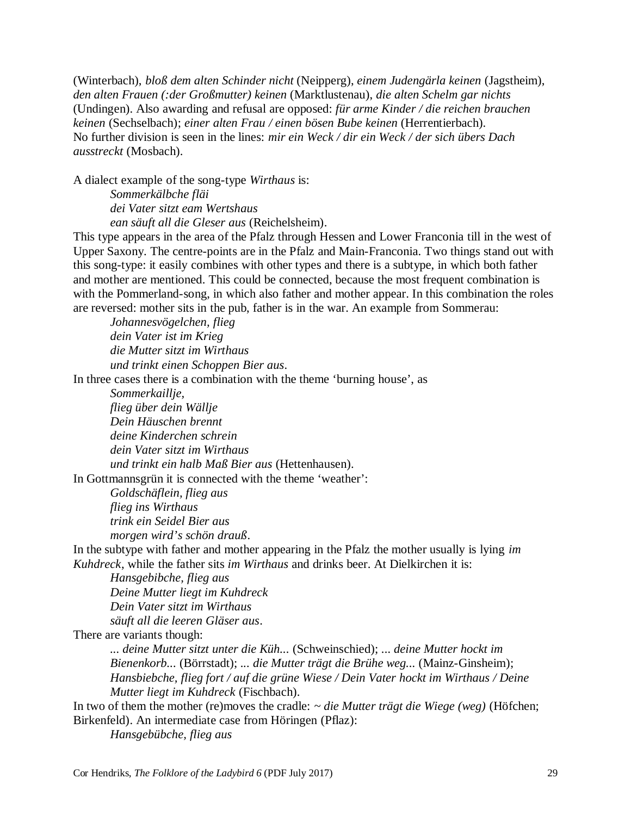(Winterbach), *bloß dem alten Schinder nicht* (Neipperg), *einem Judengärla keinen* (Jagstheim), *den alten Frauen (:der Großmutter) keinen* (Marktlustenau), *die alten Schelm gar nichts* (Undingen). Also awarding and refusal are opposed: *für arme Kinder / die reichen brauchen keinen* (Sechselbach); *einer alten Frau / einen bösen Bube keinen* (Herrentierbach). No further division is seen in the lines: *mir ein Weck / dir ein Weck / der sich übers Dach ausstreckt* (Mosbach).

A dialect example of the song-type *Wirthaus* is:

*Sommerkälbche fläi dei Vater sitzt eam Wertshaus ean säuft all die Gleser aus* (Reichelsheim).

This type appears in the area of the Pfalz through Hessen and Lower Franconia till in the west of Upper Saxony. The centre-points are in the Pfalz and Main-Franconia. Two things stand out with this song-type: it easily combines with other types and there is a subtype, in which both father and mother are mentioned. This could be connected, because the most frequent combination is with the Pommerland-song, in which also father and mother appear. In this combination the roles are reversed: mother sits in the pub, father is in the war. An example from Sommerau:

*Johannesvögelchen, flieg dein Vater ist im Krieg die Mutter sitzt im Wirthaus und trinkt einen Schoppen Bier aus*.

In three cases there is a combination with the theme 'burning house', as

*Sommerkaillje, flieg über dein Wällje Dein Häuschen brennt deine Kinderchen schrein dein Vater sitzt im Wirthaus und trinkt ein halb Maß Bier aus* (Hettenhausen).

In Gottmannsgrün it is connected with the theme 'weather':

*Goldschäflein, flieg aus flieg ins Wirthaus trink ein Seidel Bier aus morgen wird's schön drauß*.

In the subtype with father and mother appearing in the Pfalz the mother usually is lying *im Kuhdreck*, while the father sits *im Wirthaus* and drinks beer. At Dielkirchen it is:

*Hansgebibche, flieg aus Deine Mutter liegt im Kuhdreck Dein Vater sitzt im Wirthaus säuft all die leeren Gläser aus*.

There are variants though:

*... deine Mutter sitzt unter die Küh...* (Schweinschied); *... deine Mutter hockt im Bienenkorb...* (Börrstadt); *... die Mutter trägt die Brühe weg...* (Mainz-Ginsheim); *Hansbiebche, flieg fort / auf die grüne Wiese / Dein Vater hockt im Wirthaus / Deine Mutter liegt im Kuhdreck* (Fischbach).

In two of them the mother (re)moves the cradle: *~ die Mutter trägt die Wiege (weg)* (Höfchen; Birkenfeld). An intermediate case from Höringen (Pflaz):

*Hansgebübche, flieg aus*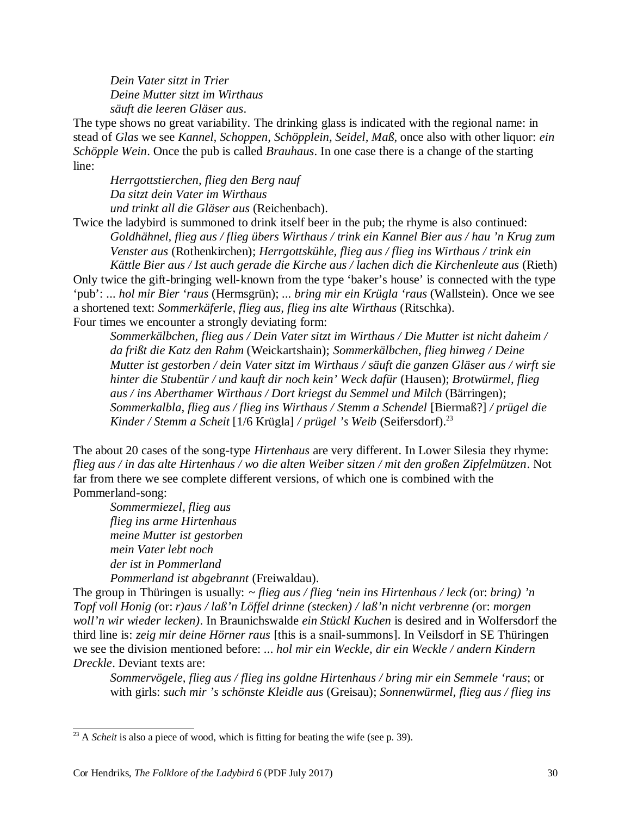*Dein Vater sitzt in Trier Deine Mutter sitzt im Wirthaus säuft die leeren Gläser aus*.

The type shows no great variability. The drinking glass is indicated with the regional name: in stead of *Glas* we see *Kannel, Schoppen, Schöpplein, Seidel, Maß*, once also with other liquor: *ein Schöpple Wein*. Once the pub is called *Brauhaus*. In one case there is a change of the starting line:

*Herrgottstierchen, flieg den Berg nauf Da sitzt dein Vater im Wirthaus und trinkt all die Gläser aus* (Reichenbach).

Twice the ladybird is summoned to drink itself beer in the pub; the rhyme is also continued: *Goldhähnel, flieg aus / flieg übers Wirthaus / trink ein Kannel Bier aus / hau 'n Krug zum Venster aus* (Rothenkirchen); *Herrgottskühle, flieg aus / flieg ins Wirthaus / trink ein Kättle Bier aus / Ist auch gerade die Kirche aus / lachen dich die Kirchenleute aus* (Rieth)

Only twice the gift-bringing well-known from the type 'baker's house' is connected with the type 'pub': *... hol mir Bier 'raus* (Hermsgrün); *... bring mir ein Krügla 'raus* (Wallstein). Once we see a shortened text: *Sommerkäferle, flieg aus, flieg ins alte Wirthaus* (Ritschka). Four times we encounter a strongly deviating form:

*Sommerkälbchen, flieg aus / Dein Vater sitzt im Wirthaus / Die Mutter ist nicht daheim / da frißt die Katz den Rahm* (Weickartshain); *Sommerkälbchen, flieg hinweg / Deine Mutter ist gestorben / dein Vater sitzt im Wirthaus / säuft die ganzen Gläser aus / wirft sie hinter die Stubentür / und kauft dir noch kein' Weck dafür* (Hausen); *Brotwürmel, flieg aus / ins Aberthamer Wirthaus / Dort kriegst du Semmel und Milch* (Bärringen); *Sommerkalbla, flieg aus / flieg ins Wirthaus / Stemm a Schendel* [Biermaß?] */ prügel die Kinder / Stemm a Scheit* [1/6 Krügla] */ prügel 's Weib* (Seifersdorf).<sup>23</sup>

The about 20 cases of the song-type *Hirtenhaus* are very different. In Lower Silesia they rhyme: *flieg aus / in das alte Hirtenhaus / wo die alten Weiber sitzen / mit den großen Zipfelmützen*. Not far from there we see complete different versions, of which one is combined with the Pommerland-song:

*Sommermiezel, flieg aus flieg ins arme Hirtenhaus meine Mutter ist gestorben mein Vater lebt noch der ist in Pommerland Pommerland ist abgebrannt* (Freiwaldau).

The group in Thüringen is usually: *~ flieg aus / flieg 'nein ins Hirtenhaus / leck (*or: *bring) 'n Topf voll Honig (*or: *r)aus / laß'n Löffel drinne (stecken) / laß'n nicht verbrenne (*or: *morgen woll'n wir wieder lecken)*. In Braunichswalde *ein Stückl Kuchen* is desired and in Wolfersdorf the third line is: *zeig mir deine Hörner raus* [this is a snail-summons]. In Veilsdorf in SE Thüringen we see the division mentioned before: *... hol mir ein Weckle, dir ein Weckle / andern Kindern Dreckle*. Deviant texts are:

*Sommervögele, flieg aus / flieg ins goldne Hirtenhaus / bring mir ein Semmele 'raus*; or with girls: *such mir 's schönste Kleidle aus* (Greisau); *Sonnenwürmel, flieg aus / flieg ins*

<sup>&</sup>lt;sup>23</sup> A *Scheit* is also a piece of wood, which is fitting for beating the wife (see p. 39).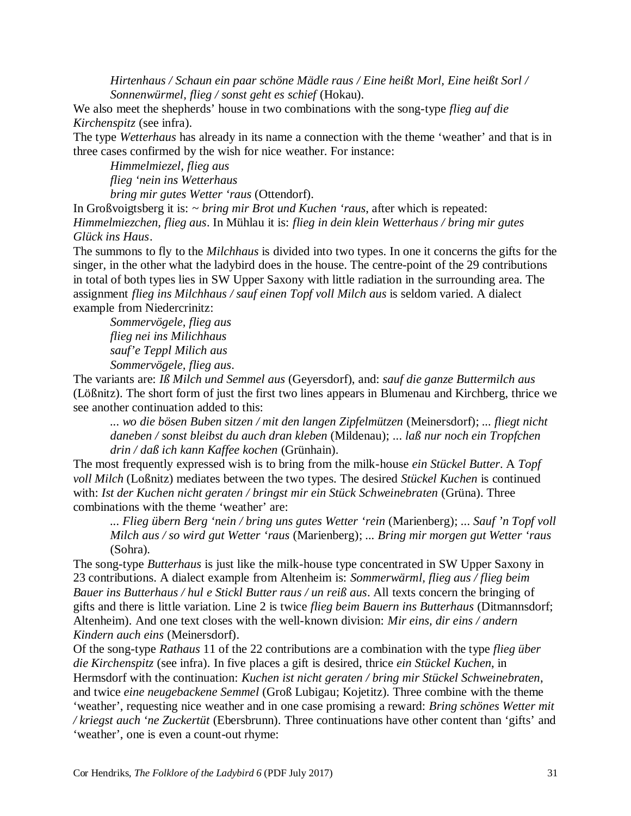*Hirtenhaus / Schaun ein paar schöne Mädle raus / Eine heißt Morl, Eine heißt Sorl / Sonnenwürmel, flieg / sonst geht es schief* (Hokau).

We also meet the shepherds' house in two combinations with the song-type *flieg auf die Kirchenspitz* (see infra).

The type *Wetterhaus* has already in its name a connection with the theme 'weather' and that is in three cases confirmed by the wish for nice weather. For instance:

*Himmelmiezel, flieg aus* 

*flieg 'nein ins Wetterhaus* 

*bring mir gutes Wetter 'raus* (Ottendorf).

In Großvoigtsberg it is: *~ bring mir Brot und Kuchen 'raus*, after which is repeated: *Himmelmiezchen, flieg aus*. In Mühlau it is: *flieg in dein klein Wetterhaus / bring mir gutes Glück ins Haus*.

The summons to fly to the *Milchhaus* is divided into two types. In one it concerns the gifts for the singer, in the other what the ladybird does in the house. The centre-point of the 29 contributions in total of both types lies in SW Upper Saxony with little radiation in the surrounding area. The assignment *flieg ins Milchhaus / sauf einen Topf voll Milch aus* is seldom varied. A dialect example from Niedercrinitz:

*Sommervögele, flieg aus flieg nei ins Milichhaus sauf'e Teppl Milich aus Sommervögele, flieg aus*.

The variants are: *Iß Milch und Semmel aus* (Geyersdorf), and: *sauf die ganze Buttermilch aus* (Lößnitz). The short form of just the first two lines appears in Blumenau and Kirchberg, thrice we see another continuation added to this:

*... wo die bösen Buben sitzen / mit den langen Zipfelmützen* (Meinersdorf); *... fliegt nicht daneben / sonst bleibst du auch dran kleben* (Mildenau); *... laß nur noch ein Tropfchen drin / daß ich kann Kaffee kochen* (Grünhain).

The most frequently expressed wish is to bring from the milk-house *ein Stückel Butter*. A *Topf voll Milch* (Loßnitz) mediates between the two types. The desired *Stückel Kuchen* is continued with: *Ist der Kuchen nicht geraten / bringst mir ein Stück Schweinebraten* (Grüna). Three combinations with the theme 'weather' are:

*... Flieg übern Berg 'nein / bring uns gutes Wetter 'rein* (Marienberg); *... Sauf 'n Topf voll Milch aus / so wird gut Wetter 'raus* (Marienberg); *... Bring mir morgen gut Wetter 'raus* (Sohra).

The song-type *Butterhaus* is just like the milk-house type concentrated in SW Upper Saxony in 23 contributions. A dialect example from Altenheim is: *Sommerwärml, flieg aus / flieg beim Bauer ins Butterhaus / hul e Stickl Butter raus / un reiß aus*. All texts concern the bringing of gifts and there is little variation. Line 2 is twice *flieg beim Bauern ins Butterhaus* (Ditmannsdorf; Altenheim). And one text closes with the well-known division: *Mir eins, dir eins / andern Kindern auch eins* (Meinersdorf).

Of the song-type *Rathaus* 11 of the 22 contributions are a combination with the type *flieg über die Kirchenspitz* (see infra). In five places a gift is desired, thrice *ein Stückel Kuchen*, in Hermsdorf with the continuation: *Kuchen ist nicht geraten / bring mir Stückel Schweinebraten*, and twice *eine neugebackene Semmel* (Groß Lubigau; Kojetitz). Three combine with the theme 'weather', requesting nice weather and in one case promising a reward: *Bring schönes Wetter mit / kriegst auch 'ne Zuckertüt* (Ebersbrunn). Three continuations have other content than 'gifts' and 'weather', one is even a count-out rhyme: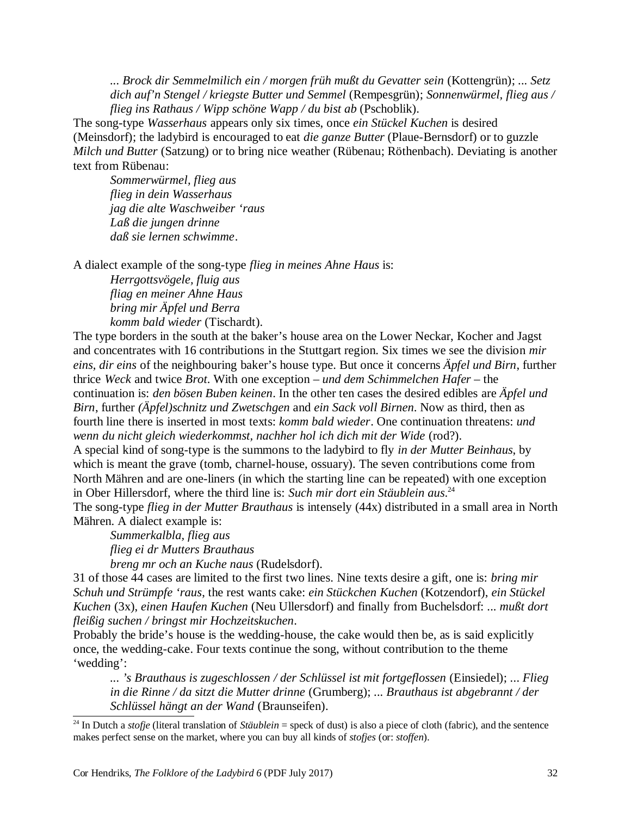*... Brock dir Semmelmilich ein / morgen früh mußt du Gevatter sein* (Kottengrün); *... Setz dich auf'n Stengel / kriegste Butter und Semmel* (Rempesgrün); *Sonnenwürmel, flieg aus / flieg ins Rathaus / Wipp schöne Wapp / du bist ab* (Pschoblik).

The song-type *Wasserhaus* appears only six times, once *ein Stückel Kuchen* is desired (Meinsdorf); the ladybird is encouraged to eat *die ganze Butter* (Plaue-Bernsdorf) or to guzzle *Milch und Butter* (Satzung) or to bring nice weather (Rübenau; Röthenbach). Deviating is another text from Rübenau:

*Sommerwürmel, flieg aus flieg in dein Wasserhaus jag die alte Waschweiber 'raus Laß die jungen drinne daß sie lernen schwimme*.

A dialect example of the song-type *flieg in meines Ahne Haus* is:

*Herrgottsvögele, fluig aus fliag en meiner Ahne Haus bring mir Äpfel und Berra komm bald wieder* (Tischardt).

The type borders in the south at the baker's house area on the Lower Neckar, Kocher and Jagst and concentrates with 16 contributions in the Stuttgart region. Six times we see the division *mir eins, dir eins* of the neighbouring baker's house type. But once it concerns *Äpfel und Birn*, further thrice *Weck* and twice *Brot*. With one exception – *und dem Schimmelchen Hafer* – the continuation is: *den bösen Buben keinen*. In the other ten cases the desired edibles are *Äpfel und Birn*, further *(Äpfel)schnitz und Zwetschgen* and *ein Sack voll Birnen*. Now as third, then as fourth line there is inserted in most texts: *komm bald wieder*. One continuation threatens: *und wenn du nicht gleich wiederkommst, nachher hol ich dich mit der Wide* (rod?).

A special kind of song-type is the summons to the ladybird to fly *in der Mutter Beinhaus*, by which is meant the grave (tomb, charnel-house, ossuary). The seven contributions come from North Mähren and are one-liners (in which the starting line can be repeated) with one exception in Ober Hillersdorf, where the third line is: *Such mir dort ein Stäublein aus*. 24

The song-type *flieg in der Mutter Brauthaus* is intensely (44x) distributed in a small area in North Mähren. A dialect example is:

*Summerkalbla, flieg aus flieg ei dr Mutters Brauthaus* 

*breng mr och an Kuche naus* (Rudelsdorf).

31 of those 44 cases are limited to the first two lines. Nine texts desire a gift, one is: *bring mir Schuh und Strümpfe 'raus*, the rest wants cake: *ein Stückchen Kuchen* (Kotzendorf), *ein Stückel Kuchen* (3x), *einen Haufen Kuchen* (Neu Ullersdorf) and finally from Buchelsdorf: *... mußt dort fleißig suchen / bringst mir Hochzeitskuchen*.

Probably the bride's house is the wedding-house, the cake would then be, as is said explicitly once, the wedding-cake. Four texts continue the song, without contribution to the theme 'wedding':

*... 's Brauthaus is zugeschlossen / der Schlüssel ist mit fortgeflossen* (Einsiedel); *... Flieg in die Rinne / da sitzt die Mutter drinne* (Grumberg); *... Brauthaus ist abgebrannt / der Schlüssel hängt an der Wand* (Braunseifen).

<sup>&</sup>lt;sup>24</sup> In Dutch a *stofie* (literal translation of *Stäublein* = speck of dust) is also a piece of cloth (fabric), and the sentence makes perfect sense on the market, where you can buy all kinds of *stofjes* (or: *stoffen*).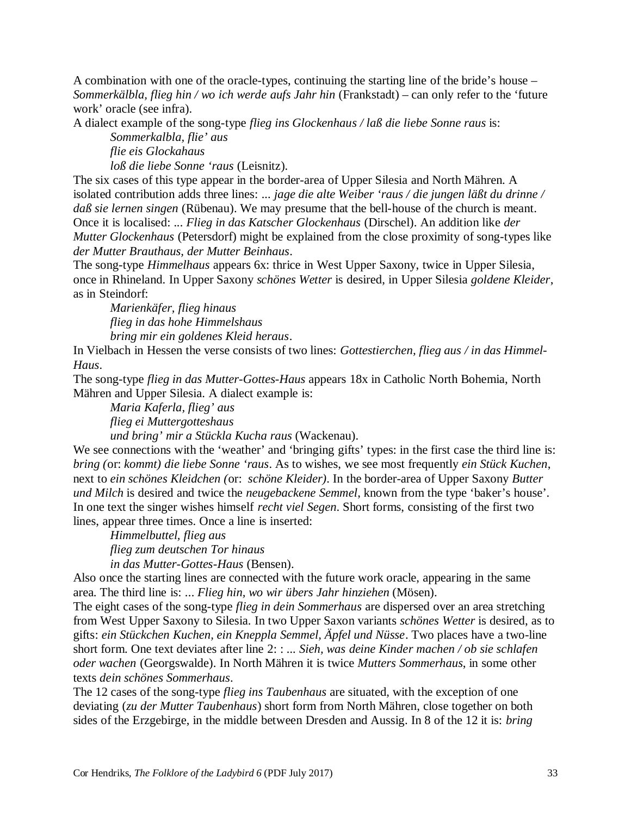A combination with one of the oracle-types, continuing the starting line of the bride's house – *Sommerkälbla, flieg hin / wo ich werde aufs Jahr hin* (Frankstadt) – can only refer to the 'future work' oracle (see infra).

A dialect example of the song-type *flieg ins Glockenhaus / laß die liebe Sonne raus* is:

*Sommerkalbla, flie' aus* 

*flie eis Glockahaus* 

*loß die liebe Sonne 'raus* (Leisnitz).

The six cases of this type appear in the border-area of Upper Silesia and North Mähren. A isolated contribution adds three lines: *... jage die alte Weiber 'raus / die jungen läßt du drinne / daß sie lernen singen* (Rübenau). We may presume that the bell-house of the church is meant. Once it is localised: *... Flieg in das Katscher Glockenhaus* (Dirschel). An addition like *der Mutter Glockenhaus* (Petersdorf) might be explained from the close proximity of song-types like *der Mutter Brauthaus, der Mutter Beinhaus*.

The song-type *Himmelhaus* appears 6x: thrice in West Upper Saxony, twice in Upper Silesia, once in Rhineland. In Upper Saxony *schönes Wetter* is desired, in Upper Silesia *goldene Kleider*, as in Steindorf:

*Marienkäfer, flieg hinaus flieg in das hohe Himmelshaus bring mir ein goldenes Kleid heraus*.

In Vielbach in Hessen the verse consists of two lines: *Gottestierchen, flieg aus / in das Himmel-Haus*.

The song-type *flieg in das Mutter-Gottes-Haus* appears 18x in Catholic North Bohemia, North Mähren and Upper Silesia. A dialect example is:

*Maria Kaferla, flieg' aus flieg ei Muttergotteshaus und bring' mir a Stückla Kucha raus* (Wackenau).

We see connections with the 'weather' and 'bringing gifts' types: in the first case the third line is: *bring (*or: *kommt) die liebe Sonne 'raus*. As to wishes, we see most frequently *ein Stück Kuchen*, next to *ein schönes Kleidchen (*or: *schöne Kleider)*. In the border-area of Upper Saxony *Butter und Milch* is desired and twice the *neugebackene Semmel*, known from the type 'baker's house'. In one text the singer wishes himself *recht viel Segen*. Short forms, consisting of the first two lines, appear three times. Once a line is inserted:

*Himmelbuttel, flieg aus flieg zum deutschen Tor hinaus* 

*in das Mutter-Gottes-Haus* (Bensen).

Also once the starting lines are connected with the future work oracle, appearing in the same area. The third line is: *... Flieg hin, wo wir übers Jahr hinziehen* (Mösen).

The eight cases of the song-type *flieg in dein Sommerhaus* are dispersed over an area stretching from West Upper Saxony to Silesia. In two Upper Saxon variants *schönes Wetter* is desired, as to gifts: *ein Stückchen Kuchen, ein Kneppla Semmel, Äpfel und Nüsse*. Two places have a two-line short form. One text deviates after line 2: : *... Sieh, was deine Kinder machen / ob sie schlafen oder wachen* (Georgswalde). In North Mähren it is twice *Mutters Sommerhaus*, in some other texts *dein schönes Sommerhaus*.

The 12 cases of the song-type *flieg ins Taubenhaus* are situated, with the exception of one deviating (*zu der Mutter Taubenhaus*) short form from North Mähren, close together on both sides of the Erzgebirge, in the middle between Dresden and Aussig. In 8 of the 12 it is: *bring*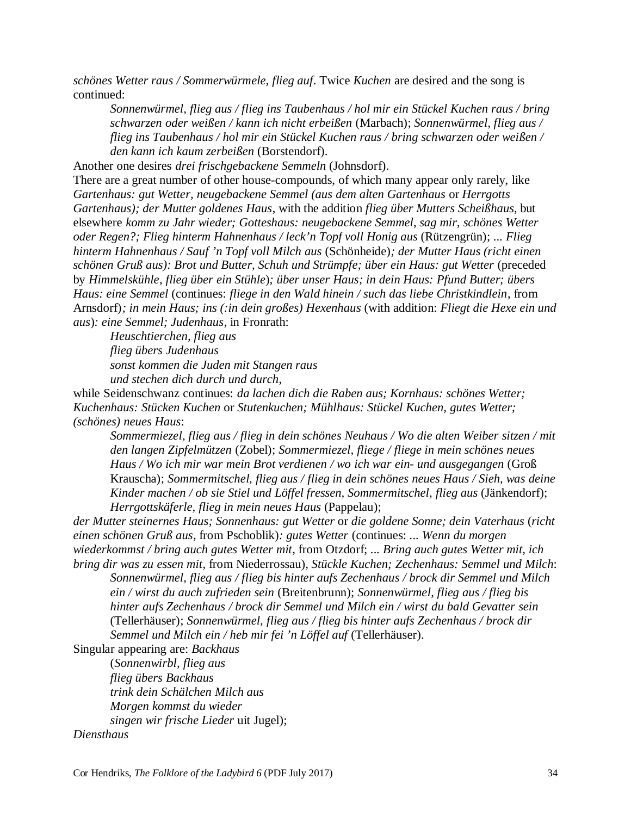*schönes Wetter raus / Sommerwürmele, flieg auf*. Twice *Kuchen* are desired and the song is continued:

*Sonnenwürmel, flieg aus / flieg ins Taubenhaus / hol mir ein Stückel Kuchen raus / bring schwarzen oder weißen / kann ich nicht erbeißen* (Marbach); *Sonnenwürmel, flieg aus / flieg ins Taubenhaus / hol mir ein Stückel Kuchen raus / bring schwarzen oder weißen / den kann ich kaum zerbeißen* (Borstendorf).

Another one desires *drei frischgebackene Semmeln* (Johnsdorf).

There are a great number of other house-compounds, of which many appear only rarely, like *Gartenhaus: gut Wetter, neugebackene Semmel (aus dem alten Gartenhaus* or *Herrgotts Gartenhaus); der Mutter goldenes Haus*, with the addition *flieg über Mutters Scheißhaus*, but elsewhere *komm zu Jahr wieder; Gotteshaus: neugebackene Semmel, sag mir, schönes Wetter oder Regen?; Flieg hinterm Hahnenhaus / leck'n Topf voll Honig aus* (Rützengrün); *... Flieg hinterm Hahnenhaus / Sauf 'n Topf voll Milch aus* (Schönheide)*; der Mutter Haus (richt einen schönen Gruß aus): Brot und Butter, Schuh und Strümpfe; über ein Haus: gut Wetter* (preceded by *Himmelskühle, flieg über ein Stühle*)*; über unser Haus; in dein Haus: Pfund Butter; übers Haus: eine Semmel* (continues: *fliege in den Wald hinein / such das liebe Christkindlein*, from Arnsdorf)*; in mein Haus; ins (:in dein großes) Hexenhaus* (with addition: *Fliegt die Hexe ein und aus*)*: eine Semmel; Judenhaus*, in Fronrath:

*Heuschtierchen, flieg aus flieg übers Judenhaus sonst kommen die Juden mit Stangen raus und stechen dich durch und durch*,

while Seidenschwanz continues: *da lachen dich die Raben aus; Kornhaus: schönes Wetter; Kuchenhaus: Stücken Kuchen* or *Stutenkuchen; Mühlhaus: Stückel Kuchen, gutes Wetter; (schönes) neues Haus*:

*Sommermiezel, flieg aus / flieg in dein schönes Neuhaus / Wo die alten Weiber sitzen / mit den langen Zipfelmützen* (Zobel); *Sommermiezel, fliege / fliege in mein schönes neues Haus / Wo ich mir war mein Brot verdienen / wo ich war ein- und ausgegangen* (Groß Krauscha); *Sommermitschel, flieg aus / flieg in dein schönes neues Haus / Sieh, was deine Kinder machen / ob sie Stiel und Löffel fressen, Sommermitschel, flieg aus* (Jänkendorf); *Herrgottskäferle, flieg in mein neues Haus* (Pappelau);

*der Mutter steinernes Haus; Sonnenhaus: gut Wetter* or *die goldene Sonne; dein Vaterhaus* (*richt einen schönen Gruß aus*, from Pschoblik)*: gutes Wetter* (continues: *... Wenn du morgen wiederkommst / bring auch gutes Wetter mit*, from Otzdorf; *... Bring auch gutes Wetter mit, ich bring dir was zu essen mit*, from Niederrossau)*, Stückle Kuchen; Zechenhaus: Semmel und Milch*:

*Sonnenwürmel, flieg aus / flieg bis hinter aufs Zechenhaus / brock dir Semmel und Milch ein / wirst du auch zufrieden sein* (Breitenbrunn); *Sonnenwürmel, flieg aus / flieg bis hinter aufs Zechenhaus / brock dir Semmel und Milch ein / wirst du bald Gevatter sein* (Tellerhäuser); *Sonnenwürmel, flieg aus / flieg bis hinter aufs Zechenhaus / brock dir Semmel und Milch ein / heb mir fei 'n Löffel auf* (Tellerhäuser).

Singular appearing are: *Backhaus*

(*Sonnenwirbl, flieg aus flieg übers Backhaus trink dein Schälchen Milch aus Morgen kommst du wieder singen wir frische Lieder* uit Jugel);

*Diensthaus*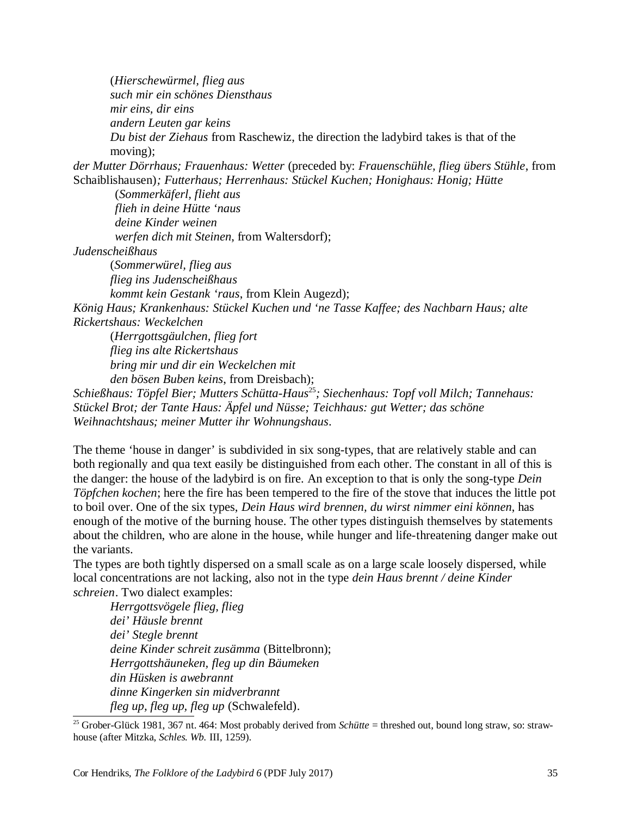(*Hierschewürmel, flieg aus such mir ein schönes Diensthaus mir eins, dir eins andern Leuten gar keins Du bist der Ziehaus* from Raschewiz, the direction the ladybird takes is that of the moving); *der Mutter Dörrhaus; Frauenhaus: Wetter* (preceded by: *Frauenschühle, flieg übers Stühle*, from Schaiblishausen)*; Futterhaus; Herrenhaus: Stückel Kuchen; Honighaus: Honig; Hütte*  (*Sommerkäferl, flieht aus flieh in deine Hütte 'naus deine Kinder weinen werfen dich mit Steinen*, from Waltersdorf); *Judenscheißhaus*  (*Sommerwürel, flieg aus flieg ins Judenscheißhaus kommt kein Gestank 'raus*, from Klein Augezd); *König Haus; Krankenhaus: Stückel Kuchen und 'ne Tasse Kaffee; des Nachbarn Haus; alte Rickertshaus: Weckelchen*  (*Herrgottsgäulchen, flieg fort flieg ins alte Rickertshaus bring mir und dir ein Weckelchen mit den bösen Buben keins*, from Dreisbach); *Schießhaus: Töpfel Bier; Mutters Schütta-Haus*<sup>25</sup>*; Siechenhaus: Topf voll Milch; Tannehaus:*

*Stückel Brot; der Tante Haus: Äpfel und Nüsse; Teichhaus: gut Wetter; das schöne Weihnachtshaus; meiner Mutter ihr Wohnungshaus*.

The theme 'house in danger' is subdivided in six song-types, that are relatively stable and can both regionally and qua text easily be distinguished from each other. The constant in all of this is the danger: the house of the ladybird is on fire. An exception to that is only the song-type *Dein Töpfchen kochen*; here the fire has been tempered to the fire of the stove that induces the little pot to boil over. One of the six types, *Dein Haus wird brennen, du wirst nimmer eini können*, has enough of the motive of the burning house. The other types distinguish themselves by statements about the children, who are alone in the house, while hunger and life-threatening danger make out the variants.

The types are both tightly dispersed on a small scale as on a large scale loosely dispersed, while local concentrations are not lacking, also not in the type *dein Haus brennt / deine Kinder schreien*. Two dialect examples:

*Herrgottsvögele flieg, flieg dei' Häusle brennt dei' Stegle brennt deine Kinder schreit zusämma* (Bittelbronn); *Herrgottshäuneken, fleg up din Bäumeken din Hüsken is awebrannt dinne Kingerken sin midverbrannt fleg up, fleg up, fleg up* (Schwalefeld).

<sup>&</sup>lt;sup>25</sup> Grober-Glück 1981, 367 nt. 464: Most probably derived from *Schütte* = threshed out, bound long straw, so: strawhouse (after Mitzka, *Schles. Wb.* III, 1259).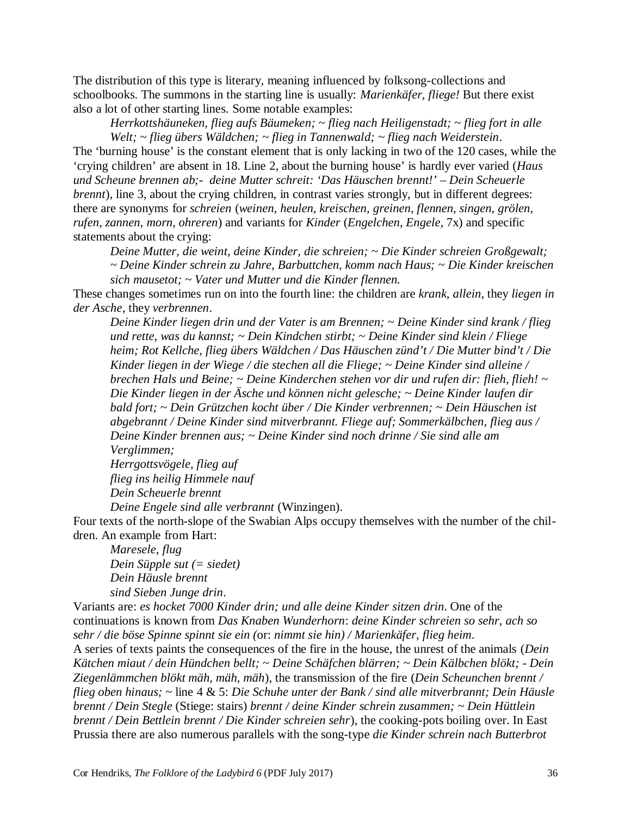The distribution of this type is literary, meaning influenced by folksong-collections and schoolbooks. The summons in the starting line is usually: *Marienkäfer, fliege!* But there exist also a lot of other starting lines. Some notable examples:

*Herrkottshäuneken, flieg aufs Bäumeken; ~ flieg nach Heiligenstadt; ~ flieg fort in alle Welt; ~ flieg übers Wäldchen; ~ flieg in Tannenwald; ~ flieg nach Weiderstein*. The 'burning house' is the constant element that is only lacking in two of the 120 cases, while the 'crying children' are absent in 18. Line 2, about the burning house' is hardly ever varied (*Haus und Scheune brennen ab;- deine Mutter schreit: 'Das Häuschen brennt!' – Dein Scheuerle brennt*), line 3, about the crying children, in contrast varies strongly, but in different degrees: there are synonyms for *schreien* (*weinen, heulen, kreischen, greinen, flennen, singen, grölen, rufen, zannen, morn, ohreren*) and variants for *Kinder* (*Engelchen, Engele*, 7x) and specific statements about the crying:

*Deine Mutter, die weint, deine Kinder, die schreien; ~ Die Kinder schreien Großgewalt; ~ Deine Kinder schrein zu Jahre, Barbuttchen, komm nach Haus; ~ Die Kinder kreischen sich mausetot; ~ Vater und Mutter und die Kinder flennen.*

These changes sometimes run on into the fourth line: the children are *krank, allein*, they *liegen in der Asche*, they *verbrennen*.

*Deine Kinder liegen drin und der Vater is am Brennen; ~ Deine Kinder sind krank / flieg und rette, was du kannst; ~ Dein Kindchen stirbt; ~ Deine Kinder sind klein / Fliege heim; Rot Kellche, flieg übers Wäldchen / Das Häuschen zünd't / Die Mutter bind't / Die Kinder liegen in der Wiege / die stechen all die Fliege; ~ Deine Kinder sind alleine / brechen Hals und Beine; ~ Deine Kinderchen stehen vor dir und rufen dir: flieh, flieh! ~ Die Kinder liegen in der Äsche und können nicht gelesche; ~ Deine Kinder laufen dir bald fort; ~ Dein Grützchen kocht über / Die Kinder verbrennen; ~ Dein Häuschen ist abgebrannt / Deine Kinder sind mitverbrannt. Fliege auf; Sommerkälbchen, flieg aus / Deine Kinder brennen aus; ~ Deine Kinder sind noch drinne / Sie sind alle am Verglimmen;* 

*Herrgottsvögele, flieg auf flieg ins heilig Himmele nauf Dein Scheuerle brennt* 

*Deine Engele sind alle verbrannt* (Winzingen).

Four texts of the north-slope of the Swabian Alps occupy themselves with the number of the children. An example from Hart:

*Maresele, flug Dein Süpple sut (= siedet) Dein Häusle brennt sind Sieben Junge drin*.

Variants are: *es hocket 7000 Kinder drin; und alle deine Kinder sitzen drin*. One of the continuations is known from *Das Knaben Wunderhorn*: *deine Kinder schreien so sehr, ach so sehr / die böse Spinne spinnt sie ein (*or: *nimmt sie hin) / Marienkäfer, flieg heim*.

A series of texts paints the consequences of the fire in the house, the unrest of the animals (*Dein Kätchen miaut / dein Hündchen bellt; ~ Deine Schäfchen blärren; ~ Dein Kälbchen blökt; - Dein Ziegenlämmchen blökt mäh, mäh, mäh*), the transmission of the fire (*Dein Scheunchen brennt / flieg oben hinaus; ~* line 4 & 5: *Die Schuhe unter der Bank / sind alle mitverbrannt; Dein Häusle brennt / Dein Stegle* (Stiege: stairs) *brennt / deine Kinder schrein zusammen; ~ Dein Hüttlein brennt / Dein Bettlein brennt / Die Kinder schreien sehr*), the cooking-pots boiling over. In East Prussia there are also numerous parallels with the song-type *die Kinder schrein nach Butterbrot*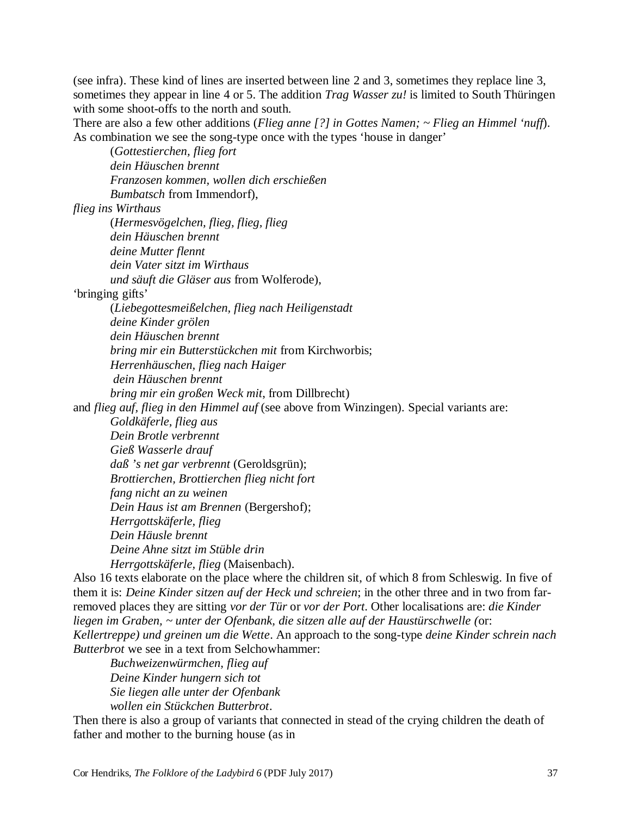(see infra). These kind of lines are inserted between line 2 and 3, sometimes they replace line 3, sometimes they appear in line 4 or 5. The addition *Trag Wasser zu!* is limited to South Thüringen with some shoot-offs to the north and south.

There are also a few other additions (*Flieg anne [?] in Gottes Namen; ~ Flieg an Himmel 'nuff*). As combination we see the song-type once with the types 'house in danger'

(*Gottestierchen, flieg fort dein Häuschen brennt Franzosen kommen, wollen dich erschießen Bumbatsch* from Immendorf),

*flieg ins Wirthaus*

(*Hermesvögelchen, flieg, flieg, flieg dein Häuschen brennt deine Mutter flennt dein Vater sitzt im Wirthaus und säuft die Gläser aus* from Wolferode),

'bringing gifts'

(*Liebegottesmeißelchen, flieg nach Heiligenstadt* 

*deine Kinder grölen* 

*dein Häuschen brennt* 

*bring mir ein Butterstückchen mit* from Kirchworbis;

*Herrenhäuschen, flieg nach Haiger*

*dein Häuschen brennt* 

*bring mir ein großen Weck mit*, from Dillbrecht)

and *flieg auf, flieg in den Himmel auf* (see above from Winzingen). Special variants are:

*Goldkäferle, flieg aus* 

*Dein Brotle verbrennt* 

*Gieß Wasserle drauf* 

*daß 's net gar verbrennt* (Geroldsgrün);

*Brottierchen, Brottierchen flieg nicht fort* 

*fang nicht an zu weinen* 

*Dein Haus ist am Brennen* (Bergershof);

*Herrgottskäferle, flieg* 

*Dein Häusle brennt* 

*Deine Ahne sitzt im Stüble drin* 

*Herrgottskäferle, flieg* (Maisenbach).

Also 16 texts elaborate on the place where the children sit, of which 8 from Schleswig. In five of them it is: *Deine Kinder sitzen auf der Heck und schreien*; in the other three and in two from farremoved places they are sitting *vor der Tür* or *vor der Port*. Other localisations are: *die Kinder liegen im Graben, ~ unter der Ofenbank, die sitzen alle auf der Haustürschwelle (*or: *Kellertreppe) und greinen um die Wette*. An approach to the song-type *deine Kinder schrein nach Butterbrot* we see in a text from Selchowhammer:

*Buchweizenwürmchen, flieg auf Deine Kinder hungern sich tot Sie liegen alle unter der Ofenbank wollen ein Stückchen Butterbrot*.

Then there is also a group of variants that connected in stead of the crying children the death of father and mother to the burning house (as in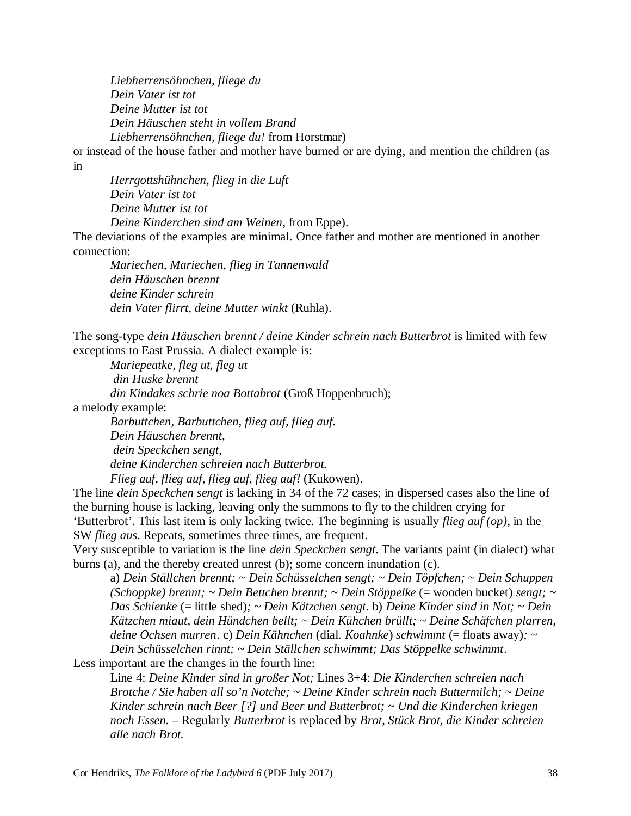*Liebherrensöhnchen, fliege du Dein Vater ist tot Deine Mutter ist tot Dein Häuschen steht in vollem Brand Liebherrensöhnchen, fliege du!* from Horstmar)

or instead of the house father and mother have burned or are dying, and mention the children (as in

*Herrgottshühnchen, flieg in die Luft Dein Vater ist tot Deine Mutter ist tot Deine Kinderchen sind am Weinen*, from Eppe). The deviations of the examples are minimal. Once father and mother are mentioned in another connection:

*Mariechen, Mariechen, flieg in Tannenwald dein Häuschen brennt deine Kinder schrein dein Vater flirrt, deine Mutter winkt* (Ruhla).

The song-type *dein Häuschen brennt / deine Kinder schrein nach Butterbrot* is limited with few exceptions to East Prussia. A dialect example is:

*Mariepeatke, fleg ut, fleg ut*

*din Huske brennt* 

*din Kindakes schrie noa Bottabrot* (Groß Hoppenbruch);

a melody example:

*Barbuttchen, Barbuttchen, flieg auf, flieg auf. Dein Häuschen brennt, dein Speckchen sengt, deine Kinderchen schreien nach Butterbrot. Flieg auf, flieg auf, flieg auf, flieg auf!* (Kukowen).

The line *dein Speckchen sengt* is lacking in 34 of the 72 cases; in dispersed cases also the line of the burning house is lacking, leaving only the summons to fly to the children crying for 'Butterbrot'. This last item is only lacking twice. The beginning is usually *flieg auf (op)*, in the SW *flieg aus*. Repeats, sometimes three times, are frequent.

Very susceptible to variation is the line *dein Speckchen sengt*. The variants paint (in dialect) what burns (a), and the thereby created unrest (b); some concern inundation (c).

a) *Dein Ställchen brennt; ~ Dein Schüsselchen sengt; ~ Dein Töpfchen; ~ Dein Schuppen (Schoppke) brennt; ~ Dein Bettchen brennt; ~ Dein Stöppelke* (= wooden bucket) *sengt; ~ Das Schienke* (= little shed)*; ~ Dein Kätzchen sengt.* b) *Deine Kinder sind in Not; ~ Dein Kätzchen miaut, dein Hündchen bellt; ~ Dein Kühchen brüllt; ~ Deine Schäfchen plarren, deine Ochsen murren*. c) *Dein Kähnchen* (dial. *Koahnke*) *schwimmt* (= floats away)*; ~ Dein Schüsselchen rinnt; ~ Dein Ställchen schwimmt; Das Stöppelke schwimmt*.

Less important are the changes in the fourth line:

Line 4: *Deine Kinder sind in großer Not;* Lines 3+4: *Die Kinderchen schreien nach Brotche / Sie haben all so'n Notche; ~ Deine Kinder schrein nach Buttermilch; ~ Deine Kinder schrein nach Beer [?] und Beer und Butterbrot; ~ Und die Kinderchen kriegen noch Essen. –* Regularly *Butterbrot* is replaced by *Brot, Stück Brot, die Kinder schreien alle nach Brot.*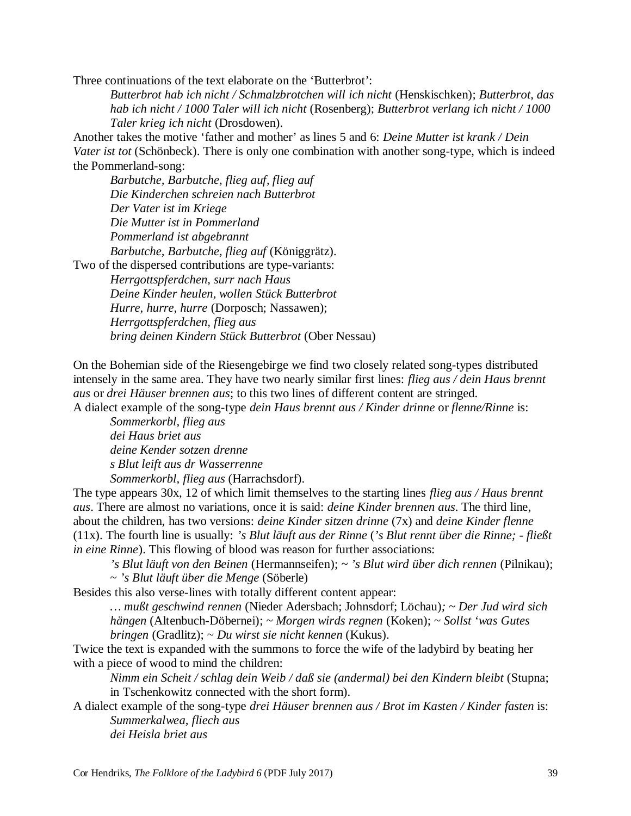Three continuations of the text elaborate on the 'Butterbrot':

*Butterbrot hab ich nicht / Schmalzbrotchen will ich nicht* (Henskischken); *Butterbrot, das hab ich nicht / 1000 Taler will ich nicht* (Rosenberg); *Butterbrot verlang ich nicht / 1000 Taler krieg ich nicht* (Drosdowen).

Another takes the motive 'father and mother' as lines 5 and 6: *Deine Mutter ist krank / Dein Vater ist tot* (Schönbeck). There is only one combination with another song-type, which is indeed the Pommerland-song:

*Barbutche, Barbutche, flieg auf, flieg auf Die Kinderchen schreien nach Butterbrot Der Vater ist im Kriege Die Mutter ist in Pommerland Pommerland ist abgebrannt Barbutche, Barbutche, flieg auf* (Königgrätz). Two of the dispersed contributions are type-variants:

*Herrgottspferdchen, surr nach Haus Deine Kinder heulen, wollen Stück Butterbrot Hurre, hurre, hurre* (Dorposch; Nassawen); *Herrgottspferdchen, flieg aus bring deinen Kindern Stück Butterbrot* (Ober Nessau)

On the Bohemian side of the Riesengebirge we find two closely related song-types distributed intensely in the same area. They have two nearly similar first lines: *flieg aus / dein Haus brennt aus* or *drei Häuser brennen aus*; to this two lines of different content are stringed. A dialect example of the song-type *dein Haus brennt aus / Kinder drinne* or *flenne/Rinne* is:

*Sommerkorbl, flieg aus dei Haus briet aus deine Kender sotzen drenne s Blut leift aus dr Wasserrenne Sommerkorbl, flieg aus* (Harrachsdorf).

The type appears 30x, 12 of which limit themselves to the starting lines *flieg aus / Haus brennt aus*. There are almost no variations, once it is said: *deine Kinder brennen aus*. The third line, about the children, has two versions: *deine Kinder sitzen drinne* (7x) and *deine Kinder flenne* (11x). The fourth line is usually: *'s Blut läuft aus der Rinne* (*'s Blut rennt über die Rinne; - fließt in eine Rinne*). This flowing of blood was reason for further associations:

*'s Blut läuft von den Beinen* (Hermannseifen); ~ *'s Blut wird über dich rennen* (Pilnikau); ~ *'s Blut läuft über die Menge* (Söberle)

Besides this also verse-lines with totally different content appear:

*… mußt geschwind rennen* (Nieder Adersbach; Johnsdorf; Löchau)*; ~ Der Jud wird sich hängen* (Altenbuch-Döbernei); ~ *Morgen wirds regnen* (Koken); ~ *Sollst 'was Gutes bringen* (Gradlitz); ~ *Du wirst sie nicht kennen* (Kukus).

Twice the text is expanded with the summons to force the wife of the ladybird by beating her with a piece of wood to mind the children:

*Nimm ein Scheit / schlag dein Weib / daß sie (andermal) bei den Kindern bleibt* (Stupna; in Tschenkowitz connected with the short form).

A dialect example of the song-type *drei Häuser brennen aus / Brot im Kasten / Kinder fasten* is: *Summerkalwea, fliech aus dei Heisla briet aus*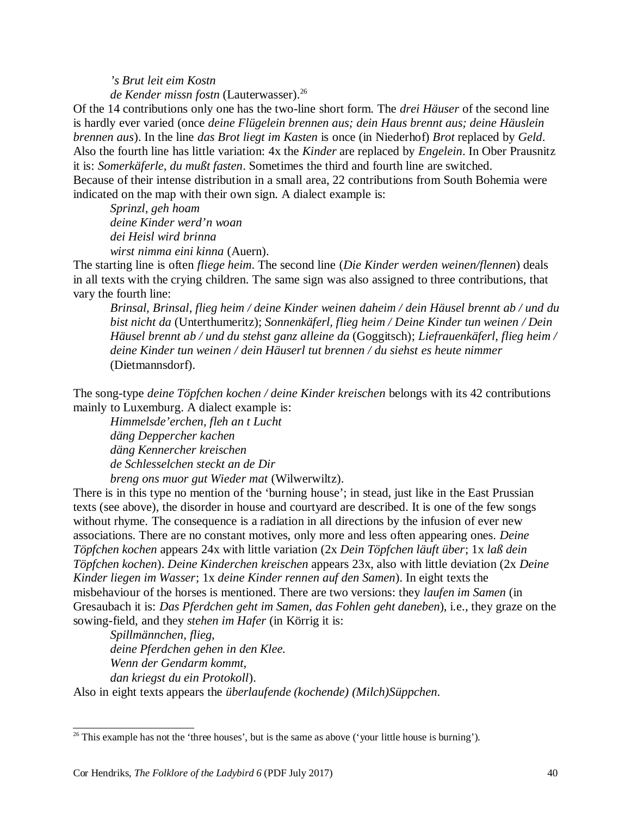*'s Brut leit eim Kostn* 

*de Kender missn fostn* (Lauterwasser).<sup>26</sup>

Of the 14 contributions only one has the two-line short form. The *drei Häuser* of the second line is hardly ever varied (once *deine Flügelein brennen aus; dein Haus brennt aus; deine Häuslein brennen aus*). In the line *das Brot liegt im Kasten* is once (in Niederhof) *Brot* replaced by *Geld*. Also the fourth line has little variation: 4x the *Kinder* are replaced by *Engelein*. In Ober Prausnitz it is: *Somerkäferle, du mußt fasten*. Sometimes the third and fourth line are switched. Because of their intense distribution in a small area, 22 contributions from South Bohemia were indicated on the map with their own sign. A dialect example is:

*Sprinzl, geh hoam deine Kinder werd'n woan dei Heisl wird brinna wirst nimma eini kinna* (Auern).

The starting line is often *fliege heim*. The second line (*Die Kinder werden weinen/flennen*) deals in all texts with the crying children. The same sign was also assigned to three contributions, that vary the fourth line:

*Brinsal, Brinsal, flieg heim / deine Kinder weinen daheim / dein Häusel brennt ab / und du bist nicht da* (Unterthumeritz); *Sonnenkäferl, flieg heim / Deine Kinder tun weinen / Dein Häusel brennt ab / und du stehst ganz alleine da* (Goggitsch); *Liefrauenkäferl, flieg heim / deine Kinder tun weinen / dein Häuserl tut brennen / du siehst es heute nimmer* (Dietmannsdorf).

The song-type *deine Töpfchen kochen / deine Kinder kreischen* belongs with its 42 contributions mainly to Luxemburg. A dialect example is:

*Himmelsde'erchen, fleh an t Lucht däng Deppercher kachen däng Kennercher kreischen de Schlesselchen steckt an de Dir breng ons muor gut Wieder mat* (Wilwerwiltz).

There is in this type no mention of the 'burning house'; in stead, just like in the East Prussian texts (see above), the disorder in house and courtyard are described. It is one of the few songs without rhyme. The consequence is a radiation in all directions by the infusion of ever new associations. There are no constant motives, only more and less often appearing ones. *Deine Töpfchen kochen* appears 24x with little variation (2x *Dein Töpfchen läuft über*; 1x *laß dein Töpfchen kochen*). *Deine Kinderchen kreischen* appears 23x, also with little deviation (2x *Deine Kinder liegen im Wasser*; 1x *deine Kinder rennen auf den Samen*). In eight texts the misbehaviour of the horses is mentioned. There are two versions: they *laufen im Samen* (in Gresaubach it is: *Das Pferdchen geht im Samen, das Fohlen geht daneben*), i.e., they graze on the sowing-field, and they *stehen im Hafer* (in Körrig it is:

*Spillmännchen, flieg, deine Pferdchen gehen in den Klee. Wenn der Gendarm kommt, dan kriegst du ein Protokoll*).

Also in eight texts appears the *überlaufende (kochende) (Milch)Süppchen*.

 $26$  This example has not the 'three houses', but is the same as above ('your little house is burning').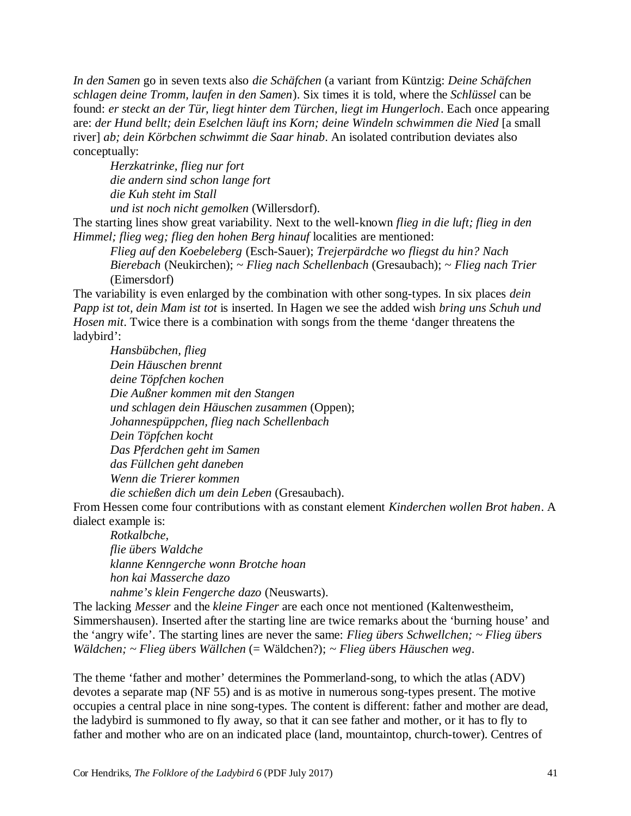*In den Samen* go in seven texts also *die Schäfchen* (a variant from Küntzig: *Deine Schäfchen schlagen deine Tromm, laufen in den Samen*). Six times it is told, where the *Schlüssel* can be found: *er steckt an der Tür, liegt hinter dem Türchen, liegt im Hungerloch*. Each once appearing are: *der Hund bellt; dein Eselchen läuft ins Korn; deine Windeln schwimmen die Nied* [a small river] *ab; dein Körbchen schwimmt die Saar hinab*. An isolated contribution deviates also conceptually:

*Herzkatrinke, flieg nur fort die andern sind schon lange fort die Kuh steht im Stall und ist noch nicht gemolken* (Willersdorf).

The starting lines show great variability. Next to the well-known *flieg in die luft; flieg in den Himmel; flieg weg; flieg den hohen Berg hinauf* localities are mentioned:

*Flieg auf den Koebeleberg* (Esch-Sauer); *Trejerpärdche wo fliegst du hin? Nach Bierebach* (Neukirchen); ~ *Flieg nach Schellenbach* (Gresaubach); ~ *Flieg nach Trier* (Eimersdorf)

The variability is even enlarged by the combination with other song-types. In six places *dein Papp ist tot, dein Mam ist tot* is inserted. In Hagen we see the added wish *bring uns Schuh und Hosen mit*. Twice there is a combination with songs from the theme 'danger threatens the ladybird':

*Hansbübchen, flieg Dein Häuschen brennt deine Töpfchen kochen Die Außner kommen mit den Stangen und schlagen dein Häuschen zusammen* (Oppen); *Johannespüppchen, flieg nach Schellenbach Dein Töpfchen kocht Das Pferdchen geht im Samen das Füllchen geht daneben Wenn die Trierer kommen die schießen dich um dein Leben* (Gresaubach).

From Hessen come four contributions with as constant element *Kinderchen wollen Brot haben*. A dialect example is:

*Rotkalbche, flie übers Waldche klanne Kenngerche wonn Brotche hoan hon kai Masserche dazo nahme's klein Fengerche dazo* (Neuswarts).

The lacking *Messer* and the *kleine Finger* are each once not mentioned (Kaltenwestheim, Simmershausen). Inserted after the starting line are twice remarks about the 'burning house' and the 'angry wife'. The starting lines are never the same: *Flieg übers Schwellchen; ~ Flieg übers Wäldchen; ~ Flieg übers Wällchen* (= Wäldchen?); *~ Flieg übers Häuschen weg*.

The theme 'father and mother' determines the Pommerland-song, to which the atlas (ADV) devotes a separate map (NF 55) and is as motive in numerous song-types present. The motive occupies a central place in nine song-types. The content is different: father and mother are dead, the ladybird is summoned to fly away, so that it can see father and mother, or it has to fly to father and mother who are on an indicated place (land, mountaintop, church-tower). Centres of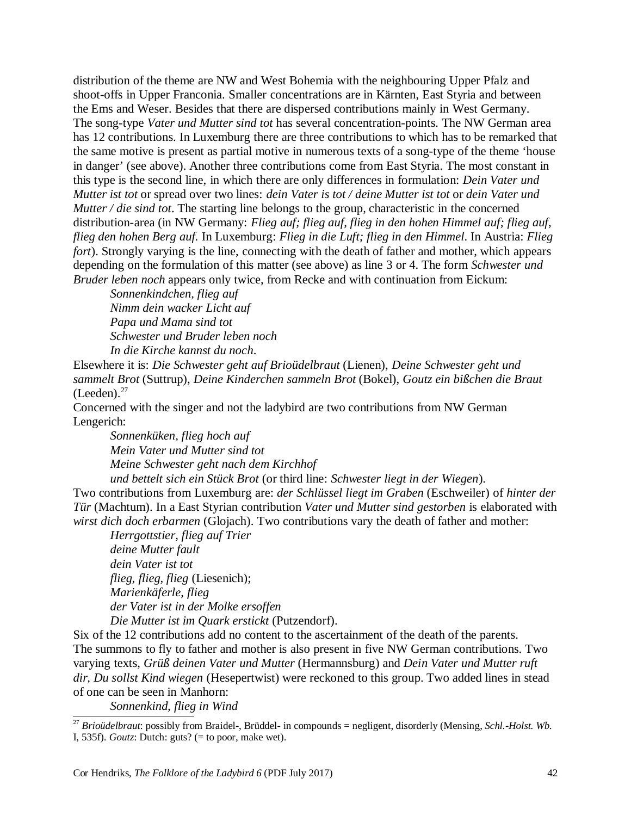distribution of the theme are NW and West Bohemia with the neighbouring Upper Pfalz and shoot-offs in Upper Franconia. Smaller concentrations are in Kärnten, East Styria and between the Ems and Weser. Besides that there are dispersed contributions mainly in West Germany. The song-type *Vater und Mutter sind tot* has several concentration-points. The NW German area has 12 contributions. In Luxemburg there are three contributions to which has to be remarked that the same motive is present as partial motive in numerous texts of a song-type of the theme 'house in danger' (see above). Another three contributions come from East Styria. The most constant in this type is the second line, in which there are only differences in formulation: *Dein Vater und Mutter ist tot* or spread over two lines: *dein Vater is tot / deine Mutter ist tot* or *dein Vater und Mutter / die sind tot*. The starting line belongs to the group, characteristic in the concerned distribution-area (in NW Germany: *Flieg auf; flieg auf, flieg in den hohen Himmel auf; flieg auf, flieg den hohen Berg auf.* In Luxemburg: *Flieg in die Luft; flieg in den Himmel*. In Austria: *Flieg fort*). Strongly varying is the line, connecting with the death of father and mother, which appears depending on the formulation of this matter (see above) as line 3 or 4. The form *Schwester und Bruder leben noch* appears only twice, from Recke and with continuation from Eickum:

*Sonnenkindchen, flieg auf Nimm dein wacker Licht auf Papa und Mama sind tot Schwester und Bruder leben noch In die Kirche kannst du noch*.

Elsewhere it is: *Die Schwester geht auf Brioüdelbraut* (Lienen), *Deine Schwester geht und sammelt Brot* (Suttrup), *Deine Kinderchen sammeln Brot* (Bokel), *Goutz ein bißchen die Braut*  $(Legenden)<sup>27</sup>$ 

Concerned with the singer and not the ladybird are two contributions from NW German Lengerich:

*Sonnenküken, flieg hoch auf Mein Vater und Mutter sind tot Meine Schwester geht nach dem Kirchhof* 

*und bettelt sich ein Stück Brot* (or third line: *Schwester liegt in der Wiegen*). Two contributions from Luxemburg are: *der Schlüssel liegt im Graben* (Eschweiler) of *hinter der Tür* (Machtum). In a East Styrian contribution *Vater und Mutter sind gestorben* is elaborated with *wirst dich doch erbarmen* (Glojach). Two contributions vary the death of father and mother:

*Herrgottstier, flieg auf Trier deine Mutter fault dein Vater ist tot flieg, flieg, flieg* (Liesenich); *Marienkäferle, flieg der Vater ist in der Molke ersoffen Die Mutter ist im Quark erstickt* (Putzendorf).

Six of the 12 contributions add no content to the ascertainment of the death of the parents. The summons to fly to father and mother is also present in five NW German contributions. Two varying texts, *Grüß deinen Vater und Mutter* (Hermannsburg) and *Dein Vater und Mutter ruft dir, Du sollst Kind wiegen* (Hesepertwist) were reckoned to this group. Two added lines in stead of one can be seen in Manhorn:

*Sonnenkind, flieg in Wind* 

<sup>27</sup> *Brioüdelbraut*: possibly from Braidel-, Brüddel- in compounds = negligent, disorderly (Mensing, *Schl.-Holst. Wb.* I, 535f). *Goutz*: Dutch: guts? (= to poor, make wet).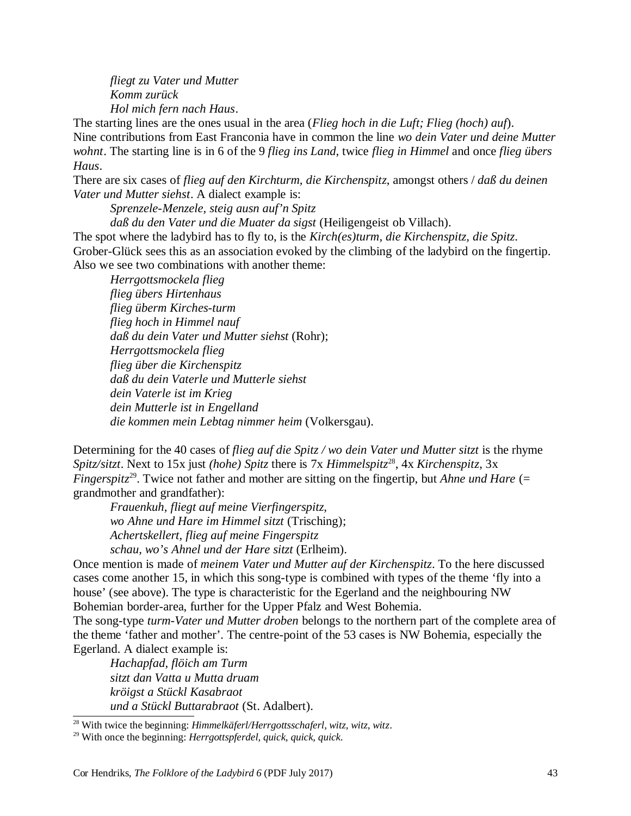*fliegt zu Vater und Mutter Komm zurück Hol mich fern nach Haus*.

The starting lines are the ones usual in the area (*Flieg hoch in die Luft; Flieg (hoch) auf*). Nine contributions from East Franconia have in common the line *wo dein Vater und deine Mutter wohnt*. The starting line is in 6 of the 9 *flieg ins Land*, twice *flieg in Himmel* and once *flieg übers Haus*.

There are six cases of *flieg auf den Kirchturm, die Kirchenspitz*, amongst others / *daß du deinen Vater und Mutter siehst*. A dialect example is:

*Sprenzele-Menzele, steig ausn auf'n Spitz* 

*daß du den Vater und die Muater da sigst* (Heiligengeist ob Villach).

The spot where the ladybird has to fly to, is the *Kirch(es)turm*, *die Kirchenspitz, die Spitz*. Grober-Glück sees this as an association evoked by the climbing of the ladybird on the fingertip. Also we see two combinations with another theme:

*Herrgottsmockela flieg flieg übers Hirtenhaus flieg überm Kirches-turm flieg hoch in Himmel nauf daß du dein Vater und Mutter siehst* (Rohr); *Herrgottsmockela flieg flieg über die Kirchenspitz daß du dein Vaterle und Mutterle siehst dein Vaterle ist im Krieg dein Mutterle ist in Engelland die kommen mein Lebtag nimmer heim* (Volkersgau).

Determining for the 40 cases of *flieg auf die Spitz / wo dein Vater und Mutter sitzt* is the rhyme *Spitz/sitzt*. Next to 15x just *(hohe) Spitz* there is 7x *Himmelspitz*<sup>28</sup> , 4x *Kirchenspitz*, 3x *Fingerspitz*<sup>29</sup>. Twice not father and mother are sitting on the fingertip, but *Ahne und Hare* (= grandmother and grandfather):

*Frauenkuh, fliegt auf meine Vierfingerspitz, wo Ahne und Hare im Himmel sitzt* (Trisching); *Achertskellert, flieg auf meine Fingerspitz schau, wo's Ahnel und der Hare sitzt* (Erlheim).

Once mention is made of *meinem Vater und Mutter auf der Kirchenspitz*. To the here discussed cases come another 15, in which this song-type is combined with types of the theme 'fly into a house' (see above). The type is characteristic for the Egerland and the neighbouring NW Bohemian border-area, further for the Upper Pfalz and West Bohemia.

The song-type *turm-Vater und Mutter droben* belongs to the northern part of the complete area of the theme 'father and mother'. The centre-point of the 53 cases is NW Bohemia, especially the Egerland. A dialect example is:

*Hachapfad, flöich am Turm sitzt dan Vatta u Mutta druam kröigst a Stückl Kasabraot und a Stückl Buttarabraot* (St. Adalbert).

<sup>28</sup> With twice the beginning: *Himmelkäferl/Herrgottsschaferl, witz, witz, witz*.

<sup>29</sup> With once the beginning: *Herrgottspferdel, quick, quick, quick*.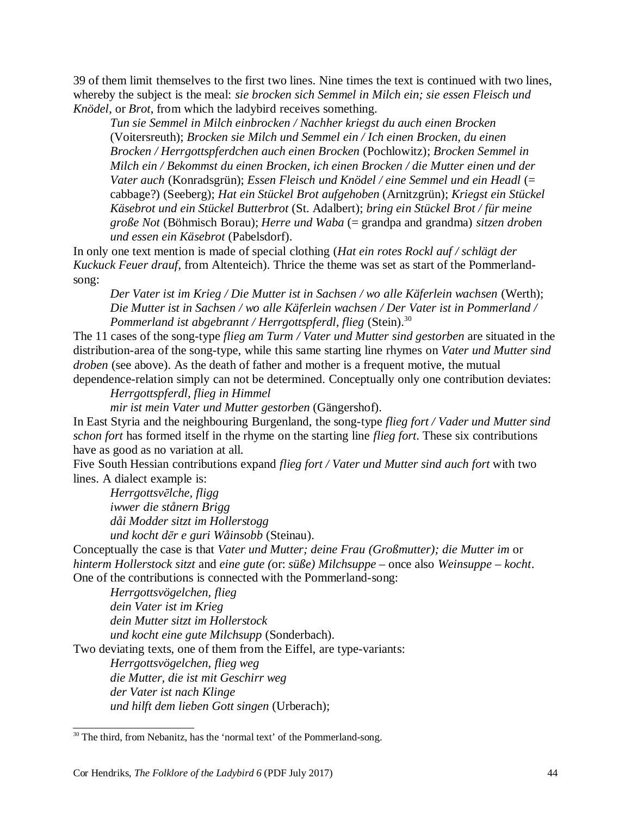39 of them limit themselves to the first two lines. Nine times the text is continued with two lines, whereby the subject is the meal: *sie brocken sich Semmel in Milch ein; sie essen Fleisch und Knödel*, or *Brot*, from which the ladybird receives something.

*Tun sie Semmel in Milch einbrocken / Nachher kriegst du auch einen Brocken* (Voitersreuth); *Brocken sie Milch und Semmel ein / Ich einen Brocken, du einen Brocken / Herrgottspferdchen auch einen Brocken* (Pochlowitz); *Brocken Semmel in Milch ein / Bekommst du einen Brocken, ich einen Brocken / die Mutter einen und der Vater auch* (Konradsgrün); *Essen Fleisch und Knödel / eine Semmel und ein Headl* (= cabbage?) (Seeberg); *Hat ein Stückel Brot aufgehoben* (Arnitzgrün); *Kriegst ein Stückel Käsebrot und ein Stückel Butterbrot* (St. Adalbert); *bring ein Stückel Brot / für meine große Not* (Böhmisch Borau); *Herre und Waba* (= grandpa and grandma) *sitzen droben und essen ein Käsebrot* (Pabelsdorf).

In only one text mention is made of special clothing (*Hat ein rotes Rockl auf / schlägt der Kuckuck Feuer drauf*, from Altenteich). Thrice the theme was set as start of the Pommerlandsong:

*Der Vater ist im Krieg / Die Mutter ist in Sachsen / wo alle Käferlein wachsen* (Werth); *Die Mutter ist in Sachsen / wo alle Käferlein wachsen / Der Vater ist in Pommerland / Pommerland ist abgebrannt / Herrgottspferdl, flieg* (Stein).<sup>30</sup>

The 11 cases of the song-type *flieg am Turm / Vater und Mutter sind gestorben* are situated in the distribution-area of the song-type, while this same starting line rhymes on *Vater und Mutter sind droben* (see above). As the death of father and mother is a frequent motive, the mutual dependence-relation simply can not be determined. Conceptually only one contribution deviates:

*Herrgottspferdl, flieg in Himmel* 

*mir ist mein Vater und Mutter gestorben* (Gängershof).

In East Styria and the neighbouring Burgenland, the song-type *flieg fort / Vader und Mutter sind schon fort* has formed itself in the rhyme on the starting line *flieg fort*. These six contributions have as good as no variation at all.

Five South Hessian contributions expand *flieg fort / Vater und Mutter sind auch fort* with two lines. A dialect example is:

*Herrgottsvēlche, fligg iwwer die stånern Brigg dåi Modder sitzt im Hollerstogg und kocht dēr e guri Wåinsobb* (Steinau).

Conceptually the case is that *Vater und Mutter; deine Frau (Großmutter); die Mutter im* or *hinterm Hollerstock sitzt* and *eine gute (*or: *süße) Milchsuppe* – once also *Weinsuppe – kocht*. One of the contributions is connected with the Pommerland-song:

*Herrgottsvögelchen, flieg dein Vater ist im Krieg dein Mutter sitzt im Hollerstock und kocht eine gute Milchsupp* (Sonderbach).

Two deviating texts, one of them from the Eiffel, are type-variants:

*Herrgottsvögelchen, flieg weg die Mutter, die ist mit Geschirr weg* 

*der Vater ist nach Klinge*

*und hilft dem lieben Gott singen* (Urberach);

<sup>&</sup>lt;sup>30</sup> The third, from Nebanitz, has the 'normal text' of the Pommerland-song.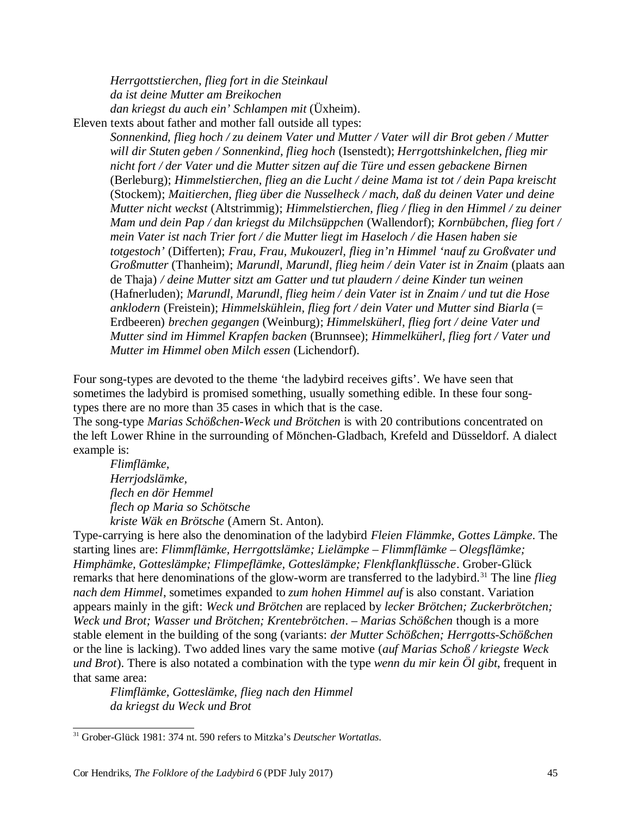*Herrgottstierchen, flieg fort in die Steinkaul da ist deine Mutter am Breikochen dan kriegst du auch ein' Schlampen mit* (Üxheim). Eleven texts about father and mother fall outside all types:

> *Sonnenkind, flieg hoch / zu deinem Vater und Mutter / Vater will dir Brot geben / Mutter will dir Stuten geben / Sonnenkind, flieg hoch* (Isenstedt); *Herrgottshinkelchen, flieg mir nicht fort / der Vater und die Mutter sitzen auf die Türe und essen gebackene Birnen* (Berleburg); *Himmelstierchen, flieg an die Lucht / deine Mama ist tot / dein Papa kreischt* (Stockem); *Maitierchen, flieg über die Nusselheck / mach, daß du deinen Vater und deine Mutter nicht weckst* (Altstrimmig); *Himmelstierchen, flieg / flieg in den Himmel / zu deiner Mam und dein Pap / dan kriegst du Milchsüppchen* (Wallendorf); *Kornbübchen, flieg fort / mein Vater ist nach Trier fort / die Mutter liegt im Haseloch / die Hasen haben sie totgestoch'* (Differten); *Frau, Frau, Mukouzerl, flieg in'n Himmel 'nauf zu Großvater und Großmutter* (Thanheim); *Marundl, Marundl, flieg heim / dein Vater ist in Znaim* (plaats aan de Thaja) */ deine Mutter sitzt am Gatter und tut plaudern / deine Kinder tun weinen* (Hafnerluden); *Marundl, Marundl, flieg heim / dein Vater ist in Znaim / und tut die Hose anklodern* (Freistein); *Himmelskühlein, flieg fort / dein Vater und Mutter sind Biarla* (= Erdbeeren) *brechen gegangen* (Weinburg); *Himmelsküherl, flieg fort / deine Vater und Mutter sind im Himmel Krapfen backen* (Brunnsee); *Himmelküherl, flieg fort / Vater und Mutter im Himmel oben Milch essen* (Lichendorf).

Four song-types are devoted to the theme 'the ladybird receives gifts'. We have seen that sometimes the ladybird is promised something, usually something edible. In these four songtypes there are no more than 35 cases in which that is the case.

The song-type *Marias Schößchen-Weck und Brötchen* is with 20 contributions concentrated on the left Lower Rhine in the surrounding of Mönchen-Gladbach, Krefeld and Düsseldorf. A dialect example is:

*Flimflämke, Herrjodslämke, flech en dör Hemmel flech op Maria so Schötsche kriste Wäk en Brötsche* (Amern St. Anton).

Type-carrying is here also the denomination of the ladybird *Fleien Flämmke, Gottes Lämpke*. The starting lines are: *Flimmflämke, Herrgottslämke; Lielämpke – Flimmflämke – Olegsflämke; Himphämke, Gotteslämpke; Flimpeflämke, Gotteslämpke; Flenkflankflüssche*. Grober-Glück remarks that here denominations of the glow-worm are transferred to the ladybird.<sup>31</sup> The line *flieg nach dem Himmel*, sometimes expanded to *zum hohen Himmel auf* is also constant. Variation appears mainly in the gift: *Weck und Brötchen* are replaced by *lecker Brötchen; Zuckerbrötchen; Weck und Brot; Wasser und Brötchen; Krentebrötchen*. – *Marias Schößchen* though is a more stable element in the building of the song (variants: *der Mutter Schößchen; Herrgotts-Schößchen* or the line is lacking). Two added lines vary the same motive (*auf Marias Schoß / kriegste Weck und Brot*). There is also notated a combination with the type *wenn du mir kein Öl gibt*, frequent in that same area:

*Flimflämke, Gotteslämke, flieg nach den Himmel da kriegst du Weck und Brot* 

<sup>31</sup> Grober-Glück 1981: 374 nt. 590 refers to Mitzka's *Deutscher Wortatlas*.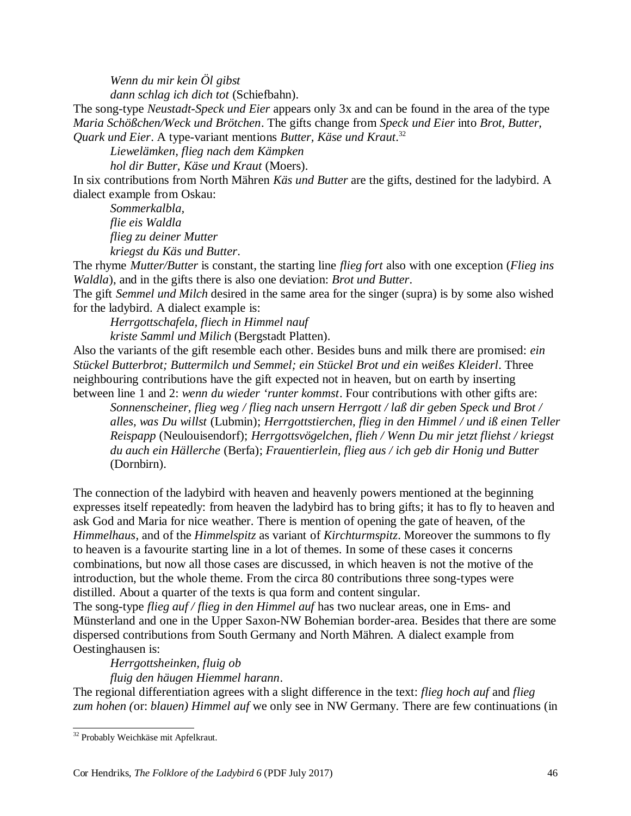*Wenn du mir kein Öl gibst* 

*dann schlag ich dich tot* (Schiefbahn).

The song-type *Neustadt-Speck und Eier* appears only 3x and can be found in the area of the type *Maria Schößchen/Weck und Brötchen*. The gifts change from *Speck und Eier* into *Brot, Butter, Quark und Eier*. A type-variant mentions *Butter, Käse und Kraut*. 32

*Liewelämken, flieg nach dem Kämpken* 

*hol dir Butter, Käse und Kraut* (Moers).

In six contributions from North Mähren *Käs und Butter* are the gifts, destined for the ladybird. A dialect example from Oskau:

*Sommerkalbla, flie eis Waldla flieg zu deiner Mutter kriegst du Käs und Butter*.

The rhyme *Mutter/Butter* is constant, the starting line *flieg fort* also with one exception (*Flieg ins Waldla*), and in the gifts there is also one deviation: *Brot und Butter*.

The gift *Semmel und Milch* desired in the same area for the singer (supra) is by some also wished for the ladybird. A dialect example is:

*Herrgottschafela, fliech in Himmel nauf kriste Samml und Milich* (Bergstadt Platten).

Also the variants of the gift resemble each other. Besides buns and milk there are promised: *ein Stückel Butterbrot; Buttermilch und Semmel; ein Stückel Brot und ein weißes Kleiderl*. Three neighbouring contributions have the gift expected not in heaven, but on earth by inserting between line 1 and 2: *wenn du wieder 'runter kommst*. Four contributions with other gifts are:

*Sonnenscheiner, flieg weg / flieg nach unsern Herrgott / laß dir geben Speck und Brot / alles, was Du willst* (Lubmin); *Herrgottstierchen, flieg in den Himmel / und iß einen Teller Reispapp* (Neulouisendorf); *Herrgottsvögelchen, flieh / Wenn Du mir jetzt fliehst / kriegst du auch ein Hällerche* (Berfa); *Frauentierlein, flieg aus / ich geb dir Honig und Butter* (Dornbirn).

The connection of the ladybird with heaven and heavenly powers mentioned at the beginning expresses itself repeatedly: from heaven the ladybird has to bring gifts; it has to fly to heaven and ask God and Maria for nice weather. There is mention of opening the gate of heaven, of the *Himmelhaus*, and of the *Himmelspitz* as variant of *Kirchturmspitz*. Moreover the summons to fly to heaven is a favourite starting line in a lot of themes. In some of these cases it concerns combinations, but now all those cases are discussed, in which heaven is not the motive of the introduction, but the whole theme. From the circa 80 contributions three song-types were distilled. About a quarter of the texts is qua form and content singular.

The song-type *flieg auf / flieg in den Himmel auf* has two nuclear areas, one in Ems- and Münsterland and one in the Upper Saxon-NW Bohemian border-area. Besides that there are some dispersed contributions from South Germany and North Mähren. A dialect example from Oestinghausen is:

*Herrgottsheinken, fluig ob* 

*fluig den häugen Hiemmel harann*.

The regional differentiation agrees with a slight difference in the text: *flieg hoch auf* and *flieg zum hohen (*or: *blauen) Himmel auf* we only see in NW Germany. There are few continuations (in

<sup>32</sup> Probably Weichkäse mit Apfelkraut.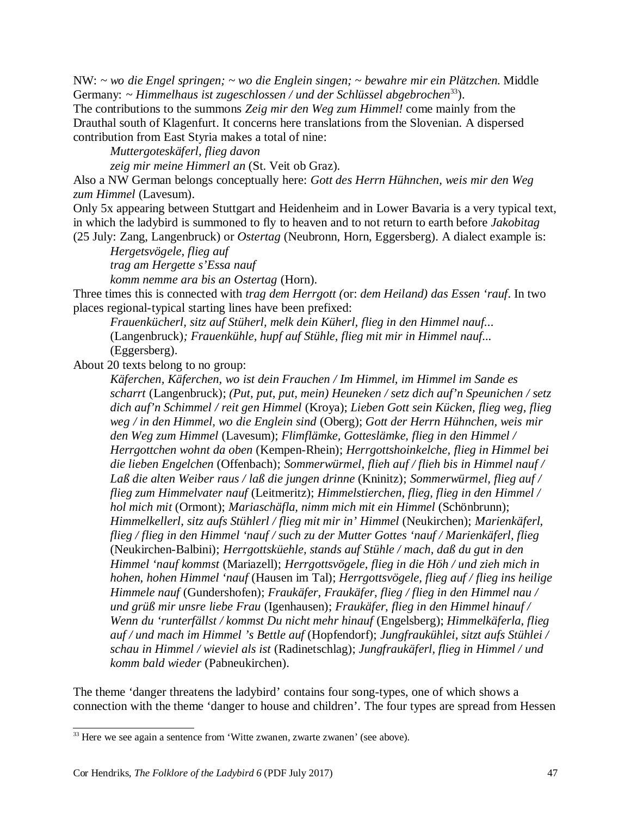NW: *~ wo die Engel springen; ~ wo die Englein singen; ~ bewahre mir ein Plätzchen.* Middle Germany: *~ Himmelhaus ist zugeschlossen / und der Schlüssel abgebrochen*<sup>33</sup>).

The contributions to the summons *Zeig mir den Weg zum Himmel!* come mainly from the Drauthal south of Klagenfurt. It concerns here translations from the Slovenian. A dispersed contribution from East Styria makes a total of nine:

*Muttergoteskäferl, flieg davon* 

*zeig mir meine Himmerl an* (St. Veit ob Graz).

Also a NW German belongs conceptually here: *Gott des Herrn Hühnchen, weis mir den Weg zum Himmel* (Lavesum).

Only 5x appearing between Stuttgart and Heidenheim and in Lower Bavaria is a very typical text, in which the ladybird is summoned to fly to heaven and to not return to earth before *Jakobitag* (25 July: Zang, Langenbruck) or *Ostertag* (Neubronn, Horn, Eggersberg). A dialect example is:

*Hergetsvögele, flieg auf trag am Hergette s'Essa nauf* 

*komm nemme ara bis an Ostertag* (Horn).

Three times this is connected with *trag dem Herrgott (*or: *dem Heiland) das Essen 'rauf*. In two places regional-typical starting lines have been prefixed:

*Frauenkücherl, sitz auf Stüherl, melk dein Küherl, flieg in den Himmel nauf...* (Langenbruck)*; Frauenkühle, hupf auf Stühle, flieg mit mir in Himmel nauf...* (Eggersberg).

About 20 texts belong to no group:

*Käferchen, Käferchen, wo ist dein Frauchen / Im Himmel, im Himmel im Sande es scharrt* (Langenbruck); *(Put, put, put, mein) Heuneken / setz dich auf'n Speunichen / setz dich auf'n Schimmel / reit gen Himmel* (Kroya); *Lieben Gott sein Kücken, flieg weg, flieg weg / in den Himmel, wo die Englein sind* (Oberg); *Gott der Herrn Hühnchen, weis mir den Weg zum Himmel* (Lavesum); *Flimflämke, Gotteslämke, flieg in den Himmel / Herrgottchen wohnt da oben* (Kempen-Rhein); *Herrgottshoinkelche, flieg in Himmel bei die lieben Engelchen* (Offenbach); *Sommerwürmel, flieh auf / flieh bis in Himmel nauf / Laß die alten Weiber raus / laß die jungen drinne* (Kninitz); *Sommerwürmel, flieg auf / flieg zum Himmelvater nauf* (Leitmeritz); *Himmelstierchen, flieg, flieg in den Himmel / hol mich mit* (Ormont); *Mariaschäfla, nimm mich mit ein Himmel* (Schönbrunn); *Himmelkellerl, sitz aufs Stühlerl / flieg mit mir in' Himmel* (Neukirchen); *Marienkäferl, flieg / flieg in den Himmel 'nauf / such zu der Mutter Gottes 'nauf / Marienkäferl, flieg* (Neukirchen-Balbini); *Herrgottsküehle, stands auf Stühle / mach, daß du gut in den Himmel 'nauf kommst* (Mariazell); *Herrgottsvögele, flieg in die Höh / und zieh mich in hohen, hohen Himmel 'nauf* (Hausen im Tal); *Herrgottsvögele, flieg auf / flieg ins heilige Himmele nauf* (Gundershofen); *Fraukäfer, Fraukäfer, flieg / flieg in den Himmel nau / und grüß mir unsre liebe Frau* (Igenhausen); *Fraukäfer, flieg in den Himmel hinauf / Wenn du 'runterfällst / kommst Du nicht mehr hinauf* (Engelsberg); *Himmelkäferla, flieg auf / und mach im Himmel 's Bettle auf* (Hopfendorf); *Jungfraukühlei, sitzt aufs Stühlei / schau in Himmel / wieviel als ist* (Radinetschlag); *Jungfraukäferl, flieg in Himmel / und komm bald wieder* (Pabneukirchen).

The theme 'danger threatens the ladybird' contains four song-types, one of which shows a connection with the theme 'danger to house and children'. The four types are spread from Hessen

<sup>&</sup>lt;sup>33</sup> Here we see again a sentence from 'Witte zwanen, zwarte zwanen' (see above).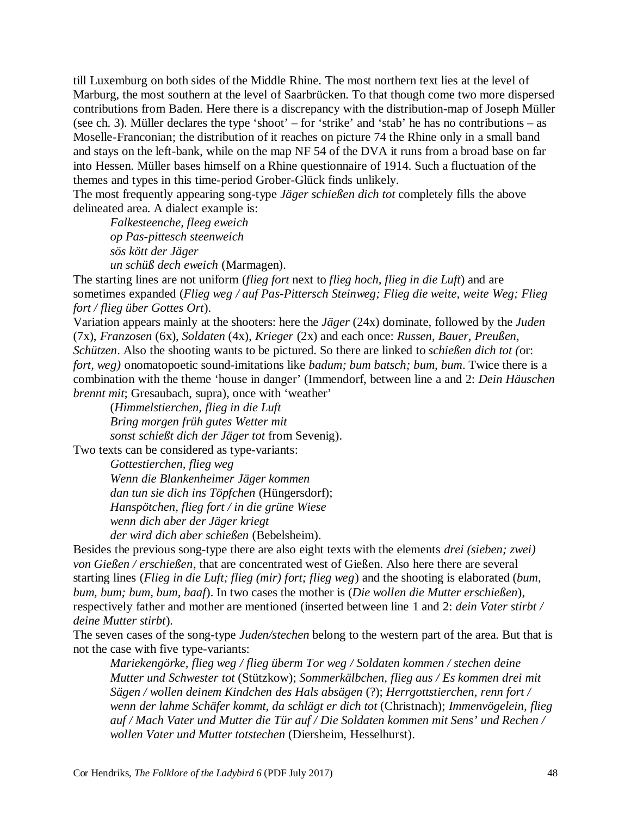till Luxemburg on both sides of the Middle Rhine. The most northern text lies at the level of Marburg, the most southern at the level of Saarbrücken. To that though come two more dispersed contributions from Baden. Here there is a discrepancy with the distribution-map of Joseph Müller (see ch. 3). Müller declares the type 'shoot' – for 'strike' and 'stab' he has no contributions – as Moselle-Franconian; the distribution of it reaches on picture 74 the Rhine only in a small band and stays on the left-bank, while on the map NF 54 of the DVA it runs from a broad base on far into Hessen. Müller bases himself on a Rhine questionnaire of 1914. Such a fluctuation of the themes and types in this time-period Grober-Glück finds unlikely.

The most frequently appearing song-type *Jäger schießen dich tot* completely fills the above delineated area. A dialect example is:

*Falkesteenche, fleeg eweich op Pas-pittesch steenweich sös kött der Jäger un schüß dech eweich* (Marmagen).

The starting lines are not uniform (*flieg fort* next to *flieg hoch, flieg in die Luft*) and are sometimes expanded (*Flieg weg / auf Pas-Pittersch Steinweg; Flieg die weite, weite Weg; Flieg fort / flieg über Gottes Ort*).

Variation appears mainly at the shooters: here the *Jäger* (24x) dominate, followed by the *Juden* (7x), *Franzosen* (6x), *Soldaten* (4x), *Krieger* (2x) and each once: *Russen, Bauer, Preußen, Schützen*. Also the shooting wants to be pictured. So there are linked to *schießen dich tot (*or: *fort, weg)* onomatopoetic sound-imitations like *badum; bum batsch; bum, bum.* Twice there is a combination with the theme 'house in danger' (Immendorf, between line a and 2: *Dein Häuschen brennt mit*; Gresaubach, supra), once with 'weather'

(*Himmelstierchen, flieg in die Luft Bring morgen früh gutes Wetter mit sonst schießt dich der Jäger tot* from Sevenig).

Two texts can be considered as type-variants:

*Gottestierchen, flieg weg Wenn die Blankenheimer Jäger kommen dan tun sie dich ins Töpfchen* (Hüngersdorf); *Hanspötchen, flieg fort / in die grüne Wiese wenn dich aber der Jäger kriegt der wird dich aber schießen* (Bebelsheim).

Besides the previous song-type there are also eight texts with the elements *drei (sieben; zwei) von Gießen / erschießen*, that are concentrated west of Gießen. Also here there are several starting lines (*Flieg in die Luft; flieg (mir) fort; flieg weg*) and the shooting is elaborated (*bum, bum, bum; bum, bum, baaf*). In two cases the mother is (*Die wollen die Mutter erschießen*), respectively father and mother are mentioned (inserted between line 1 and 2: *dein Vater stirbt / deine Mutter stirbt*).

The seven cases of the song-type *Juden/stechen* belong to the western part of the area. But that is not the case with five type-variants:

*Mariekengörke, flieg weg / flieg überm Tor weg / Soldaten kommen / stechen deine Mutter und Schwester tot* (Stützkow); *Sommerkälbchen, flieg aus / Es kommen drei mit Sägen / wollen deinem Kindchen des Hals absägen* (?); *Herrgottstierchen, renn fort / wenn der lahme Schäfer kommt, da schlägt er dich tot* (Christnach); *Immenvögelein, flieg auf / Mach Vater und Mutter die Tür auf / Die Soldaten kommen mit Sens' und Rechen / wollen Vater und Mutter totstechen* (Diersheim, Hesselhurst).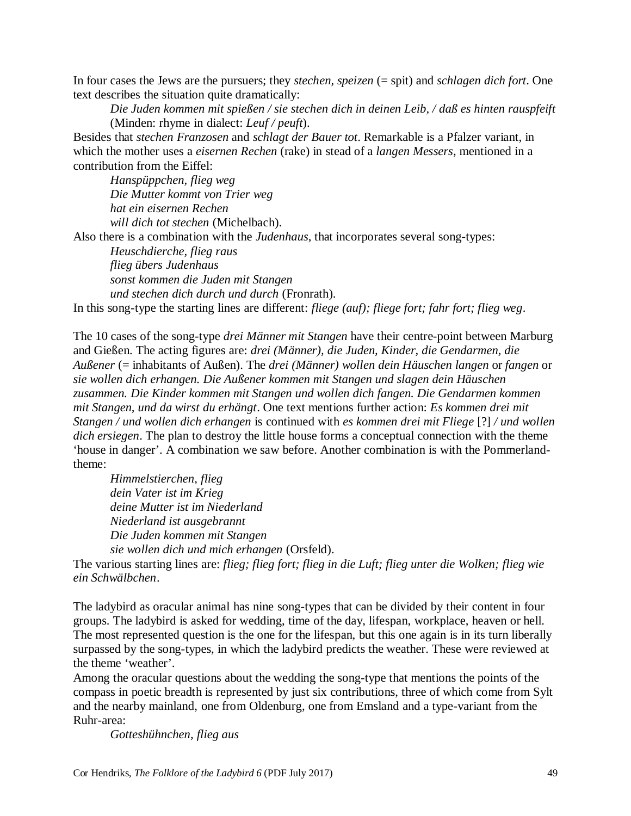In four cases the Jews are the pursuers; they *stechen, speizen* (= spit) and *schlagen dich fort*. One text describes the situation quite dramatically:

*Die Juden kommen mit spießen / sie stechen dich in deinen Leib, / daß es hinten rauspfeift* (Minden: rhyme in dialect: *Leuf / peuft*).

Besides that *stechen Franzosen* and *schlagt der Bauer tot*. Remarkable is a Pfalzer variant, in which the mother uses a *eisernen Rechen* (rake) in stead of a *langen Messers*, mentioned in a contribution from the Eiffel:

*Hanspüppchen, flieg weg Die Mutter kommt von Trier weg hat ein eisernen Rechen will dich tot stechen* (Michelbach).

Also there is a combination with the *Judenhaus*, that incorporates several song-types:

*Heuschdierche, flieg raus flieg übers Judenhaus sonst kommen die Juden mit Stangen und stechen dich durch und durch* (Fronrath).

In this song-type the starting lines are different: *fliege (auf); fliege fort; fahr fort; flieg weg*.

The 10 cases of the song-type *drei Männer mit Stangen* have their centre-point between Marburg and Gießen. The acting figures are: *drei (Männer), die Juden, Kinder, die Gendarmen, die Außener* (= inhabitants of Außen). The *drei (Männer) wollen dein Häuschen langen* or *fangen* or *sie wollen dich erhangen. Die Außener kommen mit Stangen und slagen dein Häuschen zusammen. Die Kinder kommen mit Stangen und wollen dich fangen. Die Gendarmen kommen mit Stangen, und da wirst du erhängt*. One text mentions further action: *Es kommen drei mit Stangen / und wollen dich erhangen* is continued with *es kommen drei mit Fliege* [?] */ und wollen dich ersiegen*. The plan to destroy the little house forms a conceptual connection with the theme 'house in danger'. A combination we saw before. Another combination is with the Pommerlandtheme:

*Himmelstierchen, flieg dein Vater ist im Krieg deine Mutter ist im Niederland Niederland ist ausgebrannt Die Juden kommen mit Stangen sie wollen dich und mich erhangen* (Orsfeld).

The various starting lines are: *flieg; flieg fort; flieg in die Luft; flieg unter die Wolken; flieg wie ein Schwälbchen*.

The ladybird as oracular animal has nine song-types that can be divided by their content in four groups. The ladybird is asked for wedding, time of the day, lifespan, workplace, heaven or hell. The most represented question is the one for the lifespan, but this one again is in its turn liberally surpassed by the song-types, in which the ladybird predicts the weather. These were reviewed at the theme 'weather'.

Among the oracular questions about the wedding the song-type that mentions the points of the compass in poetic breadth is represented by just six contributions, three of which come from Sylt and the nearby mainland, one from Oldenburg, one from Emsland and a type-variant from the Ruhr-area:

*Gotteshühnchen, flieg aus*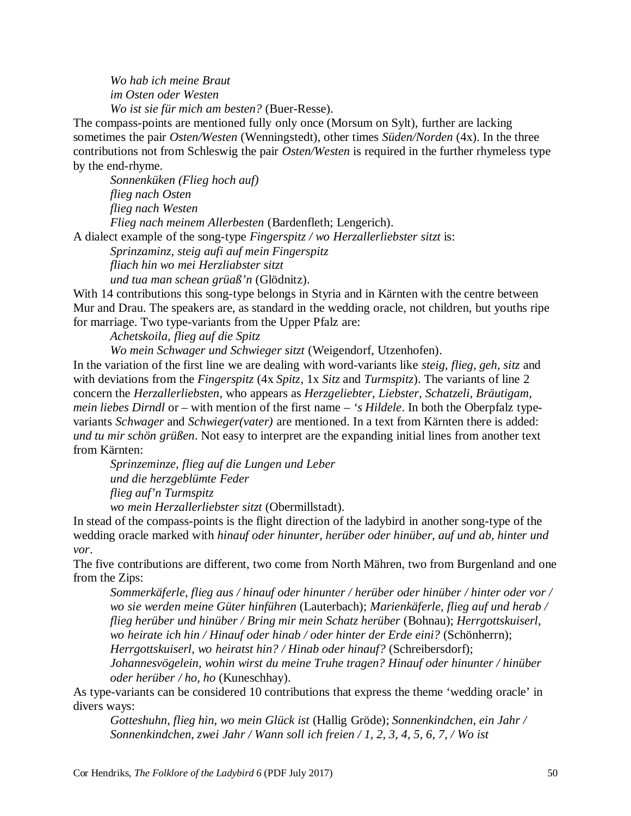*Wo hab ich meine Braut im Osten oder Westen Wo ist sie für mich am besten?* (Buer-Resse).

The compass-points are mentioned fully only once (Morsum on Sylt), further are lacking sometimes the pair *Osten/Westen* (Wenningstedt), other times *Süden/Norden* (4x). In the three contributions not from Schleswig the pair *Osten/Westen* is required in the further rhymeless type by the end-rhyme.

*Sonnenküken (Flieg hoch auf) flieg nach Osten flieg nach Westen Flieg nach meinem Allerbesten* (Bardenfleth; Lengerich).

A dialect example of the song-type *Fingerspitz / wo Herzallerliebster sitzt* is:

*Sprinzaminz, steig aufi auf mein Fingerspitz fliach hin wo mei Herzliabster sitzt* 

*und tua man schean grüaß'n* (Glödnitz).

With 14 contributions this song-type belongs in Styria and in Kärnten with the centre between Mur and Drau. The speakers are, as standard in the wedding oracle, not children, but youths ripe for marriage. Two type-variants from the Upper Pfalz are:

*Achetskoila, flieg auf die Spitz* 

*Wo mein Schwager und Schwieger sitzt* (Weigendorf, Utzenhofen).

In the variation of the first line we are dealing with word-variants like *steig, flieg, geh, sitz* and with deviations from the *Fingerspitz* (4x *Spitz*, 1x *Sitz* and *Turmspitz*). The variants of line 2 concern the *Herzallerliebsten*, who appears as *Herzgeliebter, Liebster, Schatzeli, Bräutigam, mein liebes Dirndl* or – with mention of the first name – *'s Hildele*. In both the Oberpfalz typevariants *Schwager* and *Schwieger(vater)* are mentioned. In a text from Kärnten there is added: *und tu mir schön grüßen*. Not easy to interpret are the expanding initial lines from another text from Kärnten:

*Sprinzeminze, flieg auf die Lungen und Leber und die herzgeblümte Feder flieg auf'n Turmspitz wo mein Herzallerliebster sitzt* (Obermillstadt).

In stead of the compass-points is the flight direction of the ladybird in another song-type of the wedding oracle marked with *hinauf oder hinunter, herüber oder hinüber, auf und ab, hinter und vor*.

The five contributions are different, two come from North Mähren, two from Burgenland and one from the Zips:

*Sommerkäferle, flieg aus / hinauf oder hinunter / herüber oder hinüber / hinter oder vor / wo sie werden meine Güter hinführen* (Lauterbach); *Marienkäferle, flieg auf und herab / flieg herüber und hinüber / Bring mir mein Schatz herüber* (Bohnau); *Herrgottskuiserl, wo heirate ich hin / Hinauf oder hinab / oder hinter der Erde eini?* (Schönherrn); *Herrgottskuiserl, wo heiratst hin? / Hinab oder hinauf?* (Schreibersdorf);

*Johannesvögelein, wohin wirst du meine Truhe tragen? Hinauf oder hinunter / hinüber oder herüber / ho, ho* (Kuneschhay).

As type-variants can be considered 10 contributions that express the theme 'wedding oracle' in divers ways:

*Gotteshuhn, flieg hin, wo mein Glück ist* (Hallig Gröde); *Sonnenkindchen, ein Jahr / Sonnenkindchen, zwei Jahr / Wann soll ich freien / 1, 2, 3, 4, 5, 6, 7, / Wo ist*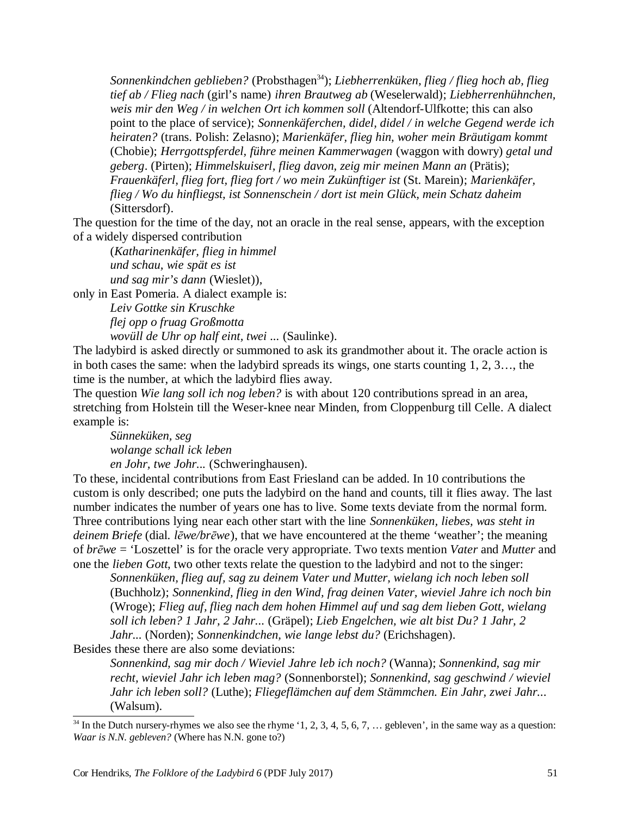*Sonnenkindchen geblieben?* (Probsthagen<sup>34</sup>); *Liebherrenküken, flieg / flieg hoch ab, flieg tief ab / Flieg nach* (girl's name) *ihren Brautweg ab* (Weselerwald); *Liebherrenhühnchen, weis mir den Weg / in welchen Ort ich kommen soll* (Altendorf-Ulfkotte; this can also point to the place of service); *Sonnenkäferchen, didel, didel / in welche Gegend werde ich heiraten?* (trans. Polish: Zelasno); *Marienkäfer, flieg hin, woher mein Bräutigam kommt* (Chobie); *Herrgottspferdel, führe meinen Kammerwagen* (waggon with dowry) *getal und geberg*. (Pirten); *Himmelskuiserl, flieg davon, zeig mir meinen Mann an* (Prätis); *Frauenkäferl, flieg fort, flieg fort / wo mein Zukünftiger ist* (St. Marein); *Marienkäfer, flieg / Wo du hinfliegst, ist Sonnenschein / dort ist mein Glück, mein Schatz daheim* (Sittersdorf).

The question for the time of the day, not an oracle in the real sense, appears, with the exception of a widely dispersed contribution

(*Katharinenkäfer, flieg in himmel und schau, wie spät es ist und sag mir's dann* (Wieslet)),

only in East Pomeria. A dialect example is:

*Leiv Gottke sin Kruschke flej opp o fruag Großmotta wovüll de Uhr op half eint, twei ...* (Saulinke).

The ladybird is asked directly or summoned to ask its grandmother about it. The oracle action is in both cases the same: when the ladybird spreads its wings, one starts counting 1, 2, 3…, the

time is the number, at which the ladybird flies away. The question *Wie lang soll ich nog leben?* is with about 120 contributions spread in an area, stretching from Holstein till the Weser-knee near Minden, from Cloppenburg till Celle. A dialect

example is: *Sünneküken, seg wolange schall ick leben en Johr, twe Johr...* (Schweringhausen).

To these, incidental contributions from East Friesland can be added. In 10 contributions the custom is only described; one puts the ladybird on the hand and counts, till it flies away. The last number indicates the number of years one has to live. Some texts deviate from the normal form. Three contributions lying near each other start with the line *Sonnenküken, liebes, was steht in deinem Briefe* (dial. *lēwe/brēwe*), that we have encountered at the theme 'weather'; the meaning of *brēwe* = 'Loszettel' is for the oracle very appropriate. Two texts mention *Vater* and *Mutter* and one the *lieben Gott*, two other texts relate the question to the ladybird and not to the singer:

*Sonnenküken, flieg auf, sag zu deinem Vater und Mutter, wielang ich noch leben soll* (Buchholz); *Sonnenkind, flieg in den Wind, frag deinen Vater, wieviel Jahre ich noch bin* (Wroge); *Flieg auf, flieg nach dem hohen Himmel auf und sag dem lieben Gott, wielang soll ich leben? 1 Jahr, 2 Jahr...* (Gräpel); *Lieb Engelchen, wie alt bist Du? 1 Jahr, 2 Jahr...* (Norden); *Sonnenkindchen, wie lange lebst du?* (Erichshagen).

Besides these there are also some deviations:

*Sonnenkind, sag mir doch / Wieviel Jahre leb ich noch?* (Wanna); *Sonnenkind, sag mir recht, wieviel Jahr ich leben mag?* (Sonnenborstel); *Sonnenkind, sag geschwind / wieviel Jahr ich leben soll?* (Luthe); *Fliegeflämchen auf dem Stämmchen. Ein Jahr, zwei Jahr...* (Walsum).

 $34$  In the Dutch nursery-rhymes we also see the rhyme '1, 2, 3, 4, 5, 6, 7, ... gebleven', in the same way as a question: *Waar is N.N. gebleven?* (Where has N.N. gone to?)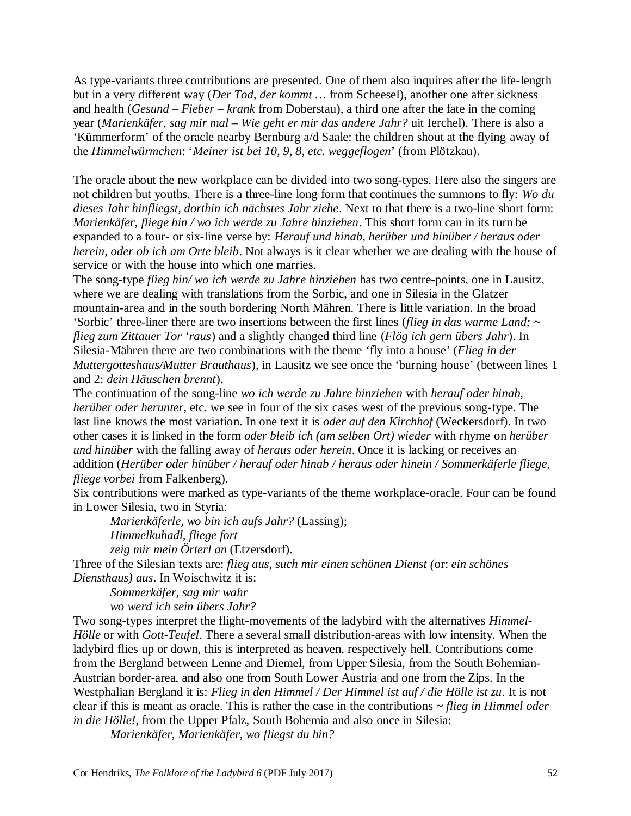As type-variants three contributions are presented. One of them also inquires after the life-length but in a very different way (*Der Tod, der kommt …* from Scheesel), another one after sickness and health (*Gesund – Fieber – krank* from Doberstau), a third one after the fate in the coming year (*Marienkäfer, sag mir mal – Wie geht er mir das andere Jahr?* uit Ierchel). There is also a 'Kümmerform' of the oracle nearby Bernburg a/d Saale: the children shout at the flying away of the *Himmelwürmchen*: '*Meiner ist bei 10, 9, 8, etc. weggeflogen*' (from Plötzkau).

The oracle about the new workplace can be divided into two song-types. Here also the singers are not children but youths. There is a three-line long form that continues the summons to fly: *Wo du dieses Jahr hinfliegst, dorthin ich nächstes Jahr ziehe*. Next to that there is a two-line short form: *Marienkäfer, fliege hin / wo ich werde zu Jahre hinziehen*. This short form can in its turn be expanded to a four- or six-line verse by: *Herauf und hinab, herüber und hinüber / heraus oder herein, oder ob ich am Orte bleib*. Not always is it clear whether we are dealing with the house of service or with the house into which one marries.

The song-type *flieg hin/ wo ich werde zu Jahre hinziehen* has two centre-points, one in Lausitz, where we are dealing with translations from the Sorbic, and one in Silesia in the Glatzer mountain-area and in the south bordering North Mähren. There is little variation. In the broad 'Sorbic' three-liner there are two insertions between the first lines (*flieg in das warme Land; ~ flieg zum Zittauer Tor 'raus*) and a slightly changed third line (*Flög ich gern übers Jahr*). In Silesia-Mähren there are two combinations with the theme 'fly into a house' (*Flieg in der Muttergotteshaus/Mutter Brauthaus*), in Lausitz we see once the 'burning house' (between lines 1 and 2: *dein Häuschen brennt*).

The continuation of the song-line *wo ich werde zu Jahre hinziehen* with *herauf oder hinab, herüber oder herunter*, etc. we see in four of the six cases west of the previous song-type. The last line knows the most variation. In one text it is *oder auf den Kirchhof* (Weckersdorf). In two other cases it is linked in the form *oder bleib ich (am selben Ort) wieder* with rhyme on *herüber und hinüber* with the falling away of *heraus oder herein*. Once it is lacking or receives an addition (*Herüber oder hinüber / herauf oder hinab / heraus oder hinein / Sommerkäferle fliege, fliege vorbei* from Falkenberg).

Six contributions were marked as type-variants of the theme workplace-oracle. Four can be found in Lower Silesia, two in Styria:

*Marienkäferle, wo bin ich aufs Jahr?* (Lassing); *Himmelkuhadl, fliege fort zeig mir mein Örterl an* (Etzersdorf).

Three of the Silesian texts are: *flieg aus, such mir einen schönen Dienst (*or: *ein schönes Diensthaus) aus*. In Woischwitz it is:

*Sommerkäfer, sag mir wahr wo werd ich sein übers Jahr?*

Two song-types interpret the flight-movements of the ladybird with the alternatives *Himmel-Hölle* or with *Gott-Teufel*. There a several small distribution-areas with low intensity. When the ladybird flies up or down, this is interpreted as heaven, respectively hell. Contributions come from the Bergland between Lenne and Diemel, from Upper Silesia, from the South Bohemian-Austrian border-area, and also one from South Lower Austria and one from the Zips. In the Westphalian Bergland it is: *Flieg in den Himmel / Der Himmel ist auf / die Hölle ist zu*. It is not clear if this is meant as oracle. This is rather the case in the contributions *~ flieg in Himmel oder in die Hölle!*, from the Upper Pfalz, South Bohemia and also once in Silesia:

*Marienkäfer, Marienkäfer, wo fliegst du hin?*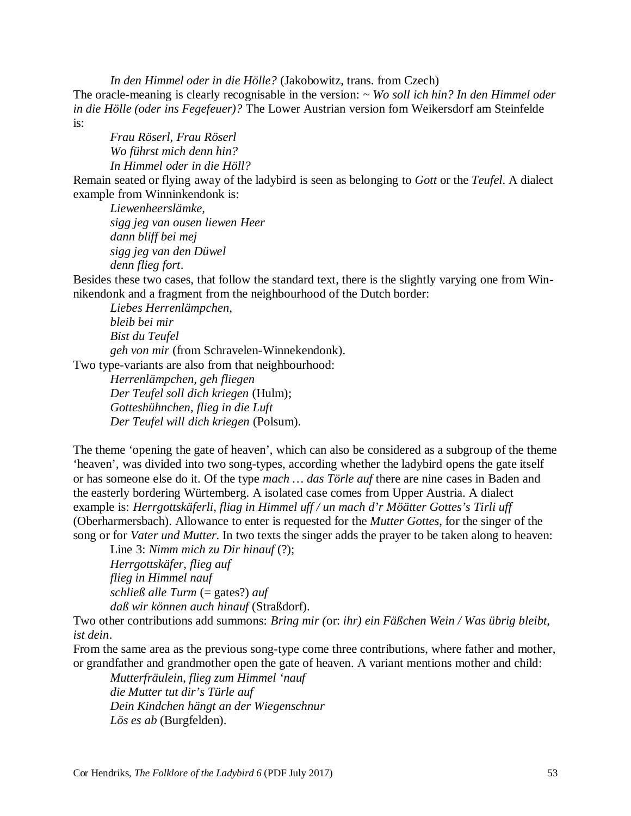*In den Himmel oder in die Hölle?* (Jakobowitz, trans. from Czech) The oracle-meaning is clearly recognisable in the version: *~ Wo soll ich hin? In den Himmel oder in die Hölle (oder ins Fegefeuer)?* The Lower Austrian version fom Weikersdorf am Steinfelde is:

*Frau Röserl, Frau Röserl Wo führst mich denn hin? In Himmel oder in die Höll?*

Remain seated or flying away of the ladybird is seen as belonging to *Gott* or the *Teufel*. A dialect example from Winninkendonk is:

*Liewenheerslämke, sigg jeg van ousen liewen Heer dann bliff bei mej sigg jeg van den Düwel denn flieg fort*.

Besides these two cases, that follow the standard text, there is the slightly varying one from Winnikendonk and a fragment from the neighbourhood of the Dutch border:

*Liebes Herrenlämpchen, bleib bei mir Bist du Teufel geh von mir* (from Schravelen-Winnekendonk). Two type-variants are also from that neighbourhood:

*Herrenlämpchen, geh fliegen Der Teufel soll dich kriegen* (Hulm); *Gotteshühnchen, flieg in die Luft Der Teufel will dich kriegen* (Polsum).

The theme 'opening the gate of heaven', which can also be considered as a subgroup of the theme 'heaven', was divided into two song-types, according whether the ladybird opens the gate itself or has someone else do it. Of the type *mach … das Törle auf* there are nine cases in Baden and the easterly bordering Würtemberg. A isolated case comes from Upper Austria. A dialect example is: *Herrgottskäferli, fliag in Himmel uff / un mach d'r Möätter Gottes's Tirli uff* (Oberharmersbach). Allowance to enter is requested for the *Mutter Gottes*, for the singer of the song or for *Vater und Mutter*. In two texts the singer adds the prayer to be taken along to heaven:

Line 3: *Nimm mich zu Dir hinauf* (?); *Herrgottskäfer, flieg auf flieg in Himmel nauf*   $schlie\beta$  *alle*  $Turn (= gates?)$  *auf daß wir können auch hinauf* (Straßdorf).

Two other contributions add summons: *Bring mir (*or: *ihr) ein Fäßchen Wein / Was übrig bleibt, ist dein*.

From the same area as the previous song-type come three contributions, where father and mother, or grandfather and grandmother open the gate of heaven. A variant mentions mother and child:

*Mutterfräulein, flieg zum Himmel 'nauf die Mutter tut dir's Türle auf Dein Kindchen hängt an der Wiegenschnur Lös es ab* (Burgfelden).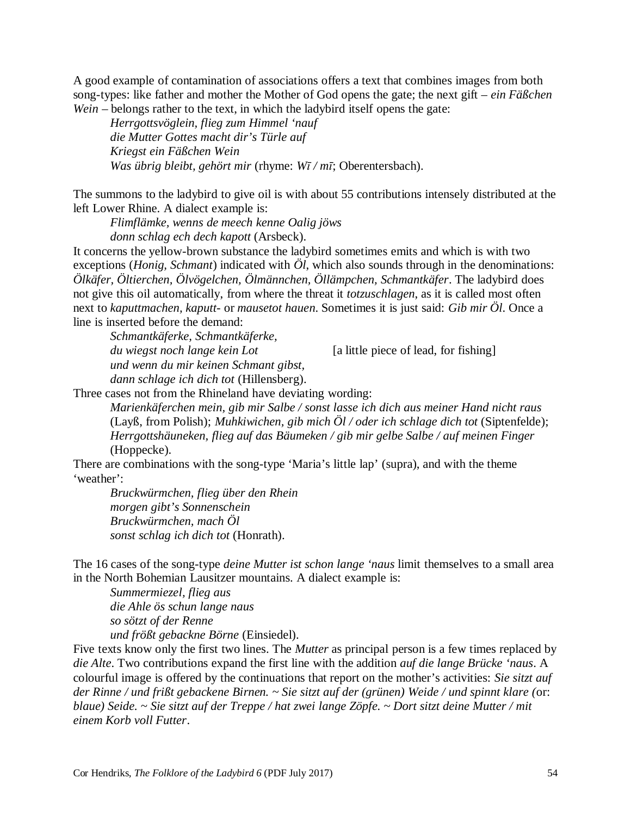A good example of contamination of associations offers a text that combines images from both song-types: like father and mother the Mother of God opens the gate; the next gift – *ein Fäßchen Wein* – belongs rather to the text, in which the ladybird itself opens the gate:

*Herrgottsvöglein, flieg zum Himmel 'nauf die Mutter Gottes macht dir's Türle auf Kriegst ein Fäßchen Wein Was übrig bleibt, gehört mir* (rhyme: *Wī / mī*; Oberentersbach).

The summons to the ladybird to give oil is with about 55 contributions intensely distributed at the left Lower Rhine. A dialect example is:

*Flimflämke, wenns de meech kenne Oalig jöws donn schlag ech dech kapott* (Arsbeck).

It concerns the yellow-brown substance the ladybird sometimes emits and which is with two exceptions (*Honig, Schmant*) indicated with *Öl*, which also sounds through in the denominations: *Ölkäfer, Öltierchen, Ölvögelchen, Ölmännchen, Öllämpchen, Schmantkäfer*. The ladybird does not give this oil automatically, from where the threat it *totzuschlagen*, as it is called most often next to *kaputtmachen, kaputt-* or *mausetot hauen*. Sometimes it is just said: *Gib mir Öl*. Once a line is inserted before the demand:

*Schmantkäferke, Schmantkäferke, du wiegst noch lange kein Lot* [a little piece of lead, for fishing] *und wenn du mir keinen Schmant gibst, dann schlage ich dich tot* (Hillensberg).

Three cases not from the Rhineland have deviating wording:

*Marienkäferchen mein, gib mir Salbe / sonst lasse ich dich aus meiner Hand nicht raus* (Layß, from Polish); *Muhkiwichen, gib mich Öl / oder ich schlage dich tot* (Siptenfelde); *Herrgottshäuneken, flieg auf das Bäumeken / gib mir gelbe Salbe / auf meinen Finger* (Hoppecke).

There are combinations with the song-type 'Maria's little lap' (supra), and with the theme 'weather':

*Bruckwürmchen, flieg über den Rhein morgen gibt's Sonnenschein Bruckwürmchen, mach Öl sonst schlag ich dich tot* (Honrath).

The 16 cases of the song-type *deine Mutter ist schon lange 'naus* limit themselves to a small area in the North Bohemian Lausitzer mountains. A dialect example is:

*Summermiezel, flieg aus die Ahle ös schun lange naus so sötzt of der Renne und frößt gebackne Börne* (Einsiedel).

Five texts know only the first two lines. The *Mutter* as principal person is a few times replaced by *die Alte*. Two contributions expand the first line with the addition *auf die lange Brücke 'naus*. A colourful image is offered by the continuations that report on the mother's activities: *Sie sitzt auf der Rinne / und frißt gebackene Birnen. ~ Sie sitzt auf der (grünen) Weide / und spinnt klare (*or: *blaue) Seide. ~ Sie sitzt auf der Treppe / hat zwei lange Zöpfe. ~ Dort sitzt deine Mutter / mit einem Korb voll Futter*.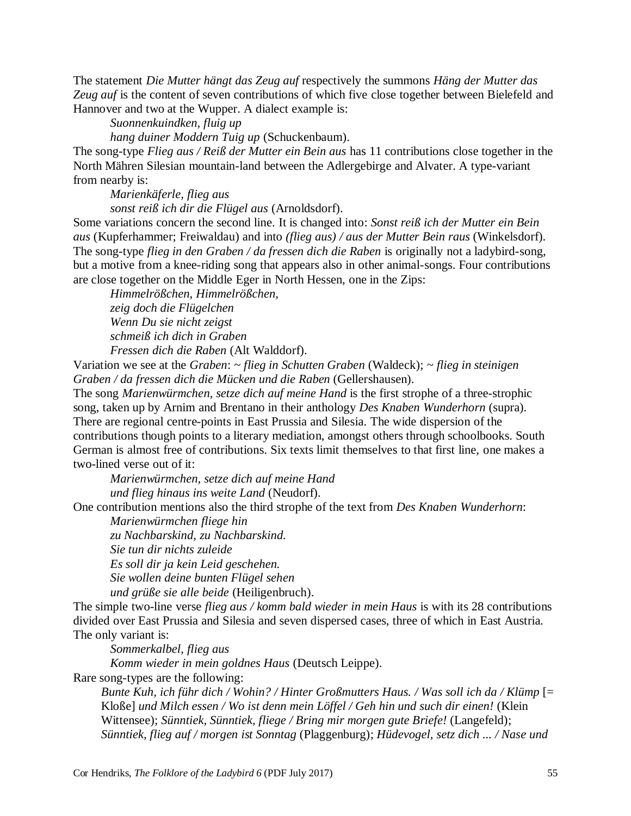The statement *Die Mutter hängt das Zeug auf* respectively the summons *Häng der Mutter das Zeug auf* is the content of seven contributions of which five close together between Bielefeld and Hannover and two at the Wupper. A dialect example is:

*Suonnenkuindken, fluig up* 

*hang duiner Moddern Tuig up* (Schuckenbaum).

The song-type *Flieg aus / Reiß der Mutter ein Bein aus* has 11 contributions close together in the North Mähren Silesian mountain-land between the Adlergebirge and Alvater. A type-variant from nearby is:

*Marienkäferle, flieg aus* 

*sonst reiß ich dir die Flügel aus* (Arnoldsdorf).

Some variations concern the second line. It is changed into: *Sonst reiß ich der Mutter ein Bein aus* (Kupferhammer; Freiwaldau) and into *(flieg aus) / aus der Mutter Bein raus* (Winkelsdorf). The song-type *flieg in den Graben / da fressen dich die Raben* is originally not a ladybird-song, but a motive from a knee-riding song that appears also in other animal-songs. Four contributions are close together on the Middle Eger in North Hessen, one in the Zips:

*Himmelrößchen, Himmelrößchen, zeig doch die Flügelchen Wenn Du sie nicht zeigst schmeiß ich dich in Graben Fressen dich die Raben* (Alt Walddorf).

Variation we see at the *Graben*: *~ flieg in Schutten Graben* (Waldeck); *~ flieg in steinigen Graben / da fressen dich die Mücken und die Raben* (Gellershausen).

The song *Marienwürmchen, setze dich auf meine Hand* is the first strophe of a three-strophic song, taken up by Arnim and Brentano in their anthology *Des Knaben Wunderhorn* (supra). There are regional centre-points in East Prussia and Silesia. The wide dispersion of the contributions though points to a literary mediation, amongst others through schoolbooks. South German is almost free of contributions. Six texts limit themselves to that first line, one makes a two-lined verse out of it:

*Marienwürmchen, setze dich auf meine Hand und flieg hinaus ins weite Land* (Neudorf).

One contribution mentions also the third strophe of the text from *Des Knaben Wunderhorn*:

*Marienwürmchen fliege hin zu Nachbarskind, zu Nachbarskind. Sie tun dir nichts zuleide Es soll dir ja kein Leid geschehen. Sie wollen deine bunten Flügel sehen und grüße sie alle beide* (Heiligenbruch).

The simple two-line verse *flieg aus / komm bald wieder in mein Haus* is with its 28 contributions divided over East Prussia and Silesia and seven dispersed cases, three of which in East Austria. The only variant is:

*Sommerkalbel, flieg aus* 

*Komm wieder in mein goldnes Haus* (Deutsch Leippe).

Rare song-types are the following:

*Bunte Kuh, ich führ dich / Wohin? / Hinter Großmutters Haus. / Was soll ich da / Klümp* [= Kloße] *und Milch essen / Wo ist denn mein Löffel / Geh hin und such dir einen!* (Klein Wittensee); *Sünntiek, Sünntiek, fliege / Bring mir morgen gute Briefe!* (Langefeld); *Sünntiek, flieg auf / morgen ist Sonntag* (Plaggenburg); *Hüdevogel, setz dich ... / Nase und*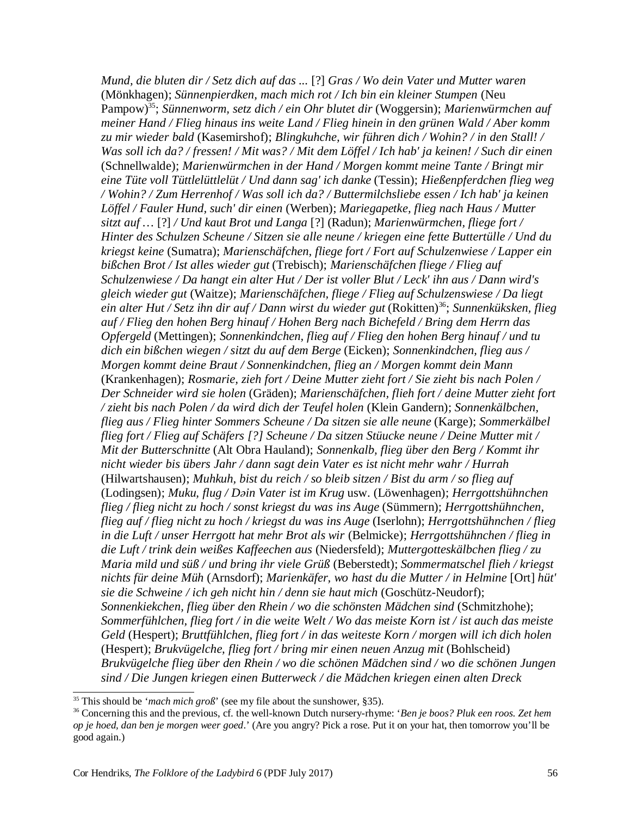*Mund, die bluten dir / Setz dich auf das ...* [?] *Gras / Wo dein Vater und Mutter waren* (Mönkhagen); *Sünnenpierdken, mach mich rot / Ich bin ein kleiner Stumpen* (Neu Pampow)<sup>35</sup>; *Sünnenworm, setz dich / ein Ohr blutet dir* (Woggersin); *Marienwürmchen auf meiner Hand / Flieg hinaus ins weite Land / Flieg hinein in den grünen Wald / Aber komm zu mir wieder bald* (Kasemirshof); *Blingkuhche, wir führen dich / Wohin? / in den Stall! /* Was soll ich da? / fressen! / Mit was? / Mit dem Löffel / Ich hab' ja keinen! / Such dir einen (Schnellwalde); *Marienwürmchen in der Hand / Morgen kommt meine Tante / Bringt mir eine Tüte voll Tüttlelüttlelüt / Und dann sag' ich danke* (Tessin); *Hießenpferdchen flieg weg / Wohin? / Zum Herrenhof / Was soll ich da? / Buttermilchsliebe essen / Ich hab' ja keinen Löffel / Fauler Hund, such' dir einen* (Werben); *Mariegapetke, flieg nach Haus / Mutter sitzt auf …* [?] */ Und kaut Brot und Langa* [?] (Radun); *Marienwürmchen, fliege fort / Hinter des Schulzen Scheune / Sitzen sie alle neune / kriegen eine fette Buttertülle / Und du kriegst keine* (Sumatra); *Marienschäfchen, fliege fort / Fort auf Schulzenwiese / Lapper ein bißchen Brot / Ist alles wieder gut* (Trebisch); *Marienschäfchen fliege / Flieg auf Schulzenwiese / Da hangt ein alter Hut / Der ist voller Blut / Leck' ihn aus / Dann wird's gleich wieder gut* (Waitze); *Marienschäfchen, fliege / Flieg auf Schulzenswiese / Da liegt ein alter Hut / Setz ihn dir auf / Dann wirst du wieder gut* (Rokitten)<sup>36</sup>; *Sunnenküksken, flieg auf / Flieg den hohen Berg hinauf / Hohen Berg nach Bichefeld / Bring dem Herrn das Opfergeld* (Mettingen); *Sonnenkindchen, flieg auf / Flieg den hohen Berg hinauf / und tu dich ein bißchen wiegen / sitzt du auf dem Berge* (Eicken); *Sonnenkindchen, flieg aus / Morgen kommt deine Braut / Sonnenkindchen, flieg an / Morgen kommt dein Mann* (Krankenhagen); *Rosmarie, zieh fort / Deine Mutter zieht fort / Sie zieht bis nach Polen / Der Schneider wird sie holen* (Gräden); *Marienschäfchen, flieh fort / deine Mutter zieht fort / zieht bis nach Polen / da wird dich der Teufel holen* (Klein Gandern); *Sonnenkälbchen, flieg aus / Flieg hinter Sommers Scheune / Da sitzen sie alle neune* (Karge); *Sommerkälbel flieg fort / Flieg auf Schäfers [?] Scheune / Da sitzen Stüucke neune / Deine Mutter mit / Mit der Butterschnitte* (Alt Obra Hauland); *Sonnenkalb, flieg über den Berg / Kommt ihr nicht wieder bis übers Jahr / dann sagt dein Vater es ist nicht mehr wahr / Hurrah* (Hilwartshausen); *Muhkuh, bist du reich / so bleib sitzen / Bist du arm / so flieg auf* (Lodingsen); *Muku, flug / Dəin Vater ist im Krug* usw. (Löwenhagen); *Herrgottshühnchen flieg / flieg nicht zu hoch / sonst kriegst du was ins Auge* (Sümmern); *Herrgottshühnchen, flieg auf / flieg nicht zu hoch / kriegst du was ins Auge* (Iserlohn); *Herrgottshühnchen / flieg in die Luft / unser Herrgott hat mehr Brot als wir* (Belmicke); *Herrgottshühnchen / flieg in die Luft / trink dein weißes Kaffeechen aus* (Niedersfeld); *Muttergotteskälbchen flieg / zu Maria mild und süß / und bring ihr viele Grüß* (Beberstedt); *Sommermatschel flieh / kriegst nichts für deine Müh* (Arnsdorf); *Marienkäfer, wo hast du die Mutter / in Helmine* [Ort] *hüt' sie die Schweine / ich geh nicht hin / denn sie haut mich* (Goschütz-Neudorf); *Sonnenkiekchen, flieg über den Rhein / wo die schönsten Mädchen sind* (Schmitzhohe); Sommerfühlchen, flieg fort / in die weite Welt / Wo das meiste Korn ist / ist auch das meiste *Geld* (Hespert); *Bruttfühlchen, flieg fort / in das weiteste Korn / morgen will ich dich holen* (Hespert); *Brukvügelche, flieg fort / bring mir einen neuen Anzug mit* (Bohlscheid) *Brukvügelche flieg über den Rhein / wo die schönen Mädchen sind / wo die schönen Jungen sind / Die Jungen kriegen einen Butterweck / die Mädchen kriegen einen alten Dreck*

<sup>35</sup> This should be '*mach mich groß*' (see my file about the sunshower, §35).

<sup>36</sup> Concerning this and the previous, cf. the well-known Dutch nursery-rhyme: '*Ben je boos? Pluk een roos. Zet hem op je hoed, dan ben je morgen weer goed*.' (Are you angry? Pick a rose. Put it on your hat, then tomorrow you'll be good again.)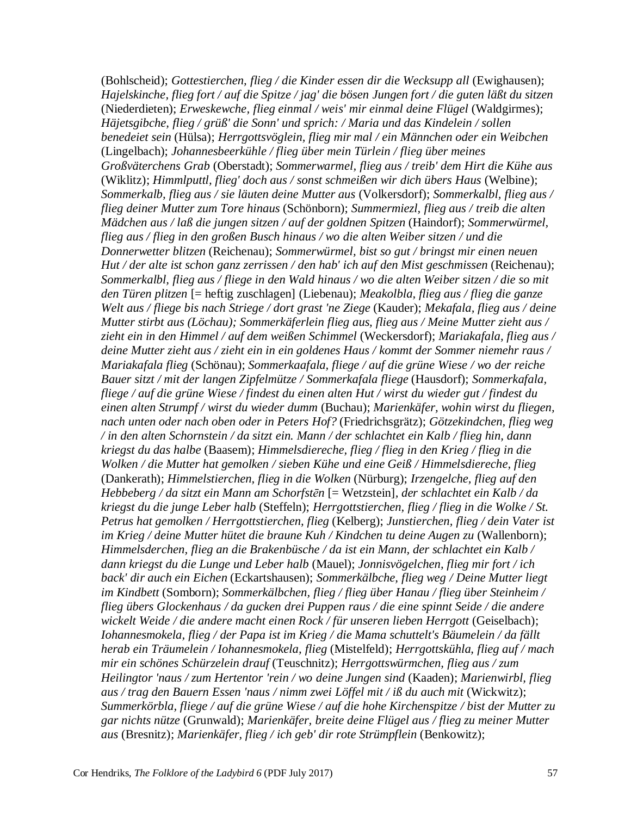(Bohlscheid); *Gottestierchen, flieg / die Kinder essen dir die Wecksupp all* (Ewighausen); *Hajelskinche, flieg fort / auf die Spitze / jag' die bösen Jungen fort / die guten läßt du sitzen* (Niederdieten); *Erweskewche, flieg einmal / weis' mir einmal deine Flügel* (Waldgirmes); *Häjetsgibche, flieg / grüß' die Sonn' und sprich: / Maria und das Kindelein / sollen benedeiet sein* (Hülsa); *Herrgottsvöglein, flieg mir mal / ein Männchen oder ein Weibchen* (Lingelbach); *Johannesbeerkühle / flieg über mein Türlein / flieg über meines Großväterchens Grab* (Oberstadt); *Sommerwarmel, flieg aus / treib' dem Hirt die Kühe aus* (Wiklitz); *Himmlputtl, flieg' doch aus / sonst schmeißen wir dich übers Haus* (Welbine); *Sommerkalb, flieg aus / sie läuten deine Mutter aus* (Volkersdorf); *Sommerkalbl, flieg aus / flieg deiner Mutter zum Tore hinaus* (Schönborn); *Summermiezl, flieg aus / treib die alten Mädchen aus / laß die jungen sitzen / auf der goldnen Spitzen* (Haindorf); *Sommerwürmel, flieg aus / flieg in den großen Busch hinaus / wo die alten Weiber sitzen / und die Donnerwetter blitzen* (Reichenau); *Sommerwürmel, bist so gut / bringst mir einen neuen Hut / der alte ist schon ganz zerrissen / den hab' ich auf den Mist geschmissen* (Reichenau); *Sommerkalbl, flieg aus / fliege in den Wald hinaus / wo die alten Weiber sitzen / die so mit den Türen plitzen* [= heftig zuschlagen] (Liebenau); *Meakolbla, flieg aus / flieg die ganze Welt aus / fliege bis nach Striege / dort grast 'ne Ziege* (Kauder); *Mekafala, flieg aus / deine Mutter stirbt aus (Löchau); Sommerkäferlein flieg aus, flieg aus / Meine Mutter zieht aus / zieht ein in den Himmel / auf dem weißen Schimmel* (Weckersdorf); *Mariakafala, flieg aus / deine Mutter zieht aus / zieht ein in ein goldenes Haus / kommt der Sommer niemehr raus / Mariakafala flieg* (Schönau); *Sommerkaafala, fliege / auf die grüne Wiese / wo der reiche Bauer sitzt / mit der langen Zipfelmütze / Sommerkafala fliege* (Hausdorf); *Sommerkafala,* fliege / auf die grüne Wiese / findest du einen alten Hut / wirst du wieder gut / findest du *einen alten Strumpf / wirst du wieder dumm* (Buchau); *Marienkäfer, wohin wirst du fliegen, nach unten oder nach oben oder in Peters Hof?* (Friedrichsgrätz); *Götzekindchen, flieg weg / in den alten Schornstein / da sitzt ein. Mann / der schlachtet ein Kalb / flieg hin, dann kriegst du das halbe* (Baasem); *Himmelsdiereche, flieg / flieg in den Krieg / flieg in die Wolken / die Mutter hat gemolken / sieben Kühe und eine Geiß / Himmelsdiereche, flieg* (Dankerath); *Himmelstierchen, flieg in die Wolken* (Nürburg); *Irzengelche, flieg auf den Hebbeberg / da sitzt ein Mann am Schorfstēn* [= Wetzstein]*, der schlachtet ein Kalb / da kriegst du die junge Leber halb* (Steffeln); *Herrgottstierchen, flieg / flieg in die Wolke / St. Petrus hat gemolken / Herrgottstierchen, flieg* (Kelberg); *Junstierchen, flieg / dein Vater ist im Krieg / deine Mutter hütet die braune Kuh / Kindchen tu deine Augen zu* (Wallenborn); *Himmelsderchen, flieg an die Brakenbüsche / da ist ein Mann, der schlachtet ein Kalb / dann kriegst du die Lunge und Leber halb* (Mauel); *Jonnisvögelchen, flieg mir fort / ich back' dir auch ein Eichen* (Eckartshausen); *Sommerkälbche, flieg weg / Deine Mutter liegt im Kindbett* (Somborn); *Sommerkälbchen, flieg / flieg über Hanau / flieg über Steinheim / flieg übers Glockenhaus / da gucken drei Puppen raus / die eine spinnt Seide / die andere wickelt Weide / die andere macht einen Rock / für unseren lieben Herrgott* (Geiselbach); *Iohannesmokela, flieg / der Papa ist im Krieg / die Mama schuttelt's Bäumelein / da fällt herab ein Träumelein / Iohannesmokela, flieg* (Mistelfeld); *Herrgottskühla, flieg auf / mach mir ein schönes Schürzelein drauf* (Teuschnitz); *Herrgottswürmchen, flieg aus / zum Heilingtor 'naus / zum Hertentor 'rein / wo deine Jungen sind* (Kaaden); *Marienwirbl, flieg aus / trag den Bauern Essen 'naus / nimm zwei Löffel mit / iß du auch mit* (Wickwitz); *Summerkörbla, fliege / auf die grüne Wiese / auf die hohe Kirchenspitze / bist der Mutter zu gar nichts nütze* (Grunwald); *Marienkäfer, breite deine Flügel aus / flieg zu meiner Mutter aus* (Bresnitz); *Marienkäfer, flieg / ich geb' dir rote Strümpflein* (Benkowitz);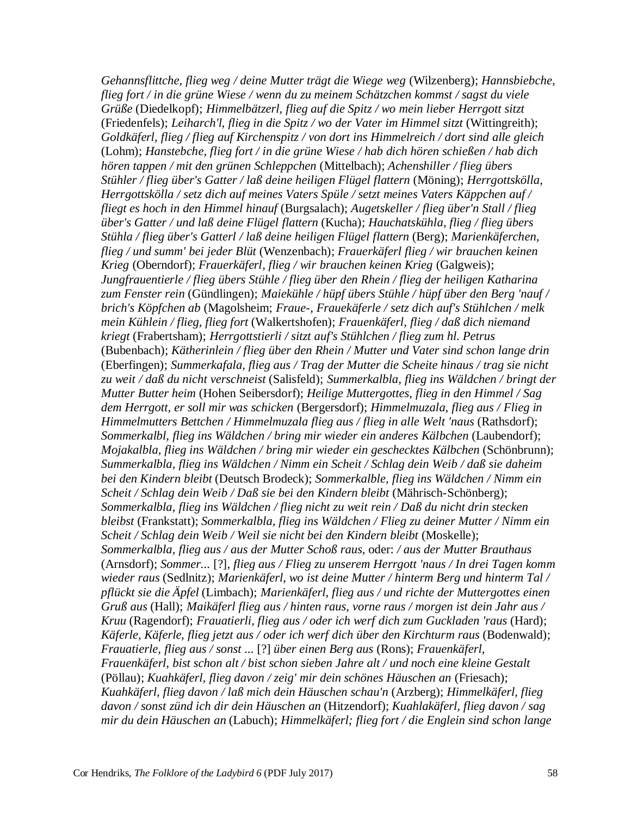*Gehannsflittche, flieg weg / deine Mutter trägt die Wiege weg* (Wilzenberg); *Hannsbiebche, flieg fort / in die grüne Wiese / wenn du zu meinem Schätzchen kommst / sagst du viele Grüße* (Diedelkopf); *Himmelbätzerl, flieg auf die Spitz / wo mein lieber Herrgott sitzt* (Friedenfels); *Leiharch'l, flieg in die Spitz / wo der Vater im Himmel sitzt* (Wittingreith); *Goldkäferl, flieg / flieg auf Kirchenspitz / von dort ins Himmelreich / dort sind alle gleich* (Lohm); *Hanstebche, flieg fort / in die grüne Wiese / hab dich hören schießen / hab dich hören tappen / mit den grünen Schleppchen* (Mittelbach); *Achenshiller / flieg übers Stühler / flieg über's Gatter / laß deine heiligen Flügel flattern* (Möning); *Herrgottskölla, Herrgottskölla / setz dich auf meines Vaters Spüle / setzt meines Vaters Käppchen auf / fliegt es hoch in den Himmel hinauf* (Burgsalach); *Augetskeller / flieg über'n Stall / flieg über's Gatter / und laß deine Flügel flattern* (Kucha); *Hauchatskühla, flieg / flieg übers Stühla / flieg über's Gatterl / laß deine heiligen Flügel flattern* (Berg); *Marienkäferchen, flieg / und summ' bei jeder Blüt* (Wenzenbach); *Frauerkäferl flieg / wir brauchen keinen Krieg* (Oberndorf); *Frauerkäferl, flieg / wir brauchen keinen Krieg* (Galgweis); *Jungfrauentierle / flieg übers Stühle / flieg über den Rhein / flieg der heiligen Katharina zum Fenster rein* (Gündlingen); *Maiekühle / hüpf übers Stühle / hüpf über den Berg 'nauf / brich's Köpfchen ab* (Magolsheim; *Fraue-, Frauekäferle / setz dich auf's Stühlchen / melk mein Kühlein / flieg, flieg fort* (Walkertshofen); *Frauenkäferl, flieg / daß dich niemand kriegt* (Frabertsham); *Herrgottstierli / sitzt auf's Stühlchen / flieg zum hl. Petrus* (Bubenbach); *Kätherinlein / flieg über den Rhein / Mutter und Vater sind schon lange drin* (Eberfingen); *Summerkafala, flieg aus / Trag der Mutter die Scheite hinaus / trag sie nicht zu weit / daß du nicht verschneist* (Salisfeld); *Summerkalbla, flieg ins Wäldchen / bringt der Mutter Butter heim* (Hohen Seibersdorf); *Heilige Muttergottes, flieg in den Himmel / Sag dem Herrgott, er soll mir was schicken* (Bergersdorf); *Himmelmuzala, flieg aus / Flieg in Himmelmutters Bettchen / Himmelmuzala flieg aus / flieg in alle Welt 'naus* (Rathsdorf); *Sommerkalbl, flieg ins Wäldchen / bring mir wieder ein anderes Kälbchen* (Laubendorf); *Mojakalbla, flieg ins Wäldchen / bring mir wieder ein geschecktes Kälbchen* (Schönbrunn); *Summerkalbla, flieg ins Wäldchen / Nimm ein Scheit / Schlag dein Weib / daß sie daheim bei den Kindern bleibt* (Deutsch Brodeck); *Sommerkalble, flieg ins Wäldchen / Nimm ein Scheit / Schlag dein Weib / Daß sie bei den Kindern bleibt* (Mährisch-Schönberg); *Sommerkalbla, flieg ins Wäldchen / flieg nicht zu weit rein / Daß du nicht drin stecken bleibst* (Frankstatt); *Sommerkalbla, flieg ins Wäldchen / Flieg zu deiner Mutter / Nimm ein Scheit / Schlag dein Weib / Weil sie nicht bei den Kindern bleibt* (Moskelle); *Sommerkalbla, flieg aus / aus der Mutter Schoß raus,* oder: */ aus der Mutter Brauthaus* (Arnsdorf); *Sommer...* [?]*, flieg aus / Flieg zu unserem Herrgott 'naus / In drei Tagen komm wieder raus* (Sedlnitz); *Marienkäferl, wo ist deine Mutter / hinterm Berg und hinterm Tal / pflückt sie die Äpfel* (Limbach); *Marienkäferl, flieg aus / und richte der Muttergottes einen Gruß aus* (Hall); *Maikäferl flieg aus / hinten raus, vorne raus / morgen ist dein Jahr aus / Kruu* (Ragendorf); *Frauatierli, flieg aus / oder ich werf dich zum Guckladen 'raus* (Hard); *Käferle, Käferle, flieg jetzt aus / oder ich werf dich über den Kirchturm raus* (Bodenwald); *Frauatierle, flieg aus / sonst ...* [?] *über einen Berg aus* (Rons); *Frauenkäferl, Frauenkäferl, bist schon alt / bist schon sieben Jahre alt / und noch eine kleine Gestalt* (Pöllau); *Kuahkäferl, flieg davon / zeig' mir dein schönes Häuschen an* (Friesach); *Kuahkäferl, flieg davon / laß mich dein Häuschen schau'n* (Arzberg); *Himmelkäferl, flieg davon / sonst zünd ich dir dein Häuschen an* (Hitzendorf); *Kuahlakäferl, flieg davon / sag mir du dein Häuschen an* (Labuch); *Himmelkäferl; flieg fort / die Englein sind schon lange*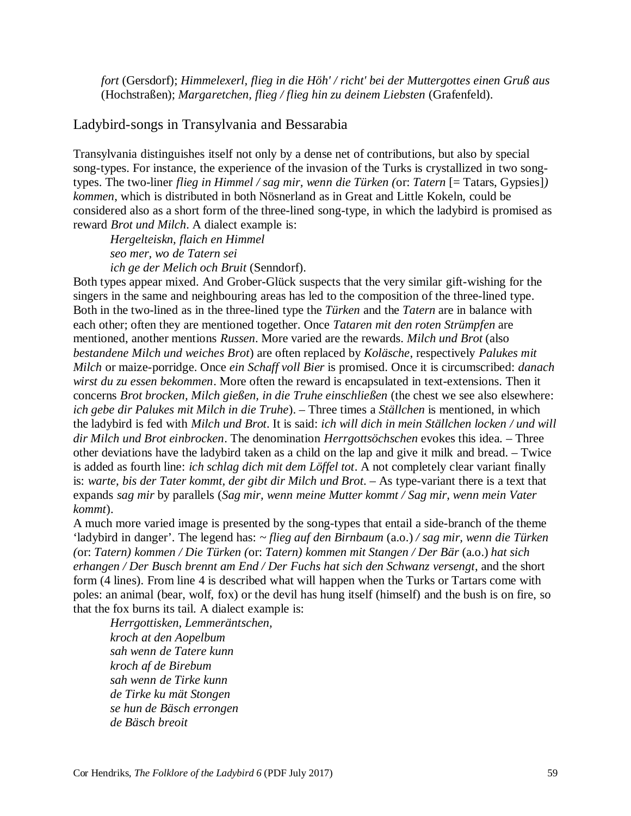*fort* (Gersdorf); *Himmelexerl, flieg in die Höh' / richt' bei der Muttergottes einen Gruß aus* (Hochstraßen); *Margaretchen, flieg / flieg hin zu deinem Liebsten* (Grafenfeld).

## Ladybird-songs in Transylvania and Bessarabia

Transylvania distinguishes itself not only by a dense net of contributions, but also by special song-types. For instance, the experience of the invasion of the Turks is crystallized in two songtypes. The two-liner *flieg in Himmel / sag mir, wenn die Türken (*or: *Tatern* [= Tatars, Gypsies]*) kommen*, which is distributed in both Nösnerland as in Great and Little Kokeln, could be considered also as a short form of the three-lined song-type, in which the ladybird is promised as reward *Brot und Milch*. A dialect example is:

*Hergelteiskn, flaich en Himmel seo mer, wo de Tatern sei ich ge der Melich och Bruit* (Senndorf).

Both types appear mixed. And Grober-Glück suspects that the very similar gift-wishing for the singers in the same and neighbouring areas has led to the composition of the three-lined type. Both in the two-lined as in the three-lined type the *Türken* and the *Tatern* are in balance with each other; often they are mentioned together. Once *Tataren mit den roten Strümpfen* are mentioned, another mentions *Russen*. More varied are the rewards. *Milch und Brot* (also *bestandene Milch und weiches Brot*) are often replaced by *Koläsche*, respectively *Palukes mit Milch* or maize-porridge. Once *ein Schaff voll Bier* is promised. Once it is circumscribed: *danach wirst du zu essen bekommen*. More often the reward is encapsulated in text-extensions. Then it concerns *Brot brocken, Milch gießen, in die Truhe einschließen* (the chest we see also elsewhere: *ich gebe dir Palukes mit Milch in die Truhe*). – Three times a *Ställchen* is mentioned, in which the ladybird is fed with *Milch und Brot*. It is said: *ich will dich in mein Ställchen locken / und will dir Milch und Brot einbrocken*. The denomination *Herrgottsöchschen* evokes this idea. – Three other deviations have the ladybird taken as a child on the lap and give it milk and bread. – Twice is added as fourth line: *ich schlag dich mit dem Löffel tot*. A not completely clear variant finally is: *warte, bis der Tater kommt, der gibt dir Milch und Brot*. – As type-variant there is a text that expands *sag mir* by parallels (*Sag mir, wenn meine Mutter kommt / Sag mir, wenn mein Vater kommt*).

A much more varied image is presented by the song-types that entail a side-branch of the theme 'ladybird in danger'. The legend has: *~ flieg auf den Birnbaum* (a.o.) */ sag mir, wenn die Türken (*or: *Tatern) kommen / Die Türken (*or: *Tatern) kommen mit Stangen / Der Bär* (a.o.) *hat sich erhangen / Der Busch brennt am End / Der Fuchs hat sich den Schwanz versengt*, and the short form (4 lines). From line 4 is described what will happen when the Turks or Tartars come with poles: an animal (bear, wolf, fox) or the devil has hung itself (himself) and the bush is on fire, so that the fox burns its tail. A dialect example is:

*Herrgottisken, Lemmeräntschen, kroch at den Aopelbum sah wenn de Tatere kunn kroch af de Birebum sah wenn de Tirke kunn de Tirke ku mät Stongen se hun de Bäsch errongen de Bäsch breoit*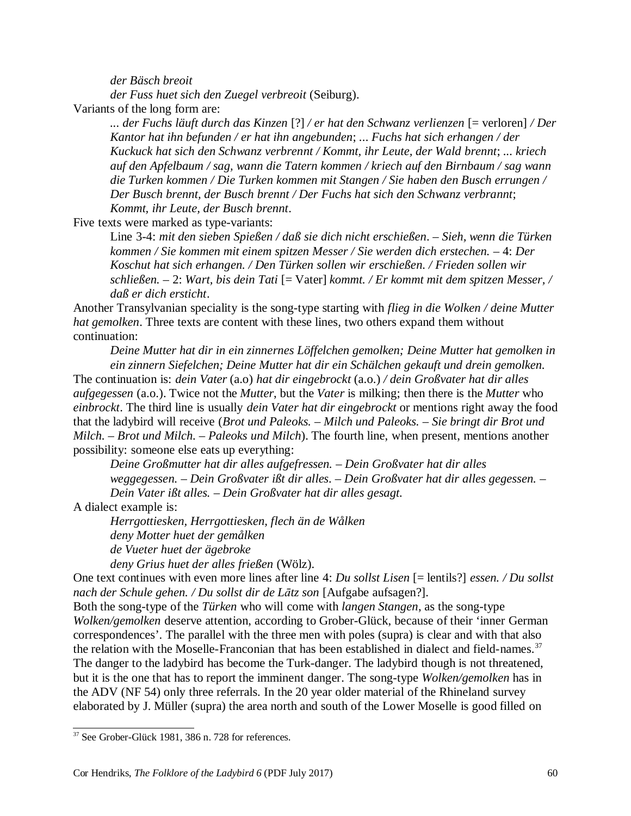*der Bäsch breoit* 

*der Fuss huet sich den Zuegel verbreoit* (Seiburg).

Variants of the long form are:

*... der Fuchs läuft durch das Kinzen* [?] */ er hat den Schwanz verlienzen* [= verloren] */ Der Kantor hat ihn befunden / er hat ihn angebunden*; *... Fuchs hat sich erhangen / der Kuckuck hat sich den Schwanz verbrennt / Kommt, ihr Leute, der Wald brennt*; *... kriech auf den Apfelbaum / sag, wann die Tatern kommen / kriech auf den Birnbaum / sag wann die Turken kommen / Die Turken kommen mit Stangen / Sie haben den Busch errungen / Der Busch brennt, der Busch brennt / Der Fuchs hat sich den Schwanz verbrannt*; *Kommt, ihr Leute, der Busch brennt*.

Five texts were marked as type-variants:

Line 3-4: *mit den sieben Spießen / daß sie dich nicht erschießen*. – *Sieh, wenn die Türken kommen / Sie kommen mit einem spitzen Messer / Sie werden dich erstechen. –* 4: *Der Koschut hat sich erhangen. / Den Türken sollen wir erschießen. / Frieden sollen wir schließen. –* 2: *Wart, bis dein Tati* [= Vater] *kommt. / Er kommt mit dem spitzen Messer, / daß er dich ersticht*.

Another Transylvanian speciality is the song-type starting with *flieg in die Wolken / deine Mutter hat gemolken*. Three texts are content with these lines, two others expand them without continuation:

*Deine Mutter hat dir in ein zinnernes Löffelchen gemolken; Deine Mutter hat gemolken in ein zinnern Siefelchen; Deine Mutter hat dir ein Schälchen gekauft und drein gemolken.*

The continuation is: *dein Vater* (a.o) *hat dir eingebrockt* (a.o.) */ dein Großvater hat dir alles aufgegessen* (a.o.). Twice not the *Mutter*, but the *Vater* is milking; then there is the *Mutter* who *einbrockt*. The third line is usually *dein Vater hat dir eingebrockt* or mentions right away the food that the ladybird will receive (*Brot und Paleoks. – Milch und Paleoks. – Sie bringt dir Brot und Milch. – Brot und Milch. – Paleoks und Milch*). The fourth line, when present, mentions another possibility: someone else eats up everything:

*Deine Großmutter hat dir alles aufgefressen. – Dein Großvater hat dir alles weggegessen. – Dein Großvater ißt dir alles. – Dein Großvater hat dir alles gegessen. –*

*Dein Vater ißt alles. – Dein Großvater hat dir alles gesagt.* 

A dialect example is:

*Herrgottiesken, Herrgottiesken, flech än de Wålken deny Motter huet der gemålken de Vueter huet der ägebroke deny Grius huet der alles frießen* (Wölz).

One text continues with even more lines after line 4: *Du sollst Lisen* [= lentils?] *essen. / Du sollst nach der Schule gehen. / Du sollst dir de Lātz son* [Aufgabe aufsagen?].

Both the song-type of the *Türken* who will come with *langen Stangen*, as the song-type *Wolken/gemolken* deserve attention, according to Grober-Glück, because of their 'inner German correspondences'. The parallel with the three men with poles (supra) is clear and with that also the relation with the Moselle-Franconian that has been established in dialect and field-names.<sup>37</sup> The danger to the ladybird has become the Turk-danger. The ladybird though is not threatened, but it is the one that has to report the imminent danger. The song-type *Wolken/gemolken* has in the ADV (NF 54) only three referrals. In the 20 year older material of the Rhineland survey elaborated by J. Müller (supra) the area north and south of the Lower Moselle is good filled on

<sup>&</sup>lt;sup>37</sup> See Grober-Glück 1981, 386 n. 728 for references.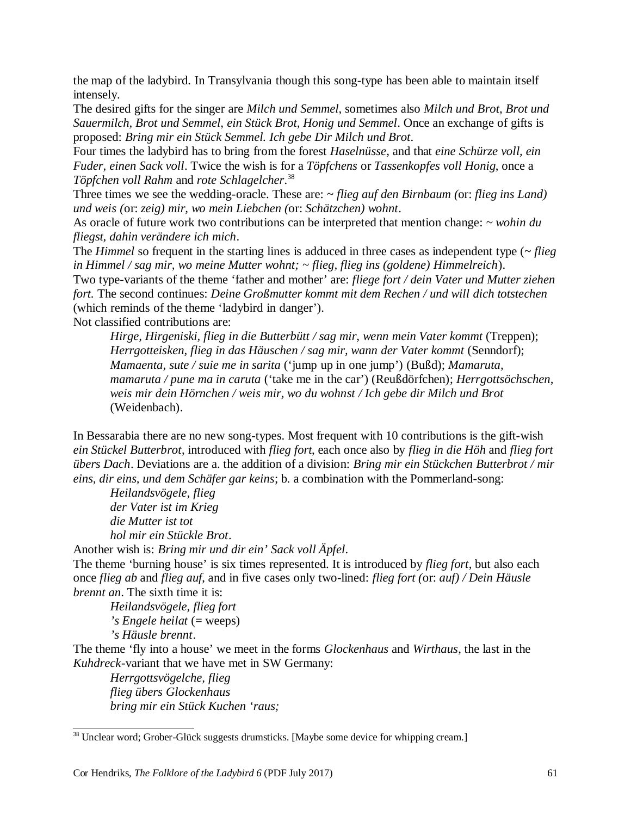the map of the ladybird. In Transylvania though this song-type has been able to maintain itself intensely.

The desired gifts for the singer are *Milch und Semmel*, sometimes also *Milch und Brot, Brot und Sauermilch, Brot und Semmel, ein Stück Brot, Honig und Semmel*. Once an exchange of gifts is proposed: *Bring mir ein Stück Semmel. Ich gebe Dir Milch und Brot*.

Four times the ladybird has to bring from the forest *Haselnüsse*, and that *eine Schürze voll, ein Fuder, einen Sack voll*. Twice the wish is for a *Töpfchens* or *Tassenkopfes voll Honig*, once a *Töpfchen voll Rahm* and *rote Schlagelcher*. 38

Three times we see the wedding-oracle. These are: *~ flieg auf den Birnbaum (*or: *flieg ins Land) und weis (*or: *zeig) mir, wo mein Liebchen (*or: *Schätzchen) wohnt*.

As oracle of future work two contributions can be interpreted that mention change: *~ wohin du fliegst, dahin verändere ich mich*.

The *Himmel* so frequent in the starting lines is adduced in three cases as independent type (*~ flieg in Himmel / sag mir, wo meine Mutter wohnt; ~ flieg, flieg ins (goldene) Himmelreich*).

Two type-variants of the theme 'father and mother' are: *fliege fort / dein Vater und Mutter ziehen fort.* The second continues: *Deine Großmutter kommt mit dem Rechen / und will dich totstechen* (which reminds of the theme 'ladybird in danger').

Not classified contributions are:

*Hirge, Hirgeniski, flieg in die Butterbütt / sag mir, wenn mein Vater kommt* (Treppen); *Herrgotteisken, flieg in das Häuschen / sag mir, wann der Vater kommt* (Senndorf); *Mamaenta, sute / suie me in sarita* ('jump up in one jump') (Bußd); *Mamaruta, mamaruta / pune ma in caruta* ('take me in the car') (Reußdörfchen); *Herrgottsöchschen, weis mir dein Hörnchen / weis mir, wo du wohnst / Ich gebe dir Milch und Brot* (Weidenbach).

In Bessarabia there are no new song-types. Most frequent with 10 contributions is the gift-wish *ein Stückel Butterbrot*, introduced with *flieg fort*, each once also by *flieg in die Höh* and *flieg fort übers Dach*. Deviations are a. the addition of a division: *Bring mir ein Stückchen Butterbrot / mir eins, dir eins, und dem Schäfer gar keins*; b. a combination with the Pommerland-song:

*Heilandsvögele, flieg der Vater ist im Krieg die Mutter ist tot hol mir ein Stückle Brot*.

Another wish is: *Bring mir und dir ein' Sack voll Äpfel*.

The theme 'burning house' is six times represented. It is introduced by *flieg fort*, but also each once *flieg ab* and *flieg auf*, and in five cases only two-lined: *flieg fort (*or: *auf) / Dein Häusle brennt an*. The sixth time it is:

*Heilandsvögele, flieg fort 's Engele heilat* (= weeps) *'s Häusle brennt*.

The theme 'fly into a house' we meet in the forms *Glockenhaus* and *Wirthaus*, the last in the *Kuhdreck*-variant that we have met in SW Germany:

*Herrgottsvögelche, flieg flieg übers Glockenhaus bring mir ein Stück Kuchen 'raus;* 

<sup>&</sup>lt;sup>38</sup> Unclear word; Grober-Glück suggests drumsticks. [Maybe some device for whipping cream.]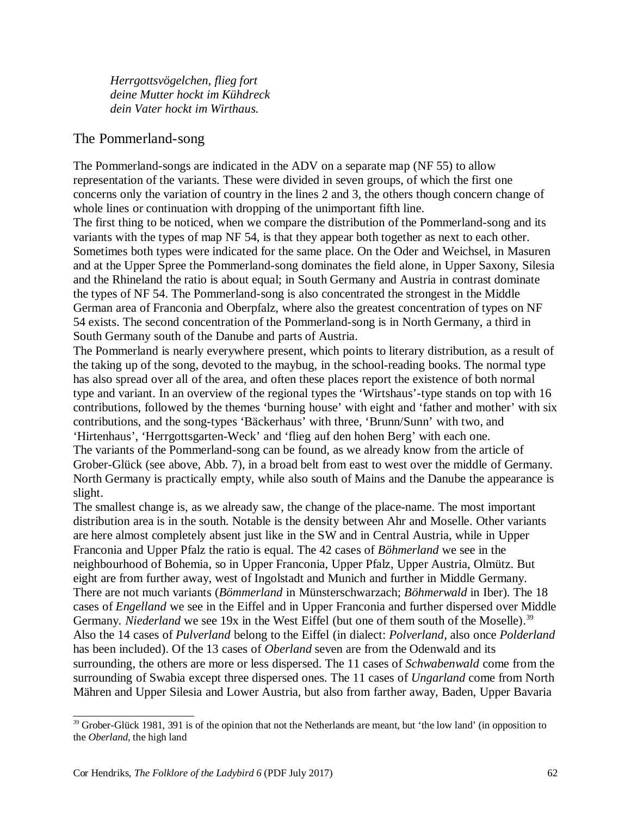*Herrgottsvögelchen, flieg fort deine Mutter hockt im Kühdreck dein Vater hockt im Wirthaus.*

## The Pommerland-song

The Pommerland-songs are indicated in the ADV on a separate map (NF 55) to allow representation of the variants. These were divided in seven groups, of which the first one concerns only the variation of country in the lines 2 and 3, the others though concern change of whole lines or continuation with dropping of the unimportant fifth line.

The first thing to be noticed, when we compare the distribution of the Pommerland-song and its variants with the types of map NF 54, is that they appear both together as next to each other. Sometimes both types were indicated for the same place. On the Oder and Weichsel, in Masuren and at the Upper Spree the Pommerland-song dominates the field alone, in Upper Saxony, Silesia and the Rhineland the ratio is about equal; in South Germany and Austria in contrast dominate the types of NF 54. The Pommerland-song is also concentrated the strongest in the Middle German area of Franconia and Oberpfalz, where also the greatest concentration of types on NF 54 exists. The second concentration of the Pommerland-song is in North Germany, a third in South Germany south of the Danube and parts of Austria.

The Pommerland is nearly everywhere present, which points to literary distribution, as a result of the taking up of the song, devoted to the maybug, in the school-reading books. The normal type has also spread over all of the area, and often these places report the existence of both normal type and variant. In an overview of the regional types the 'Wirtshaus'-type stands on top with 16 contributions, followed by the themes 'burning house' with eight and 'father and mother' with six contributions, and the song-types 'Bäckerhaus' with three, 'Brunn/Sunn' with two, and 'Hirtenhaus', 'Herrgottsgarten-Weck' and 'flieg auf den hohen Berg' with each one. The variants of the Pommerland-song can be found, as we already know from the article of Grober-Glück (see above, Abb. 7), in a broad belt from east to west over the middle of Germany. North Germany is practically empty, while also south of Mains and the Danube the appearance is slight.

The smallest change is, as we already saw, the change of the place-name. The most important distribution area is in the south. Notable is the density between Ahr and Moselle. Other variants are here almost completely absent just like in the SW and in Central Austria, while in Upper Franconia and Upper Pfalz the ratio is equal. The 42 cases of *Böhmerland* we see in the neighbourhood of Bohemia, so in Upper Franconia, Upper Pfalz, Upper Austria, Olmütz. But eight are from further away, west of Ingolstadt and Munich and further in Middle Germany. There are not much variants (*Bömmerland* in Münsterschwarzach; *Böhmerwald* in Iber). The 18 cases of *Engelland* we see in the Eiffel and in Upper Franconia and further dispersed over Middle Germany. *Niederland* we see 19x in the West Eiffel (but one of them south of the Moselle).<sup>39</sup> Also the 14 cases of *Pulverland* belong to the Eiffel (in dialect: *Polverland*, also once *Polderland* has been included). Of the 13 cases of *Oberland* seven are from the Odenwald and its surrounding, the others are more or less dispersed. The 11 cases of *Schwabenwald* come from the surrounding of Swabia except three dispersed ones. The 11 cases of *Ungarland* come from North Mähren and Upper Silesia and Lower Austria, but also from farther away, Baden, Upper Bavaria

 $39$  Grober-Glück 1981, 391 is of the opinion that not the Netherlands are meant, but 'the low land' (in opposition to the *Oberland*, the high land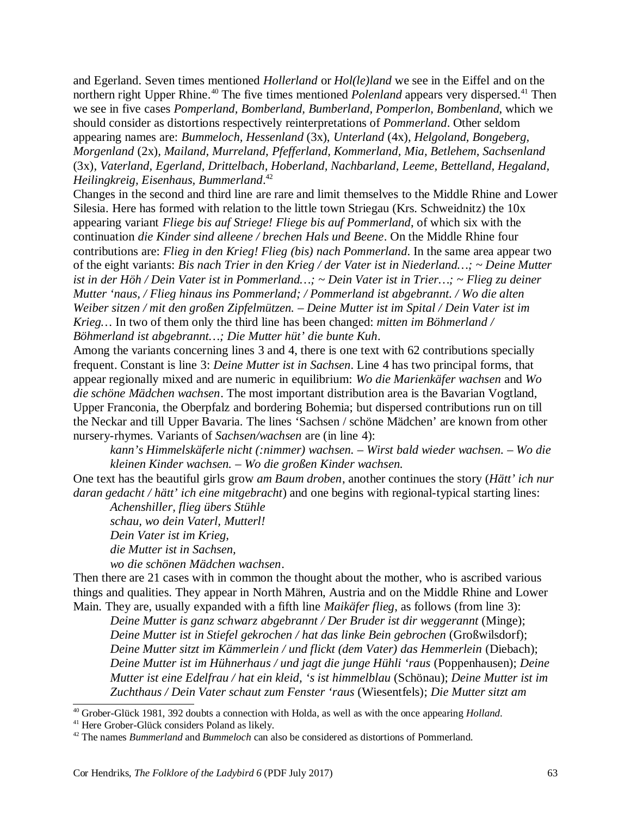and Egerland. Seven times mentioned *Hollerland* or *Hol(le)land* we see in the Eiffel and on the northern right Upper Rhine.<sup>40</sup> The five times mentioned *Polenland* appears very dispersed.<sup>41</sup> Then we see in five cases *Pomperland, Bomberland, Bumberland, Pomperlon, Bombenland*, which we should consider as distortions respectively reinterpretations of *Pommerland*. Other seldom appearing names are: *Bummeloch, Hessenland* (3x), *Unterland* (4x)*, Helgoland, Bongeberg, Morgenland* (2x)*, Mailand, Murreland, Pfefferland, Kommerland, Mia, Betlehem, Sachsenland* (3x)*, Vaterland, Egerland, Drittelbach, Hoberland, Nachbarland, Leeme, Bettelland, Hegaland, Heilingkreig, Eisenhaus, Bummerland*. 42

Changes in the second and third line are rare and limit themselves to the Middle Rhine and Lower Silesia. Here has formed with relation to the little town Striegau (Krs. Schweidnitz) the 10x appearing variant *Fliege bis auf Striege! Fliege bis auf Pommerland*, of which six with the continuation *die Kinder sind alleene / brechen Hals und Beene*. On the Middle Rhine four contributions are: *Flieg in den Krieg! Flieg (bis) nach Pommerland*. In the same area appear two of the eight variants: *Bis nach Trier in den Krieg / der Vater ist in Niederland…; ~ Deine Mutter ist in der Höh / Dein Vater ist in Pommerland…; ~ Dein Vater ist in Trier…; ~ Flieg zu deiner Mutter 'naus, / Flieg hinaus ins Pommerland; / Pommerland ist abgebrannt. / Wo die alten Weiber sitzen / mit den großen Zipfelmützen. – Deine Mutter ist im Spital / Dein Vater ist im Krieg…* In two of them only the third line has been changed: *mitten im Böhmerland / Böhmerland ist abgebrannt…; Die Mutter hüt' die bunte Kuh*.

Among the variants concerning lines 3 and 4, there is one text with 62 contributions specially frequent. Constant is line 3: *Deine Mutter ist in Sachsen*. Line 4 has two principal forms, that appear regionally mixed and are numeric in equilibrium: *Wo die Marienkäfer wachsen* and *Wo die schöne Mädchen wachsen*. The most important distribution area is the Bavarian Vogtland, Upper Franconia, the Oberpfalz and bordering Bohemia; but dispersed contributions run on till the Neckar and till Upper Bavaria. The lines 'Sachsen / schöne Mädchen' are known from other nursery-rhymes. Variants of *Sachsen/wachsen* are (in line 4):

*kann's Himmelskäferle nicht (:nimmer) wachsen. – Wirst bald wieder wachsen. – Wo die kleinen Kinder wachsen. – Wo die großen Kinder wachsen.*

One text has the beautiful girls grow *am Baum droben*, another continues the story (*Hätt' ich nur daran gedacht / hätt' ich eine mitgebracht*) and one begins with regional-typical starting lines:

*Achenshiller, flieg übers Stühle schau, wo dein Vaterl, Mutterl! Dein Vater ist im Krieg, die Mutter ist in Sachsen, wo die schönen Mädchen wachsen*.

Then there are 21 cases with in common the thought about the mother, who is ascribed various things and qualities. They appear in North Mähren, Austria and on the Middle Rhine and Lower Main. They are, usually expanded with a fifth line *Maikäfer flieg*, as follows (from line 3):

*Deine Mutter is ganz schwarz abgebrannt / Der Bruder ist dir weggerannt* (Minge); *Deine Mutter ist in Stiefel gekrochen / hat das linke Bein gebrochen* (Großwilsdorf); *Deine Mutter sitzt im Kämmerlein / und flickt (dem Vater) das Hemmerlein* (Diebach); *Deine Mutter ist im Hühnerhaus / und jagt die junge Hühli 'raus* (Poppenhausen); *Deine Mutter ist eine Edelfrau / hat ein kleid, 's ist himmelblau* (Schönau); *Deine Mutter ist im Zuchthaus / Dein Vater schaut zum Fenster 'raus* (Wiesentfels); *Die Mutter sitzt am*

<sup>40</sup> Grober-Glück 1981, 392 doubts a connection with Holda, as well as with the once appearing *Holland*.

<sup>41</sup> Here Grober-Glück considers Poland as likely.

<sup>42</sup> The names *Bummerland* and *Bummeloch* can also be considered as distortions of Pommerland.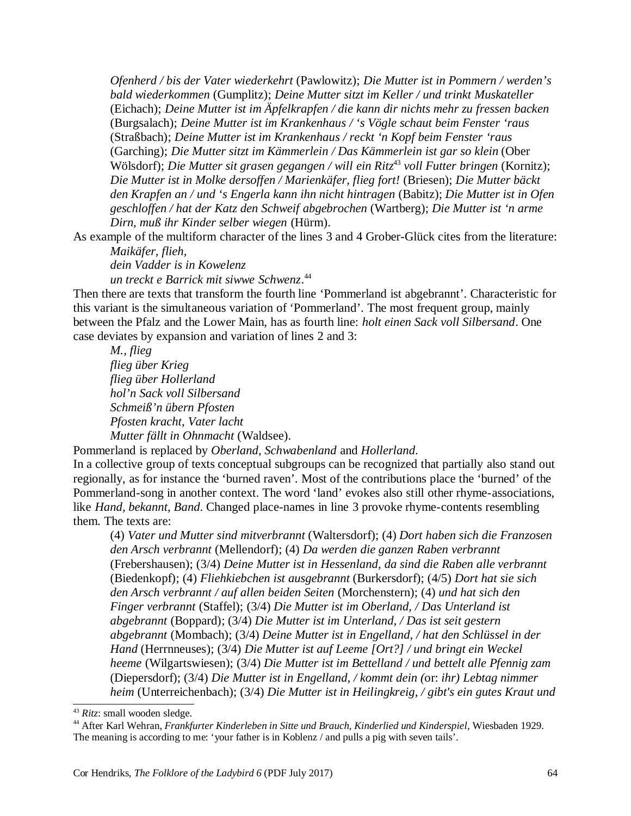*Ofenherd / bis der Vater wiederkehrt* (Pawlowitz); *Die Mutter ist in Pommern / werden's bald wiederkommen* (Gumplitz); *Deine Mutter sitzt im Keller / und trinkt Muskateller* (Eichach); *Deine Mutter ist im Äpfelkrapfen / die kann dir nichts mehr zu fressen backen* (Burgsalach); *Deine Mutter ist im Krankenhaus / 's Vögle schaut beim Fenster 'raus* (Straßbach); *Deine Mutter ist im Krankenhaus / reckt 'n Kopf beim Fenster 'raus* (Garching); *Die Mutter sitzt im Kämmerlein / Das Kämmerlein ist gar so klein* (Ober Wölsdorf); *Die Mutter sit grasen gegangen / will ein Ritz*<sup>43</sup> *voll Futter bringen* (Kornitz); *Die Mutter ist in Molke dersoffen / Marienkäfer, flieg fort!* (Briesen); *Die Mutter bäckt den Krapfen an / und 's Engerla kann ihn nicht hintragen* (Babitz); *Die Mutter ist in Ofen geschloffen / hat der Katz den Schweif abgebrochen* (Wartberg); *Die Mutter ist 'n arme Dirn, muß ihr Kinder selber wiegen* (Hürm).

As example of the multiform character of the lines 3 and 4 Grober-Glück cites from the literature: *Maikäfer, flieh,* 

*dein Vadder is in Kowelenz* 

*un treckt e Barrick mit siwwe Schwenz*. 44

Then there are texts that transform the fourth line 'Pommerland ist abgebrannt'. Characteristic for this variant is the simultaneous variation of 'Pommerland'. The most frequent group, mainly between the Pfalz and the Lower Main, has as fourth line: *holt einen Sack voll Silbersand*. One case deviates by expansion and variation of lines 2 and 3:

*M., flieg* 

*flieg über Krieg flieg über Hollerland hol'n Sack voll Silbersand Schmeiß'n übern Pfosten Pfosten kracht, Vater lacht Mutter fällt in Ohnmacht* (Waldsee).

Pommerland is replaced by *Oberland, Schwabenland* and *Hollerland*.

In a collective group of texts conceptual subgroups can be recognized that partially also stand out regionally, as for instance the 'burned raven'. Most of the contributions place the 'burned' of the Pommerland-song in another context. The word 'land' evokes also still other rhyme-associations, like *Hand, bekannt, Band*. Changed place-names in line 3 provoke rhyme-contents resembling them. The texts are:

(4) *Vater und Mutter sind mitverbrannt* (Waltersdorf); (4) *Dort haben sich die Franzosen den Arsch verbrannt* (Mellendorf); (4) *Da werden die ganzen Raben verbrannt* (Frebershausen); (3/4) *Deine Mutter ist in Hessenland, da sind die Raben alle verbrannt* (Biedenkopf); (4) *Fliehkiebchen ist ausgebrannt* (Burkersdorf); (4/5) *Dort hat sie sich den Arsch verbrannt / auf allen beiden Seiten* (Morchenstern); (4) *und hat sich den Finger verbrannt* (Staffel); (3/4) *Die Mutter ist im Oberland, / Das Unterland ist abgebrannt* (Boppard); (3/4) *Die Mutter ist im Unterland, / Das ist seit gestern abgebrannt* (Mombach); (3/4) *Deine Mutter ist in Engelland, / hat den Schlüssel in der Hand* (Herrnneuses); (3/4) *Die Mutter ist auf Leeme [Ort?] / und bringt ein Weckel heeme* (Wilgartswiesen); (3/4) *Die Mutter ist im Bettelland / und bettelt alle Pfennig zam* (Diepersdorf); (3/4) *Die Mutter ist in Engelland, / kommt dein (*or: *ihr) Lebtag nimmer heim* (Unterreichenbach); (3/4) *Die Mutter ist in Heilingkreig, / gibt's ein gutes Kraut und*

<sup>43</sup> *Ritz*: small wooden sledge.

<sup>44</sup> After Karl Wehran, *Frankfurter Kinderleben in Sitte und Brauch, Kinderlied und Kinderspiel*, Wiesbaden 1929. The meaning is according to me: 'your father is in Koblenz / and pulls a pig with seven tails'.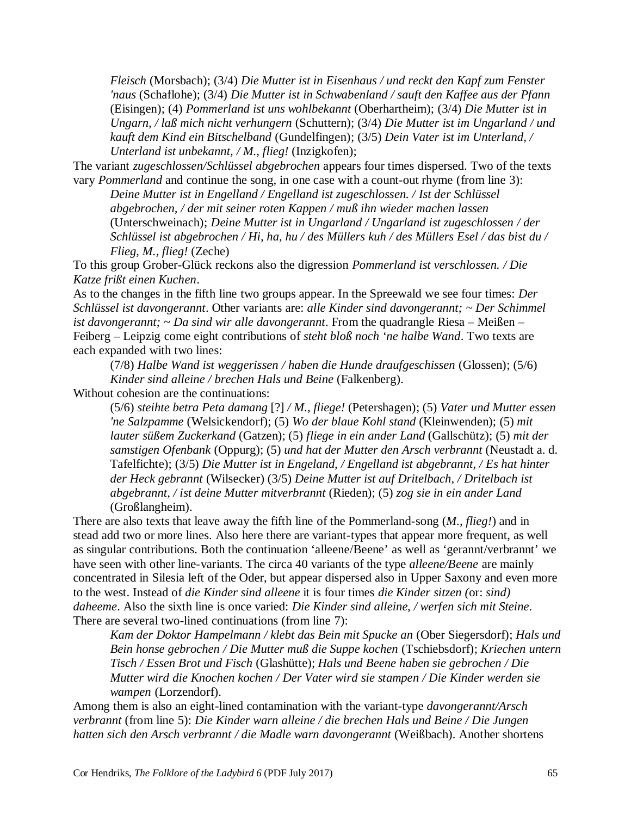*Fleisch* (Morsbach); (3/4) *Die Mutter ist in Eisenhaus / und reckt den Kapf zum Fenster 'naus* (Schaflohe); (3/4) *Die Mutter ist in Schwabenland / sauft den Kaffee aus der Pfann* (Eisingen); (4) *Pommerland ist uns wohlbekannt* (Oberhartheim); (3/4) *Die Mutter ist in Ungarn, / laß mich nicht verhungern* (Schuttern); (3/4) *Die Mutter ist im Ungarland / und kauft dem Kind ein Bitschelband* (Gundelfingen); (3/5) *Dein Vater ist im Unterland, / Unterland ist unbekannt, / M., flieg!* (Inzigkofen);

The variant *zugeschlossen/Schlüssel abgebrochen* appears four times dispersed. Two of the texts vary *Pommerland* and continue the song, in one case with a count-out rhyme (from line 3):

*Deine Mutter ist in Engelland / Engelland ist zugeschlossen. / Ist der Schlüssel abgebrochen, / der mit seiner roten Kappen / muß ihn wieder machen lassen* (Unterschweinach); *Deine Mutter ist in Ungarland / Ungarland ist zugeschlossen / der Schlüssel ist abgebrochen / Hi, ha, hu / des Müllers kuh / des Müllers Esel / das bist du / Flieg, M., flieg!* (Zeche)

To this group Grober-Glück reckons also the digression *Pommerland ist verschlossen. / Die Katze frißt einen Kuchen*.

As to the changes in the fifth line two groups appear. In the Spreewald we see four times: *Der Schlüssel ist davongerannt*. Other variants are: *alle Kinder sind davongerannt; ~ Der Schimmel ist davongerannt; ~ Da sind wir alle davongerannt*. From the quadrangle Riesa – Meißen – Feiberg – Leipzig come eight contributions of *steht bloß noch 'ne halbe Wand*. Two texts are each expanded with two lines:

(7/8) *Halbe Wand ist weggerissen / haben die Hunde draufgeschissen* (Glossen); (5/6) *Kinder sind alleine / brechen Hals und Beine* (Falkenberg).

Without cohesion are the continuations:

(5/6) *steihte betra Peta damang* [?] */ M., fliege!* (Petershagen); (5) *Vater und Mutter essen 'ne Salzpamme* (Welsickendorf); (5) *Wo der blaue Kohl stand* (Kleinwenden); (5) *mit lauter süßem Zuckerkand* (Gatzen); (5) *fliege in ein ander Land* (Gallschütz); (5) *mit der samstigen Ofenbank* (Oppurg); (5) *und hat der Mutter den Arsch verbrannt* (Neustadt a. d. Tafelfichte); (3/5) *Die Mutter ist in Engeland, / Engelland ist abgebrannt, / Es hat hinter der Heck gebrannt* (Wilsecker) (3/5) *Deine Mutter ist auf Dritelbach, / Dritelbach ist abgebrannt, / ist deine Mutter mitverbrannt* (Rieden); (5) *zog sie in ein ander Land* (Großlangheim).

There are also texts that leave away the fifth line of the Pommerland-song (*M., flieg!*) and in stead add two or more lines. Also here there are variant-types that appear more frequent, as well as singular contributions. Both the continuation 'alleene/Beene' as well as 'gerannt/verbrannt' we have seen with other line-variants. The circa 40 variants of the type *alleene/Beene* are mainly concentrated in Silesia left of the Oder, but appear dispersed also in Upper Saxony and even more to the west. Instead of *die Kinder sind alleene* it is four times *die Kinder sitzen (*or: *sind) daheeme*. Also the sixth line is once varied: *Die Kinder sind alleine, / werfen sich mit Steine*. There are several two-lined continuations (from line 7):

*Kam der Doktor Hampelmann / klebt das Bein mit Spucke an* (Ober Siegersdorf); *Hals und Bein honse gebrochen / Die Mutter muß die Suppe kochen* (Tschiebsdorf); *Kriechen untern Tisch / Essen Brot und Fisch* (Glashütte); *Hals und Beene haben sie gebrochen / Die Mutter wird die Knochen kochen / Der Vater wird sie stampen / Die Kinder werden sie wampen* (Lorzendorf).

Among them is also an eight-lined contamination with the variant-type *davongerannt/Arsch verbrannt* (from line 5): *Die Kinder warn alleine / die brechen Hals und Beine / Die Jungen hatten sich den Arsch verbrannt / die Madle warn davongerannt* (Weißbach). Another shortens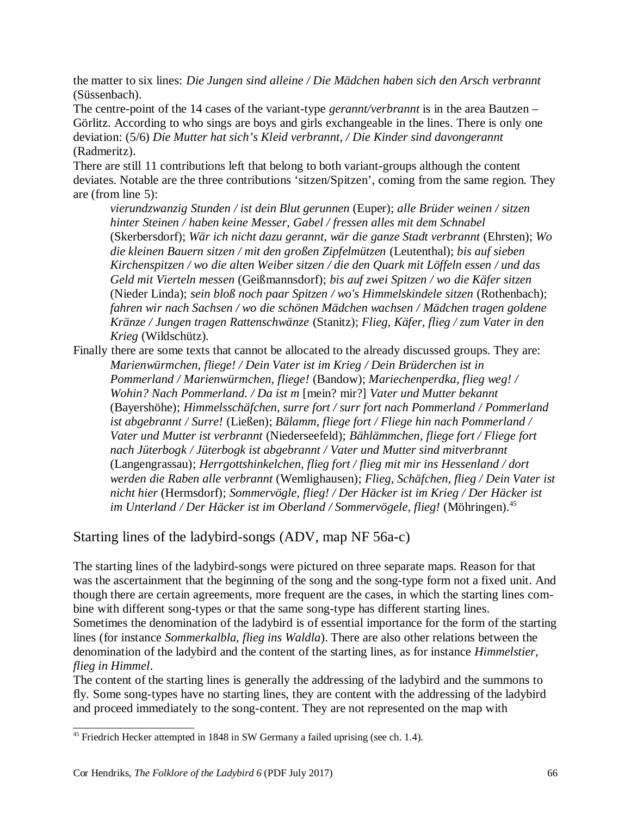the matter to six lines: *Die Jungen sind alleine / Die Mädchen haben sich den Arsch verbrannt* (Süssenbach).

The centre-point of the 14 cases of the variant-type *gerannt/verbrannt* is in the area Bautzen – Görlitz. According to who sings are boys and girls exchangeable in the lines. There is only one deviation: (5/6) *Die Mutter hat sich's Kleid verbrannt, / Die Kinder sind davongerannt* (Radmeritz).

There are still 11 contributions left that belong to both variant-groups although the content deviates. Notable are the three contributions 'sitzen/Spitzen', coming from the same region. They are (from line 5):

*vierundzwanzig Stunden / ist dein Blut gerunnen* (Euper); *alle Brüder weinen / sitzen hinter Steinen / haben keine Messer, Gabel / fressen alles mit dem Schnabel* (Skerbersdorf); *Wär ich nicht dazu gerannt, wär die ganze Stadt verbrannt* (Ehrsten); *Wo die kleinen Bauern sitzen / mit den großen Zipfelmützen* (Leutenthal); *bis auf sieben Kirchenspitzen / wo die alten Weiber sitzen / die den Quark mit Löffeln essen / und das Geld mit Vierteln messen* (Geißmannsdorf); *bis auf zwei Spitzen / wo die Käfer sitzen* (Nieder Linda); *sein bloß noch paar Spitzen / wo's Himmelskindele sitzen* (Rothenbach); *fahren wir nach Sachsen / wo die schönen Mädchen wachsen / Mädchen tragen goldene Kränze / Jungen tragen Rattenschwänze* (Stanitz); *Flieg, Käfer, flieg / zum Vater in den Krieg* (Wildschütz).

Finally there are some texts that cannot be allocated to the already discussed groups. They are: *Marienwürmchen, fliege! / Dein Vater ist im Krieg / Dein Brüderchen ist in Pommerland / Marienwürmchen, fliege!* (Bandow); *Mariechenperdka, flieg weg! / Wohin? Nach Pommerland. / Da ist m* [mein? mir?] *Vater und Mutter bekannt* (Bayershöhe); *Himmelsschäfchen, surre fort / surr fort nach Pommerland / Pommerland ist abgebrannt / Surre!* (Ließen); *Bälamm, fliege fort / Fliege hin nach Pommerland / Vater und Mutter ist verbrannt* (Niederseefeld); *Bählämmchen, fliege fort / Fliege fort nach Jüterbogk / Jüterbogk ist abgebrannt / Vater und Mutter sind mitverbrannt* (Langengrassau); *Herrgottshinkelchen, flieg fort / flieg mit mir ins Hessenland / dort werden die Raben alle verbrannt* (Wemlighausen); *Flieg, Schäfchen, flieg / Dein Vater ist nicht hier* (Hermsdorf); *Sommervögle, flieg! / Der Häcker ist im Krieg / Der Häcker ist im Unterland / Der Häcker ist im Oberland / Sommervögele, flieg!* (Möhringen).<sup>45</sup>

Starting lines of the ladybird-songs (ADV, map NF 56a-c)

The starting lines of the ladybird-songs were pictured on three separate maps. Reason for that was the ascertainment that the beginning of the song and the song-type form not a fixed unit. And though there are certain agreements, more frequent are the cases, in which the starting lines combine with different song-types or that the same song-type has different starting lines. Sometimes the denomination of the ladybird is of essential importance for the form of the starting lines (for instance *Sommerkalbla, flieg ins Waldla*). There are also other relations between the denomination of the ladybird and the content of the starting lines, as for instance *Himmelstier, flieg in Himmel*.

The content of the starting lines is generally the addressing of the ladybird and the summons to fly. Some song-types have no starting lines, they are content with the addressing of the ladybird and proceed immediately to the song-content. They are not represented on the map with

<sup>&</sup>lt;sup>45</sup> Friedrich Hecker attempted in 1848 in SW Germany a failed uprising (see ch. 1.4).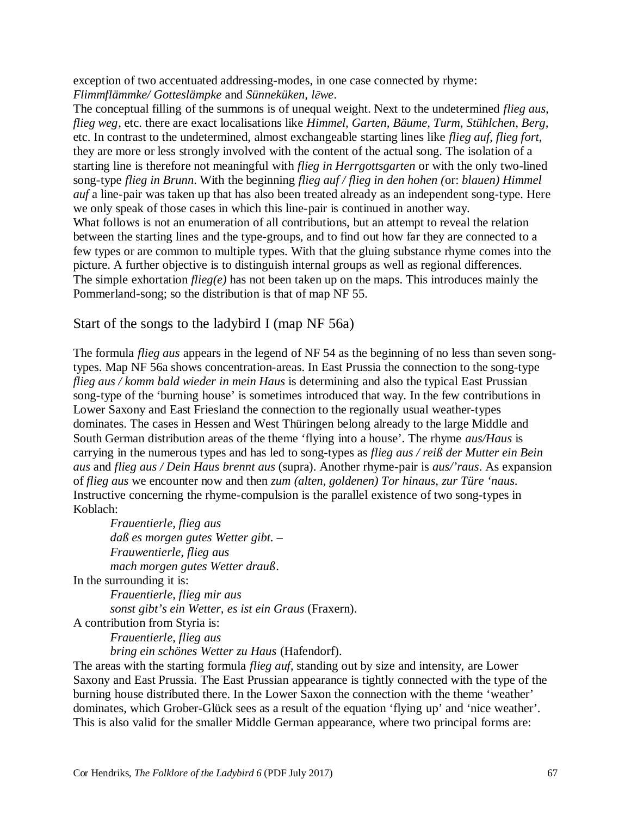exception of two accentuated addressing-modes, in one case connected by rhyme: *Flimmflämmke/ Gotteslämpke* and *Sünneküken, lēwe*.

The conceptual filling of the summons is of unequal weight. Next to the undetermined *flieg aus, flieg weg*, etc. there are exact localisations like *Himmel, Garten, Bäume, Turm, Stühlchen, Berg,* etc. In contrast to the undetermined, almost exchangeable starting lines like *flieg auf, flieg fort*, they are more or less strongly involved with the content of the actual song. The isolation of a starting line is therefore not meaningful with *flieg in Herrgottsgarten* or with the only two-lined song-type *flieg in Brunn*. With the beginning *flieg auf / flieg in den hohen (*or: *blauen) Himmel auf* a line-pair was taken up that has also been treated already as an independent song-type. Here we only speak of those cases in which this line-pair is continued in another way. What follows is not an enumeration of all contributions, but an attempt to reveal the relation between the starting lines and the type-groups, and to find out how far they are connected to a few types or are common to multiple types. With that the gluing substance rhyme comes into the picture. A further objective is to distinguish internal groups as well as regional differences. The simple exhortation *flieg(e)* has not been taken up on the maps. This introduces mainly the Pommerland-song; so the distribution is that of map NF 55.

## Start of the songs to the ladybird I (map NF 56a)

The formula *flieg aus* appears in the legend of NF 54 as the beginning of no less than seven songtypes. Map NF 56a shows concentration-areas. In East Prussia the connection to the song-type *flieg aus / komm bald wieder in mein Haus* is determining and also the typical East Prussian song-type of the 'burning house' is sometimes introduced that way. In the few contributions in Lower Saxony and East Friesland the connection to the regionally usual weather-types dominates. The cases in Hessen and West Thüringen belong already to the large Middle and South German distribution areas of the theme 'flying into a house'. The rhyme *aus/Haus* is carrying in the numerous types and has led to song-types as *flieg aus / reiß der Mutter ein Bein aus* and *flieg aus / Dein Haus brennt aus* (supra). Another rhyme-pair is *aus/'raus*. As expansion of *flieg aus* we encounter now and then *zum (alten, goldenen) Tor hinaus, zur Türe 'naus*. Instructive concerning the rhyme-compulsion is the parallel existence of two song-types in Koblach:

*Frauentierle, flieg aus daß es morgen gutes Wetter gibt. – Frauwentierle, flieg aus mach morgen gutes Wetter drauß*. In the surrounding it is:

> *Frauentierle, flieg mir aus sonst gibt's ein Wetter, es ist ein Graus* (Fraxern).

A contribution from Styria is:

*Frauentierle, flieg aus* 

*bring ein schönes Wetter zu Haus* (Hafendorf).

The areas with the starting formula *flieg auf*, standing out by size and intensity, are Lower Saxony and East Prussia. The East Prussian appearance is tightly connected with the type of the burning house distributed there. In the Lower Saxon the connection with the theme 'weather' dominates, which Grober-Glück sees as a result of the equation 'flying up' and 'nice weather'. This is also valid for the smaller Middle German appearance, where two principal forms are: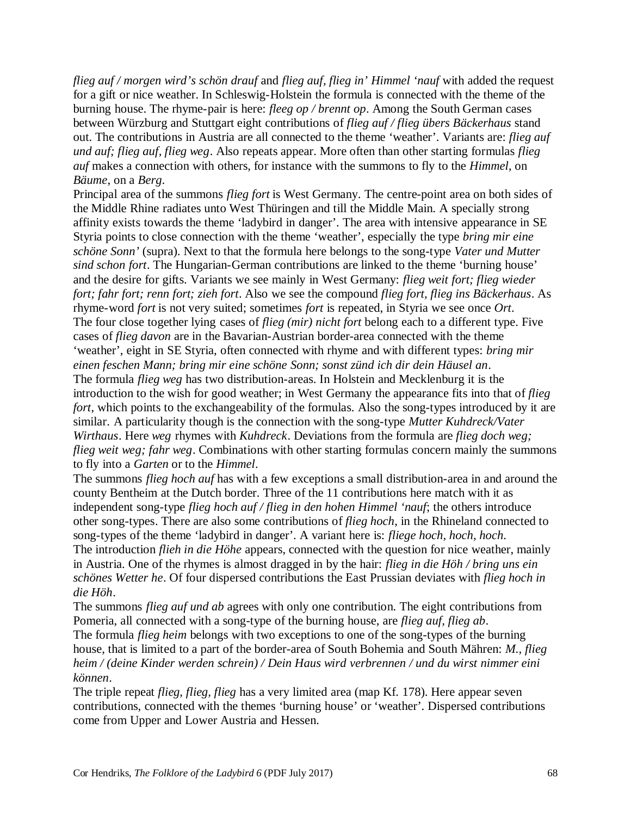*flieg auf / morgen wird's schön drauf* and *flieg auf, flieg in' Himmel 'nauf* with added the request for a gift or nice weather. In Schleswig-Holstein the formula is connected with the theme of the burning house. The rhyme-pair is here: *fleeg op / brennt op*. Among the South German cases between Würzburg and Stuttgart eight contributions of *flieg auf / flieg übers Bäckerhaus* stand out. The contributions in Austria are all connected to the theme 'weather'. Variants are: *flieg auf und auf; flieg auf, flieg weg*. Also repeats appear. More often than other starting formulas *flieg auf* makes a connection with others, for instance with the summons to fly to the *Himmel*, on *Bäume*, on a *Berg*.

Principal area of the summons *flieg fort* is West Germany. The centre-point area on both sides of the Middle Rhine radiates unto West Thüringen and till the Middle Main. A specially strong affinity exists towards the theme 'ladybird in danger'. The area with intensive appearance in SE Styria points to close connection with the theme 'weather', especially the type *bring mir eine schöne Sonn'* (supra). Next to that the formula here belongs to the song-type *Vater und Mutter sind schon fort*. The Hungarian-German contributions are linked to the theme 'burning house' and the desire for gifts. Variants we see mainly in West Germany: *flieg weit fort; flieg wieder fort; fahr fort; renn fort; zieh fort*. Also we see the compound *flieg fort, flieg ins Bäckerhaus*. As rhyme-word *fort* is not very suited; sometimes *fort* is repeated, in Styria we see once *Ort*. The four close together lying cases of *flieg (mir) nicht fort* belong each to a different type. Five cases of *flieg davon* are in the Bavarian-Austrian border-area connected with the theme 'weather', eight in SE Styria, often connected with rhyme and with different types: *bring mir einen feschen Mann; bring mir eine schöne Sonn; sonst zünd ich dir dein Häusel an*. The formula *flieg weg* has two distribution-areas. In Holstein and Mecklenburg it is the introduction to the wish for good weather; in West Germany the appearance fits into that of *flieg fort*, which points to the exchangeability of the formulas. Also the song-types introduced by it are similar. A particularity though is the connection with the song-type *Mutter Kuhdreck/Vater Wirthaus*. Here *weg* rhymes with *Kuhdreck*. Deviations from the formula are *flieg doch weg; flieg weit weg; fahr weg*. Combinations with other starting formulas concern mainly the summons to fly into a *Garten* or to the *Himmel*.

The summons *flieg hoch auf* has with a few exceptions a small distribution-area in and around the county Bentheim at the Dutch border. Three of the 11 contributions here match with it as independent song-type *flieg hoch auf / flieg in den hohen Himmel 'nauf*; the others introduce other song-types. There are also some contributions of *flieg hoch*, in the Rhineland connected to song-types of the theme 'ladybird in danger'. A variant here is: *fliege hoch, hoch, hoch*. The introduction *flieh in die Höhe* appears, connected with the question for nice weather, mainly in Austria. One of the rhymes is almost dragged in by the hair: *flieg in die Höh / bring uns ein schönes Wetter he*. Of four dispersed contributions the East Prussian deviates with *flieg hoch in die Höh*.

The summons *flieg auf und ab* agrees with only one contribution. The eight contributions from Pomeria, all connected with a song-type of the burning house, are *flieg auf, flieg ab*.

The formula *flieg heim* belongs with two exceptions to one of the song-types of the burning house, that is limited to a part of the border-area of South Bohemia and South Mähren: *M., flieg heim / (deine Kinder werden schrein) / Dein Haus wird verbrennen / und du wirst nimmer eini können*.

The triple repeat *flieg, flieg, flieg* has a very limited area (map Kf. 178). Here appear seven contributions, connected with the themes 'burning house' or 'weather'. Dispersed contributions come from Upper and Lower Austria and Hessen.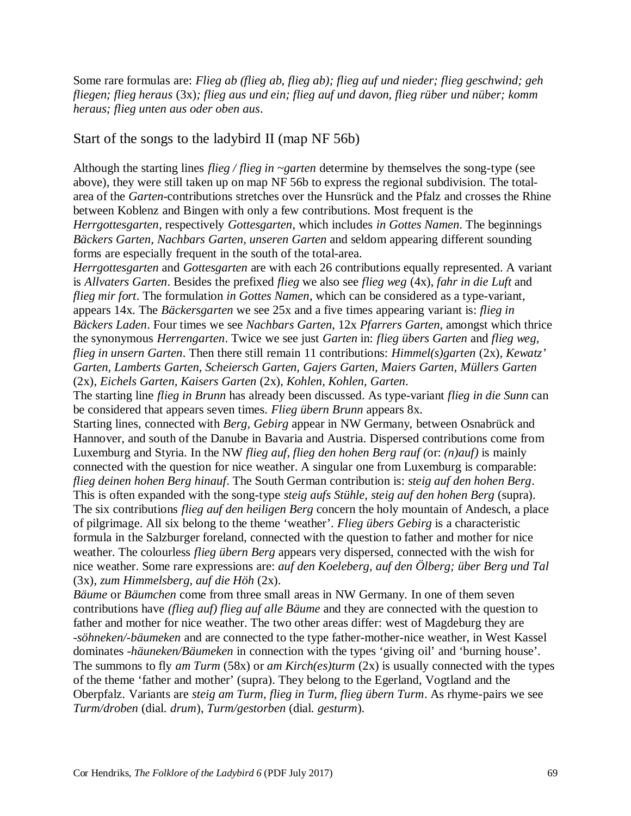Some rare formulas are: *Flieg ab (flieg ab, flieg ab); flieg auf und nieder; flieg geschwind; geh fliegen; flieg heraus* (3x)*; flieg aus und ein; flieg auf und davon, flieg rüber und nüber; komm heraus; flieg unten aus oder oben aus*.

## Start of the songs to the ladybird II (map NF 56b)

Although the starting lines *flieg / flieg in ~garten* determine by themselves the song-type (see above), they were still taken up on map NF 56b to express the regional subdivision. The totalarea of the *Garten*-contributions stretches over the Hunsrück and the Pfalz and crosses the Rhine between Koblenz and Bingen with only a few contributions. Most frequent is the *Herrgottesgarten*, respectively *Gottesgarten*, which includes *in Gottes Namen*. The beginnings *Bäckers Garten, Nachbars Garten, unseren Garten* and seldom appearing different sounding forms are especially frequent in the south of the total-area.

*Herrgottesgarten* and *Gottesgarten* are with each 26 contributions equally represented. A variant is *Allvaters Garten*. Besides the prefixed *flieg* we also see *flieg weg* (4x), *fahr in die Luft* and *flieg mir fort*. The formulation *in Gottes Namen*, which can be considered as a type-variant, appears 14x. The *Bäckersgarten* we see 25x and a five times appearing variant is: *flieg in Bäckers Laden*. Four times we see *Nachbars Garten*, 12x *Pfarrers Garten*, amongst which thrice the synonymous *Herrengarten*. Twice we see just *Garten* in: *flieg übers Garten* and *flieg weg, flieg in unsern Garten*. Then there still remain 11 contributions: *Himmel(s)garten* (2x)*, Kewatz' Garten, Lamberts Garten, Scheiersch Garten, Gajers Garten, Maiers Garten, Müllers Garten* (2x)*, Eichels Garten, Kaisers Garten* (2x)*, Kohlen, Kohlen, Garten*.

The starting line *flieg in Brunn* has already been discussed. As type-variant *flieg in die Sunn* can be considered that appears seven times. *Flieg übern Brunn* appears 8x.

Starting lines, connected with *Berg, Gebirg* appear in NW Germany, between Osnabrück and Hannover, and south of the Danube in Bavaria and Austria. Dispersed contributions come from Luxemburg and Styria. In the NW *flieg auf, flieg den hohen Berg rauf (*or: *(n)auf)* is mainly connected with the question for nice weather. A singular one from Luxemburg is comparable: *flieg deinen hohen Berg hinauf*. The South German contribution is: *steig auf den hohen Berg*. This is often expanded with the song-type *steig aufs Stühle, steig auf den hohen Berg* (supra). The six contributions *flieg auf den heiligen Berg* concern the holy mountain of Andesch, a place of pilgrimage. All six belong to the theme 'weather'. *Flieg übers Gebirg* is a characteristic formula in the Salzburger foreland, connected with the question to father and mother for nice weather. The colourless *flieg übern Berg* appears very dispersed, connected with the wish for nice weather. Some rare expressions are: *auf den Koeleberg, auf den Ölberg; über Berg und Tal* (3x)*, zum Himmelsberg, auf die Höh* (2x).

*Bäume* or *Bäumchen* come from three small areas in NW Germany. In one of them seven contributions have *(flieg auf) flieg auf alle Bäume* and they are connected with the question to father and mother for nice weather. The two other areas differ: west of Magdeburg they are *-söhneken/-bäumeken* and are connected to the type father-mother-nice weather, in West Kassel dominates *-häuneken/Bäumeken* in connection with the types 'giving oil' and 'burning house'. The summons to fly *am Turm* (58x) or *am Kirch(es)turm* (2x) is usually connected with the types of the theme 'father and mother' (supra). They belong to the Egerland, Vogtland and the Oberpfalz. Variants are *steig am Turm, flieg in Turm, flieg übern Turm*. As rhyme-pairs we see *Turm/droben* (dial. *drum*), *Turm/gestorben* (dial. *gesturm*).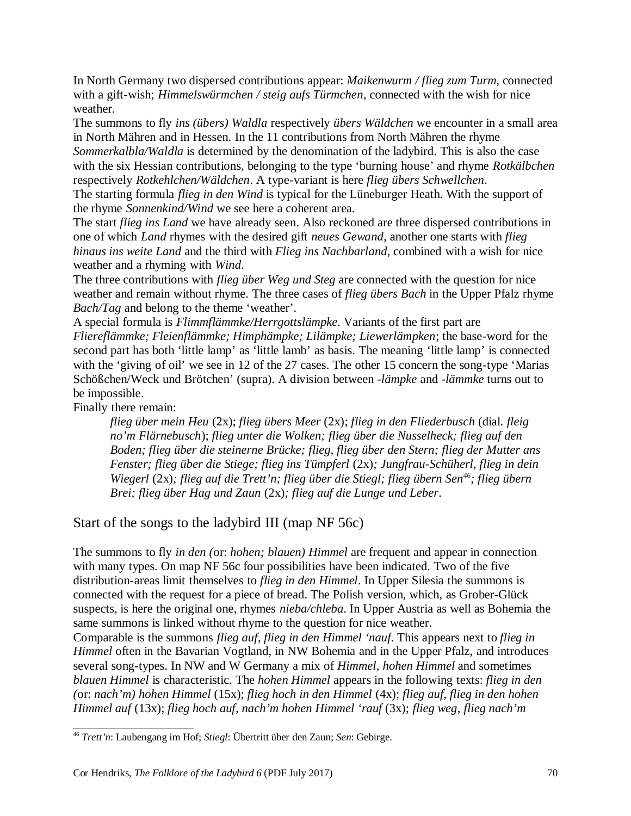In North Germany two dispersed contributions appear: *Maikenwurm / flieg zum Turm*, connected with a gift-wish; *Himmelswürmchen / steig aufs Türmchen*, connected with the wish for nice weather.

The summons to fly *ins (übers) Waldla* respectively *übers Wäldchen* we encounter in a small area in North Mähren and in Hessen. In the 11 contributions from North Mähren the rhyme *Sommerkalbla/Waldla* is determined by the denomination of the ladybird. This is also the case with the six Hessian contributions, belonging to the type 'burning house' and rhyme *Rotkälbchen* respectively *Rotkehlchen/Wäldchen*. A type-variant is here *flieg übers Schwellchen*.

The starting formula *flieg in den Wind* is typical for the Lüneburger Heath. With the support of the rhyme *Sonnenkind/Wind* we see here a coherent area.

The start *flieg ins Land* we have already seen. Also reckoned are three dispersed contributions in one of which *Land* rhymes with the desired gift *neues Gewand*, another one starts with *flieg hinaus ins weite Land* and the third with *Flieg ins Nachbarland*, combined with a wish for nice weather and a rhyming with *Wind*.

The three contributions with *flieg über Weg und Steg* are connected with the question for nice weather and remain without rhyme. The three cases of *flieg übers Bach* in the Upper Pfalz rhyme *Bach/Tag* and belong to the theme 'weather'.

A special formula is *Flimmflämmke/Herrgottslämpke*. Variants of the first part are *Fliereflämmke; Fleienflämmke; Himphämpke; Lilämpke; Liewerlämpken*; the base-word for the second part has both 'little lamp' as 'little lamb' as basis. The meaning 'little lamp' is connected with the 'giving of oil' we see in 12 of the 27 cases. The other 15 concern the song-type 'Marias' Schößchen/Weck und Brötchen' (supra). A division between *-lämpke* and *-lämmke* turns out to be impossible.

Finally there remain:

*flieg über mein Heu* (2x); *flieg übers Meer* (2x); *flieg in den Fliederbusch* (dial. *fleig no'm Flärnebusch*); *flieg unter die Wolken; flieg über die Nusselheck; flieg auf den Boden; flieg über die steinerne Brücke; flieg, flieg über den Stern; flieg der Mutter ans Fenster; flieg über die Stiege; flieg ins Tümpferl* (2x)*; Jungfrau-Schüherl, flieg in dein Wiegerl* (2x)*; flieg auf die Trett'n; flieg über die Stiegl; flieg übern Sen<sup>46</sup>; flieg übern Brei; flieg über Hag und Zaun* (2x)*; flieg auf die Lunge und Leber*.

Start of the songs to the ladybird III (map NF 56c)

The summons to fly *in den (*or: *hohen; blauen) Himmel* are frequent and appear in connection with many types. On map NF 56c four possibilities have been indicated. Two of the five distribution-areas limit themselves to *flieg in den Himmel*. In Upper Silesia the summons is connected with the request for a piece of bread. The Polish version, which, as Grober-Glück suspects, is here the original one, rhymes *nieba/chleba*. In Upper Austria as well as Bohemia the same summons is linked without rhyme to the question for nice weather.

Comparable is the summons *flieg auf, flieg in den Himmel 'nauf*. This appears next to *flieg in Himmel* often in the Bavarian Vogtland, in NW Bohemia and in the Upper Pfalz, and introduces several song-types. In NW and W Germany a mix of *Himmel, hohen Himmel* and sometimes *blauen Himmel* is characteristic. The *hohen Himmel* appears in the following texts: *flieg in den (*or: *nach'm) hohen Himmel* (15x); *flieg hoch in den Himmel* (4x); *flieg auf, flieg in den hohen Himmel auf* (13x); *flieg hoch auf, nach'm hohen Himmel 'rauf* (3x); *flieg weg, flieg nach'm*

<sup>46</sup> *Trett'n*: Laubengang im Hof; *Stiegl*: Übertritt über den Zaun; *Sen*: Gebirge.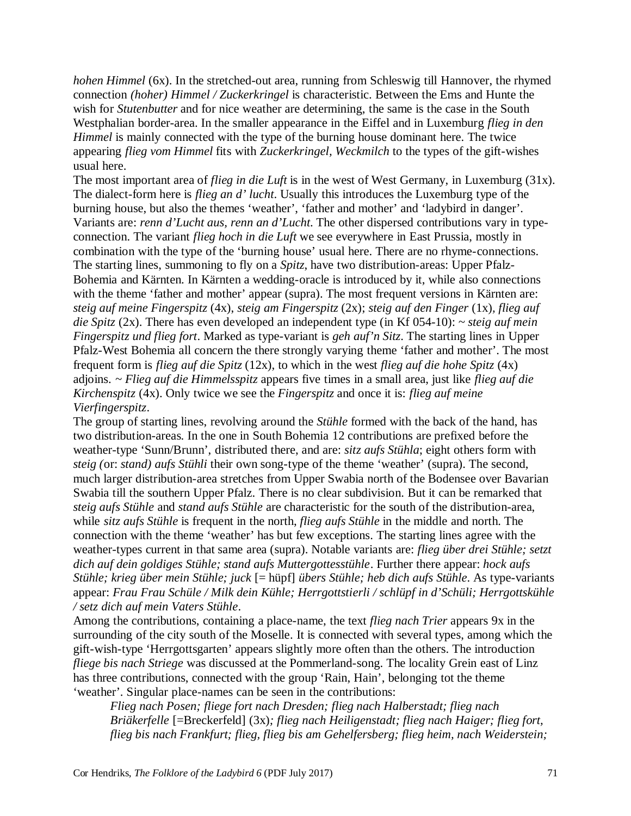*hohen Himmel* (6x). In the stretched-out area, running from Schleswig till Hannover, the rhymed connection *(hoher) Himmel / Zuckerkringel* is characteristic. Between the Ems and Hunte the wish for *Stutenbutter* and for nice weather are determining, the same is the case in the South Westphalian border-area. In the smaller appearance in the Eiffel and in Luxemburg *flieg in den Himmel* is mainly connected with the type of the burning house dominant here. The twice appearing *flieg vom Himmel* fits with *Zuckerkringel, Weckmilch* to the types of the gift-wishes usual here.

The most important area of *flieg in die Luft* is in the west of West Germany, in Luxemburg (31x). The dialect-form here is *flieg an d' lucht*. Usually this introduces the Luxemburg type of the burning house, but also the themes 'weather', 'father and mother' and 'ladybird in danger'. Variants are: *renn d'Lucht aus, renn an d'Lucht*. The other dispersed contributions vary in typeconnection. The variant *flieg hoch in die Luft* we see everywhere in East Prussia, mostly in combination with the type of the 'burning house' usual here. There are no rhyme-connections. The starting lines, summoning to fly on a *Spitz*, have two distribution-areas: Upper Pfalz-Bohemia and Kärnten. In Kärnten a wedding-oracle is introduced by it, while also connections with the theme 'father and mother' appear (supra). The most frequent versions in Kärnten are: *steig auf meine Fingerspitz* (4x), *steig am Fingerspitz* (2x); *steig auf den Finger* (1x)*, flieg auf die Spitz* (2x). There has even developed an independent type (in Kf 054-10): *~ steig auf mein Fingerspitz und flieg fort*. Marked as type-variant is *geh auf'n Sitz*. The starting lines in Upper Pfalz-West Bohemia all concern the there strongly varying theme 'father and mother'. The most frequent form is *flieg auf die Spitz* (12x), to which in the west *flieg auf die hohe Spitz* (4x) adjoins. *~ Flieg auf die Himmelsspitz* appears five times in a small area, just like *flieg auf die Kirchenspitz* (4x). Only twice we see the *Fingerspitz* and once it is: *flieg auf meine Vierfingerspitz*.

The group of starting lines, revolving around the *Stühle* formed with the back of the hand, has two distribution-areas. In the one in South Bohemia 12 contributions are prefixed before the weather-type 'Sunn/Brunn', distributed there, and are: *sitz aufs Stühla*; eight others form with *steig (*or: *stand) aufs Stühli* their own song-type of the theme 'weather' (supra). The second, much larger distribution-area stretches from Upper Swabia north of the Bodensee over Bavarian Swabia till the southern Upper Pfalz. There is no clear subdivision. But it can be remarked that *steig aufs Stühle* and *stand aufs Stühle* are characteristic for the south of the distribution-area, while *sitz aufs Stühle* is frequent in the north, *flieg aufs Stühle* in the middle and north. The connection with the theme 'weather' has but few exceptions. The starting lines agree with the weather-types current in that same area (supra). Notable variants are: *flieg über drei Stühle; setzt dich auf dein goldiges Stühle; stand aufs Muttergottesstühle*. Further there appear: *hock aufs Stühle; krieg über mein Stühle; juck* [= hüpf] *übers Stühle; heb dich aufs Stühle*. As type-variants appear: *Frau Frau Schüle / Milk dein Kühle; Herrgottstierli / schlüpf in d'Schüli; Herrgottskühle / setz dich auf mein Vaters Stühle*.

Among the contributions, containing a place-name, the text *flieg nach Trier* appears 9x in the surrounding of the city south of the Moselle. It is connected with several types, among which the gift-wish-type 'Herrgottsgarten' appears slightly more often than the others. The introduction *fliege bis nach Striege* was discussed at the Pommerland-song. The locality Grein east of Linz has three contributions, connected with the group 'Rain, Hain', belonging tot the theme 'weather'. Singular place-names can be seen in the contributions:

*Flieg nach Posen; fliege fort nach Dresden; flieg nach Halberstadt; flieg nach Briäkerfelle* [=Breckerfeld] (3x)*; flieg nach Heiligenstadt; flieg nach Haiger; flieg fort, flieg bis nach Frankfurt; flieg, flieg bis am Gehelfersberg; flieg heim, nach Weiderstein;*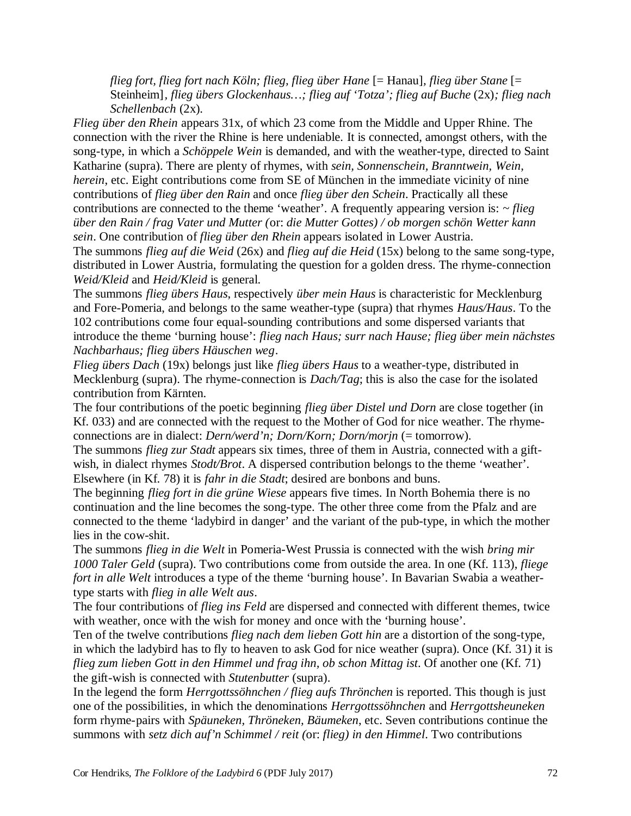*flieg fort, flieg fort nach Köln; flieg, flieg über Hane* [= Hanau]*, flieg über Stane* [= Steinheim]*, flieg übers Glockenhaus…; flieg auf 'Totza'; flieg auf Buche* (2x)*; flieg nach Schellenbach* (2x).

*Flieg über den Rhein* appears 31x, of which 23 come from the Middle and Upper Rhine. The connection with the river the Rhine is here undeniable. It is connected, amongst others, with the song-type, in which a *Schöppele Wein* is demanded, and with the weather-type, directed to Saint Katharine (supra). There are plenty of rhymes, with *sein, Sonnenschein, Branntwein, Wein, herein*, etc. Eight contributions come from SE of München in the immediate vicinity of nine contributions of *flieg über den Rain* and once *flieg über den Schein*. Practically all these contributions are connected to the theme 'weather'. A frequently appearing version is: *~ flieg über den Rain / frag Vater und Mutter (*or: *die Mutter Gottes) / ob morgen schön Wetter kann sein*. One contribution of *flieg über den Rhein* appears isolated in Lower Austria.

The summons *flieg auf die Weid* (26x) and *flieg auf die Heid* (15x) belong to the same song-type, distributed in Lower Austria, formulating the question for a golden dress. The rhyme-connection *Weid/Kleid* and *Heid/Kleid* is general.

The summons *flieg übers Haus*, respectively *über mein Haus* is characteristic for Mecklenburg and Fore-Pomeria, and belongs to the same weather-type (supra) that rhymes *Haus/Haus*. To the 102 contributions come four equal-sounding contributions and some dispersed variants that introduce the theme 'burning house': *flieg nach Haus; surr nach Hause; flieg über mein nächstes Nachbarhaus; flieg übers Häuschen weg*.

*Flieg übers Dach* (19x) belongs just like *flieg übers Haus* to a weather-type, distributed in Mecklenburg (supra). The rhyme-connection is *Dach/Tag*; this is also the case for the isolated contribution from Kärnten.

The four contributions of the poetic beginning *flieg über Distel und Dorn* are close together (in Kf. 033) and are connected with the request to the Mother of God for nice weather. The rhymeconnections are in dialect: *Dern/werd'n; Dorn/Korn; Dorn/morjn* (= tomorrow).

The summons *flieg zur Stadt* appears six times, three of them in Austria, connected with a giftwish, in dialect rhymes *Stodt/Brot*. A dispersed contribution belongs to the theme 'weather'. Elsewhere (in Kf. 78) it is *fahr in die Stadt*; desired are bonbons and buns.

The beginning *flieg fort in die grüne Wiese* appears five times. In North Bohemia there is no continuation and the line becomes the song-type. The other three come from the Pfalz and are connected to the theme 'ladybird in danger' and the variant of the pub-type, in which the mother lies in the cow-shit.

The summons *flieg in die Welt* in Pomeria-West Prussia is connected with the wish *bring mir 1000 Taler Geld* (supra). Two contributions come from outside the area. In one (Kf. 113), *fliege fort in alle Welt* introduces a type of the theme 'burning house'. In Bavarian Swabia a weathertype starts with *flieg in alle Welt aus*.

The four contributions of *flieg ins Feld* are dispersed and connected with different themes, twice with weather, once with the wish for money and once with the 'burning house'.

Ten of the twelve contributions *flieg nach dem lieben Gott hin* are a distortion of the song-type, in which the ladybird has to fly to heaven to ask God for nice weather (supra). Once (Kf. 31) it is *flieg zum lieben Gott in den Himmel und frag ihn, ob schon Mittag ist*. Of another one (Kf. 71) the gift-wish is connected with *Stutenbutter* (supra).

In the legend the form *Herrgottssöhnchen / flieg aufs Thrönchen* is reported. This though is just one of the possibilities, in which the denominations *Herrgottssöhnchen* and *Herrgottsheuneken* form rhyme-pairs with *Späuneken, Thröneken, Bäumeken*, etc. Seven contributions continue the summons with *setz dich auf'n Schimmel / reit (*or: *flieg) in den Himmel*. Two contributions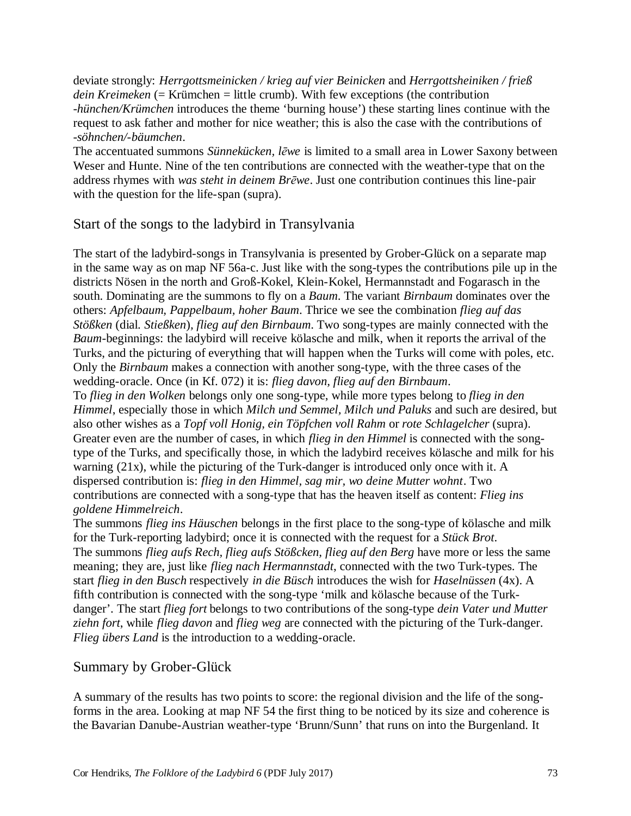deviate strongly: *Herrgottsmeinicken / krieg auf vier Beinicken* and *Herrgottsheiniken / frieß dein Kreimeken* (= Krümchen = little crumb). With few exceptions (the contribution *-hünchen/Krümchen* introduces the theme 'burning house') these starting lines continue with the request to ask father and mother for nice weather; this is also the case with the contributions of *-söhnchen/-bäumchen*.

The accentuated summons *Sünnekücken, lēwe* is limited to a small area in Lower Saxony between Weser and Hunte. Nine of the ten contributions are connected with the weather-type that on the address rhymes with *was steht in deinem Brēwe*. Just one contribution continues this line-pair with the question for the life-span (supra).

## Start of the songs to the ladybird in Transylvania

The start of the ladybird-songs in Transylvania is presented by Grober-Glück on a separate map in the same way as on map NF 56a-c. Just like with the song-types the contributions pile up in the districts Nösen in the north and Groß-Kokel, Klein-Kokel, Hermannstadt and Fogarasch in the south. Dominating are the summons to fly on a *Baum*. The variant *Birnbaum* dominates over the others: *Apfelbaum, Pappelbaum, hoher Baum*. Thrice we see the combination *flieg auf das Stößken* (dial. *Stießken*)*, flieg auf den Birnbaum*. Two song-types are mainly connected with the *Baum*-beginnings: the ladybird will receive kölasche and milk, when it reports the arrival of the Turks, and the picturing of everything that will happen when the Turks will come with poles, etc. Only the *Birnbaum* makes a connection with another song-type, with the three cases of the wedding-oracle. Once (in Kf. 072) it is: *flieg davon, flieg auf den Birnbaum*.

To *flieg in den Wolken* belongs only one song-type, while more types belong to *flieg in den Himmel*, especially those in which *Milch und Semmel, Milch und Paluks* and such are desired, but also other wishes as a *Topf voll Honig, ein Töpfchen voll Rahm* or *rote Schlagelcher* (supra). Greater even are the number of cases, in which *flieg in den Himmel* is connected with the songtype of the Turks, and specifically those, in which the ladybird receives kölasche and milk for his warning (21x), while the picturing of the Turk-danger is introduced only once with it. A dispersed contribution is: *flieg in den Himmel, sag mir, wo deine Mutter wohnt*. Two contributions are connected with a song-type that has the heaven itself as content: *Flieg ins goldene Himmelreich*.

The summons *flieg ins Häuschen* belongs in the first place to the song-type of kölasche and milk for the Turk-reporting ladybird; once it is connected with the request for a *Stück Brot*. The summons *flieg aufs Rech, flieg aufs Stößcken, flieg auf den Berg* have more or less the same meaning; they are, just like *flieg nach Hermannstadt*, connected with the two Turk-types. The start *flieg in den Busch* respectively *in die Büsch* introduces the wish for *Haselnüssen* (4x). A fifth contribution is connected with the song-type 'milk and kölasche because of the Turkdanger'. The start *flieg fort* belongs to two contributions of the song-type *dein Vater und Mutter ziehn fort*, while *flieg davon* and *flieg weg* are connected with the picturing of the Turk-danger. *Flieg übers Land* is the introduction to a wedding-oracle.

## Summary by Grober-Glück

A summary of the results has two points to score: the regional division and the life of the songforms in the area. Looking at map NF 54 the first thing to be noticed by its size and coherence is the Bavarian Danube-Austrian weather-type 'Brunn/Sunn' that runs on into the Burgenland. It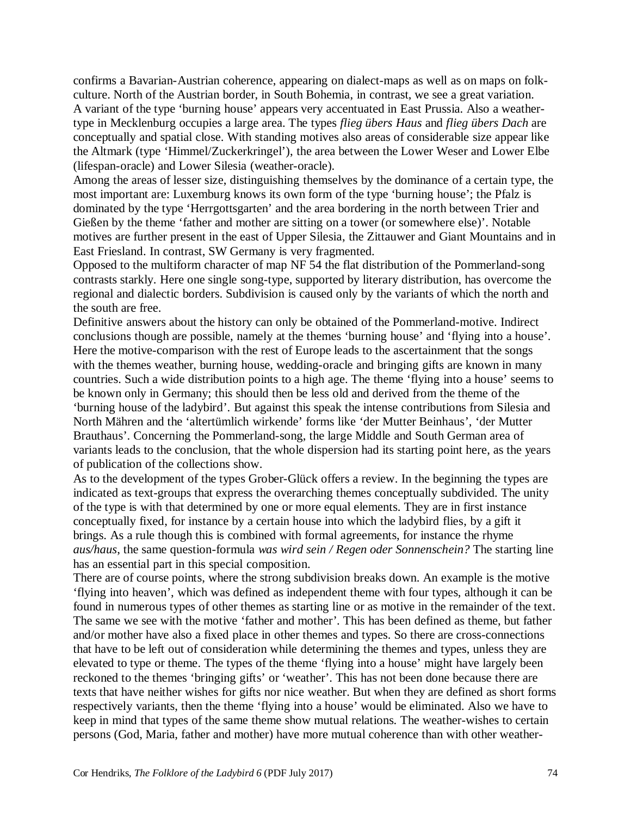confirms a Bavarian-Austrian coherence, appearing on dialect-maps as well as on maps on folkculture. North of the Austrian border, in South Bohemia, in contrast, we see a great variation. A variant of the type 'burning house' appears very accentuated in East Prussia. Also a weathertype in Mecklenburg occupies a large area. The types *flieg übers Haus* and *flieg übers Dach* are conceptually and spatial close. With standing motives also areas of considerable size appear like the Altmark (type 'Himmel/Zuckerkringel'), the area between the Lower Weser and Lower Elbe (lifespan-oracle) and Lower Silesia (weather-oracle).

Among the areas of lesser size, distinguishing themselves by the dominance of a certain type, the most important are: Luxemburg knows its own form of the type 'burning house'; the Pfalz is dominated by the type 'Herrgottsgarten' and the area bordering in the north between Trier and Gießen by the theme 'father and mother are sitting on a tower (or somewhere else)'. Notable motives are further present in the east of Upper Silesia, the Zittauwer and Giant Mountains and in East Friesland. In contrast, SW Germany is very fragmented.

Opposed to the multiform character of map NF 54 the flat distribution of the Pommerland-song contrasts starkly. Here one single song-type, supported by literary distribution, has overcome the regional and dialectic borders. Subdivision is caused only by the variants of which the north and the south are free.

Definitive answers about the history can only be obtained of the Pommerland-motive. Indirect conclusions though are possible, namely at the themes 'burning house' and 'flying into a house'. Here the motive-comparison with the rest of Europe leads to the ascertainment that the songs with the themes weather, burning house, wedding-oracle and bringing gifts are known in many countries. Such a wide distribution points to a high age. The theme 'flying into a house' seems to be known only in Germany; this should then be less old and derived from the theme of the 'burning house of the ladybird'. But against this speak the intense contributions from Silesia and North Mähren and the 'altertümlich wirkende' forms like 'der Mutter Beinhaus', 'der Mutter Brauthaus'. Concerning the Pommerland-song, the large Middle and South German area of variants leads to the conclusion, that the whole dispersion had its starting point here, as the years of publication of the collections show.

As to the development of the types Grober-Glück offers a review. In the beginning the types are indicated as text-groups that express the overarching themes conceptually subdivided. The unity of the type is with that determined by one or more equal elements. They are in first instance conceptually fixed, for instance by a certain house into which the ladybird flies, by a gift it brings. As a rule though this is combined with formal agreements, for instance the rhyme *aus/haus*, the same question-formula *was wird sein / Regen oder Sonnenschein?* The starting line has an essential part in this special composition.

There are of course points, where the strong subdivision breaks down. An example is the motive 'flying into heaven', which was defined as independent theme with four types, although it can be found in numerous types of other themes as starting line or as motive in the remainder of the text. The same we see with the motive 'father and mother'. This has been defined as theme, but father and/or mother have also a fixed place in other themes and types. So there are cross-connections that have to be left out of consideration while determining the themes and types, unless they are elevated to type or theme. The types of the theme 'flying into a house' might have largely been reckoned to the themes 'bringing gifts' or 'weather'. This has not been done because there are texts that have neither wishes for gifts nor nice weather. But when they are defined as short forms respectively variants, then the theme 'flying into a house' would be eliminated. Also we have to keep in mind that types of the same theme show mutual relations. The weather-wishes to certain persons (God, Maria, father and mother) have more mutual coherence than with other weather-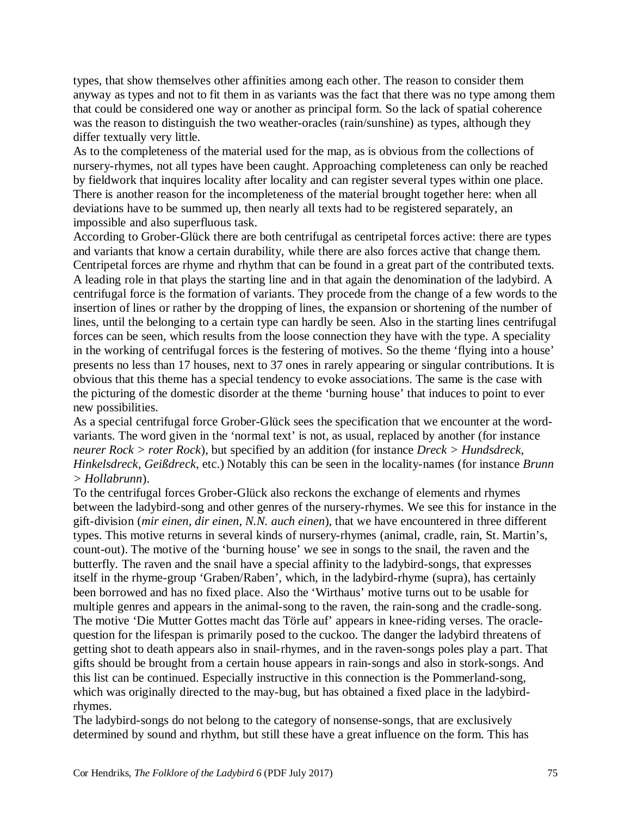types, that show themselves other affinities among each other. The reason to consider them anyway as types and not to fit them in as variants was the fact that there was no type among them that could be considered one way or another as principal form. So the lack of spatial coherence was the reason to distinguish the two weather-oracles (rain/sunshine) as types, although they differ textually very little.

As to the completeness of the material used for the map, as is obvious from the collections of nursery-rhymes, not all types have been caught. Approaching completeness can only be reached by fieldwork that inquires locality after locality and can register several types within one place. There is another reason for the incompleteness of the material brought together here: when all deviations have to be summed up, then nearly all texts had to be registered separately, an impossible and also superfluous task.

According to Grober-Glück there are both centrifugal as centripetal forces active: there are types and variants that know a certain durability, while there are also forces active that change them. Centripetal forces are rhyme and rhythm that can be found in a great part of the contributed texts. A leading role in that plays the starting line and in that again the denomination of the ladybird. A centrifugal force is the formation of variants. They procede from the change of a few words to the insertion of lines or rather by the dropping of lines, the expansion or shortening of the number of lines, until the belonging to a certain type can hardly be seen. Also in the starting lines centrifugal forces can be seen, which results from the loose connection they have with the type. A speciality in the working of centrifugal forces is the festering of motives. So the theme 'flying into a house' presents no less than 17 houses, next to 37 ones in rarely appearing or singular contributions. It is obvious that this theme has a special tendency to evoke associations. The same is the case with the picturing of the domestic disorder at the theme 'burning house' that induces to point to ever new possibilities.

As a special centrifugal force Grober-Glück sees the specification that we encounter at the wordvariants. The word given in the 'normal text' is not, as usual, replaced by another (for instance *neurer Rock > roter Rock*), but specified by an addition (for instance *Dreck > Hundsdreck, Hinkelsdreck, Geißdreck*, etc.) Notably this can be seen in the locality-names (for instance *Brunn > Hollabrunn*).

To the centrifugal forces Grober-Glück also reckons the exchange of elements and rhymes between the ladybird-song and other genres of the nursery-rhymes. We see this for instance in the gift-division (*mir einen, dir einen, N.N. auch einen*), that we have encountered in three different types. This motive returns in several kinds of nursery-rhymes (animal, cradle, rain, St. Martin's, count-out). The motive of the 'burning house' we see in songs to the snail, the raven and the butterfly. The raven and the snail have a special affinity to the ladybird-songs, that expresses itself in the rhyme-group 'Graben/Raben', which, in the ladybird-rhyme (supra), has certainly been borrowed and has no fixed place. Also the 'Wirthaus' motive turns out to be usable for multiple genres and appears in the animal-song to the raven, the rain-song and the cradle-song. The motive 'Die Mutter Gottes macht das Törle auf' appears in knee-riding verses. The oraclequestion for the lifespan is primarily posed to the cuckoo. The danger the ladybird threatens of getting shot to death appears also in snail-rhymes, and in the raven-songs poles play a part. That gifts should be brought from a certain house appears in rain-songs and also in stork-songs. And this list can be continued. Especially instructive in this connection is the Pommerland-song, which was originally directed to the may-bug, but has obtained a fixed place in the ladybirdrhymes.

The ladybird-songs do not belong to the category of nonsense-songs, that are exclusively determined by sound and rhythm, but still these have a great influence on the form. This has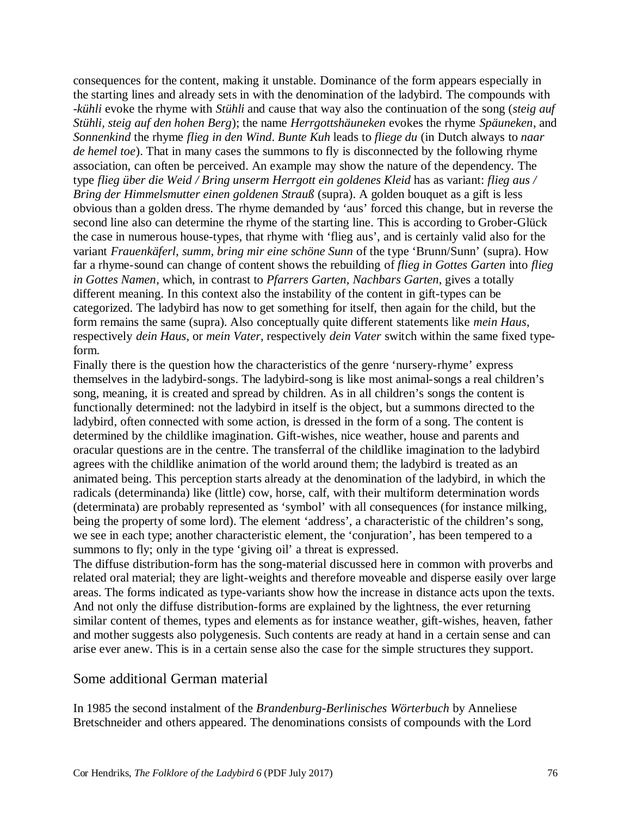consequences for the content, making it unstable. Dominance of the form appears especially in the starting lines and already sets in with the denomination of the ladybird. The compounds with *-kühli* evoke the rhyme with *Stühli* and cause that way also the continuation of the song (*steig auf Stühli, steig auf den hohen Berg*); the name *Herrgottshäuneken* evokes the rhyme *Späuneken*, and *Sonnenkind* the rhyme *flieg in den Wind*. *Bunte Kuh* leads to *fliege du* (in Dutch always to *naar de hemel toe*). That in many cases the summons to fly is disconnected by the following rhyme association, can often be perceived. An example may show the nature of the dependency. The type *flieg über die Weid / Bring unserm Herrgott ein goldenes Kleid* has as variant: *flieg aus / Bring der Himmelsmutter einen goldenen Strauß* (supra). A golden bouquet as a gift is less obvious than a golden dress. The rhyme demanded by 'aus' forced this change, but in reverse the second line also can determine the rhyme of the starting line. This is according to Grober-Glück the case in numerous house-types, that rhyme with 'flieg aus', and is certainly valid also for the variant *Frauenkäferl, summ, bring mir eine schöne Sunn* of the type 'Brunn/Sunn' (supra). How far a rhyme-sound can change of content shows the rebuilding of *flieg in Gottes Garten* into *flieg in Gottes Namen*, which, in contrast to *Pfarrers Garten, Nachbars Garten*, gives a totally different meaning. In this context also the instability of the content in gift-types can be categorized. The ladybird has now to get something for itself, then again for the child, but the form remains the same (supra). Also conceptually quite different statements like *mein Haus*, respectively *dein Haus*, or *mein Vater*, respectively *dein Vater* switch within the same fixed typeform.

Finally there is the question how the characteristics of the genre 'nursery-rhyme' express themselves in the ladybird-songs. The ladybird-song is like most animal-songs a real children's song, meaning, it is created and spread by children. As in all children's songs the content is functionally determined: not the ladybird in itself is the object, but a summons directed to the ladybird, often connected with some action, is dressed in the form of a song. The content is determined by the childlike imagination. Gift-wishes, nice weather, house and parents and oracular questions are in the centre. The transferral of the childlike imagination to the ladybird agrees with the childlike animation of the world around them; the ladybird is treated as an animated being. This perception starts already at the denomination of the ladybird, in which the radicals (determinanda) like (little) cow, horse, calf, with their multiform determination words (determinata) are probably represented as 'symbol' with all consequences (for instance milking, being the property of some lord). The element 'address', a characteristic of the children's song, we see in each type; another characteristic element, the 'conjuration', has been tempered to a summons to fly; only in the type 'giving oil' a threat is expressed.

The diffuse distribution-form has the song-material discussed here in common with proverbs and related oral material; they are light-weights and therefore moveable and disperse easily over large areas. The forms indicated as type-variants show how the increase in distance acts upon the texts. And not only the diffuse distribution-forms are explained by the lightness, the ever returning similar content of themes, types and elements as for instance weather, gift-wishes, heaven, father and mother suggests also polygenesis. Such contents are ready at hand in a certain sense and can arise ever anew. This is in a certain sense also the case for the simple structures they support.

## Some additional German material

In 1985 the second instalment of the *Brandenburg-Berlinisches Wörterbuch* by Anneliese Bretschneider and others appeared. The denominations consists of compounds with the Lord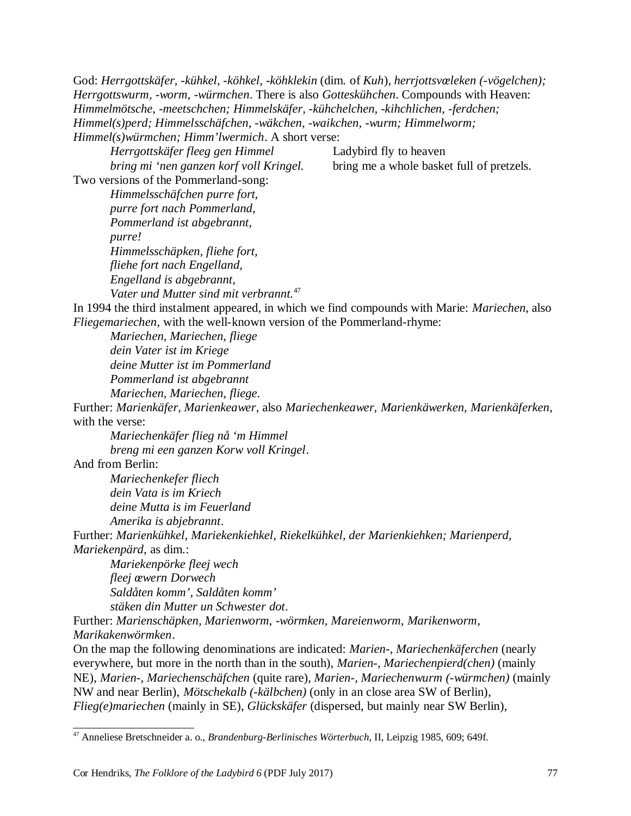God: *Herrgottskäfer, -kühkel, -köhkel, -köhklekin* (dim. of *Kuh*), *herrjottsvœleken (-vögelchen); Herrgottswurm, -worm, -würmchen*. There is also *Gotteskühchen*. Compounds with Heaven: *Himmelmötsche, -meetschchen; Himmelskäfer, -kühchelchen, -kihchlichen, -ferdchen; Himmel(s)perd; Himmelsschäfchen, -wäkchen, -waikchen, -wurm; Himmelworm; Himmel(s)würmchen; Himm'lwermich*. A short verse:

*Herrgottskäfer fleeg gen Himmel* Ladybird fly to heaven *bring mi 'nen ganzen korf voll Kringel.* bring me a whole basket full of pretzels.

Two versions of the Pommerland-song:

*Himmelsschäfchen purre fort, purre fort nach Pommerland, Pommerland ist abgebrannt, purre! Himmelsschäpken, fliehe fort, fliehe fort nach Engelland, Engelland is abgebrannt, Vater und Mutter sind mit verbrannt.*<sup>47</sup>

In 1994 the third instalment appeared, in which we find compounds with Marie: *Mariechen*, also *Fliegemariechen*, with the well-known version of the Pommerland-rhyme:

*Mariechen, Mariechen, fliege dein Vater ist im Kriege deine Mutter ist im Pommerland Pommerland ist abgebrannt Mariechen, Mariechen, fliege*.

Further: *Marienkäfer, Marienkeawer*, also *Mariechenkeawer, Marienkäwerken, Marienkäferken*, with the verse:

*Mariechenkäfer flieg nå 'm Himmel breng mi een ganzen Korw voll Kringel*.

And from Berlin:

*Mariechenkefer fliech dein Vata is im Kriech deine Mutta is im Feuerland Amerika is abjebrannt*.

Further: *Marienkühkel, Mariekenkiehkel, Riekelkühkel, der Marienkiehken; Marienperd, Mariekenpärd,* as dim.:

*Mariekenpörke fleej wech fleej œwern Dorwech Saldåten komm', Saldåten komm' stäken din Mutter un Schwester dot*.

Further: *Marienschäpken, Marienworm, -wörmken, Mareienworm, Marikenworm, Marikakenwörmken*.

On the map the following denominations are indicated: *Marien-, Mariechenkäferchen* (nearly everywhere, but more in the north than in the south), *Marien-, Mariechenpierd(chen)* (mainly NE), *Marien-, Mariechenschäfchen* (quite rare), *Marien-, Mariechenwurm (-würmchen)* (mainly NW and near Berlin), *Mötschekalb (-kälbchen)* (only in an close area SW of Berlin), *Flieg(e)mariechen* (mainly in SE), *Glückskäfer* (dispersed, but mainly near SW Berlin),

<sup>47</sup> Anneliese Bretschneider a. o., *Brandenburg-Berlinisches Wörterbuch*, II, Leipzig 1985, 609; 649f.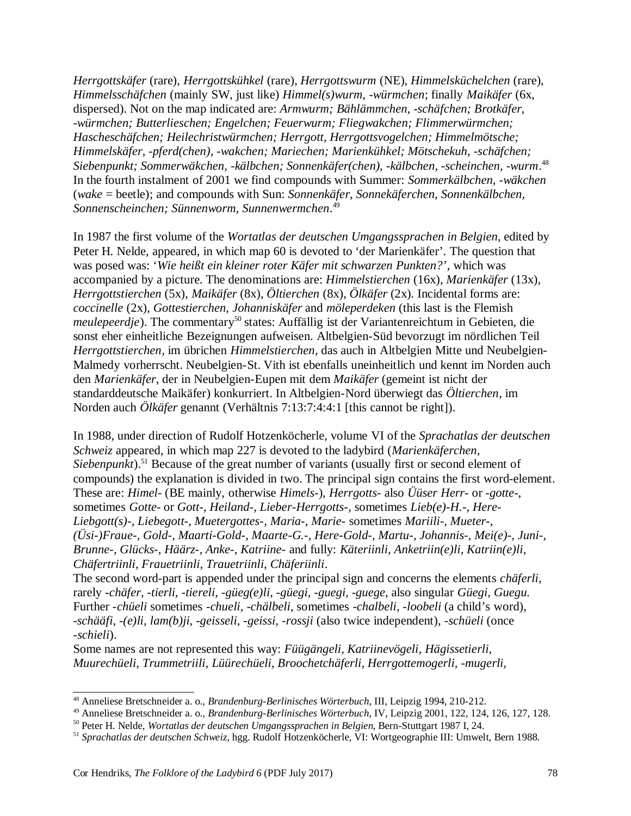*Herrgottskäfer* (rare), *Herrgottskühkel* (rare), *Herrgottswurm* (NE), *Himmelsküchelchen* (rare), *Himmelsschäfchen* (mainly SW, just like) *Himmel(s)wurm, -würmchen*; finally *Maikäfer* (6x, dispersed). Not on the map indicated are: *Armwurm; Bählämmchen, -schäfchen; Brotkäfer, -würmchen; Butterlieschen; Engelchen; Feuerwurm; Fliegwakchen; Flimmerwürmchen; Hascheschäfchen; Heilechristwürmchen; Herrgott, Herrgottsvogelchen; Himmelmötsche; Himmelskäfer, -pferd(chen), -wakchen; Mariechen; Marienkühkel; Mötschekuh, -schäfchen; Siebenpunkt; Sommerwäkchen, -kälbchen; Sonnenkäfer(chen), -kälbchen, -scheinchen, -wurm*. 48 In the fourth instalment of 2001 we find compounds with Summer: *Sommerkälbchen, -wäkchen* (*wake* = beetle); and compounds with Sun: *Sonnenkäfer, Sonnekäferchen, Sonnenkälbchen, Sonnenscheinchen; Sünnenworm, Sunnenwermchen*. 49

In 1987 the first volume of the *Wortatlas der deutschen Umgangssprachen in Belgien*, edited by Peter H. Nelde, appeared, in which map 60 is devoted to 'der Marienkäfer'. The question that was posed was: '*Wie heißt ein kleiner roter Käfer mit schwarzen Punkten?*', which was accompanied by a picture. The denominations are: *Himmelstierchen* (16x), *Marienkäfer* (13x), *Herrgottstierchen* (5x), *Maikäfer* (8x), *Öltierchen* (8x), *Ölkäfer* (2x). Incidental forms are: *coccinelle* (2x), *Gottestierchen, Johanniskäfer* and *möleperdeken* (this last is the Flemish *meulepeerdje*). The commentary<sup>50</sup> states: Auffällig ist der Variantenreichtum in Gebieten, die sonst eher einheitliche Bezeignungen aufweisen. Altbelgien-Süd bevorzugt im nördlichen Teil *Herrgottstierchen*, im übrichen *Himmelstierchen*, das auch in Altbelgien Mitte und Neubelgien-Malmedy vorherrscht. Neubelgien-St. Vith ist ebenfalls uneinheitlich und kennt im Norden auch den *Marienkäfer*, der in Neubelgien-Eupen mit dem *Maikäfer* (gemeint ist nicht der standarddeutsche Maikäfer) konkurriert. In Altbelgien-Nord überwiegt das *Öltierchen*, im Norden auch *Ölkäfer* genannt (Verhältnis 7:13:7:4:4:1 [this cannot be right]).

In 1988, under direction of Rudolf Hotzenköcherle, volume VI of the *Sprachatlas der deutschen Schweiz* appeared, in which map 227 is devoted to the ladybird (*Marienkäferchen,* Siebenpunkt).<sup>51</sup> Because of the great number of variants (usually first or second element of compounds) the explanation is divided in two. The principal sign contains the first word-element. These are: *Himel*- (BE mainly, otherwise *Himels-*), *Herrgotts-* also *Üüser Herr-* or *-gotte-*, sometimes *Gotte-* or *Gott*-, *Heiland-, Lieber-Herrgotts-,* sometimes *Lieb(e)-H.-, Here-Liebgott(s)-, Liebegott-, Muetergottes-, Maria-, Marie-* sometimes *Mariili-, Mueter-, (Üsi-)Fraue-, Gold-, Maarti-Gold-, Maarte-G.-, Here-Gold-, Martu-, Johannis-, Mei(e)-, Juni-, Brunne-, Glücks-, Häärz-, Anke-, Katriine-* and fully: *Käteriinli, Anketriin(e)li, Katriin(e)li, Chäfertriinli, Frauetriinli, Trauetriinli, Chäferiinli*.

The second word-part is appended under the principal sign and concerns the elements *chäferli*, rarely -*chäfer, -tierli, -tiereli, -güeg(e)li, -güegi, -guegi, -guege*, also singular *Güegi, Guegu*. Further -*chüeli* sometimes *-chueli, -chälbeli*, sometimes -*chalbeli, -loobeli* (a child's word), *-schääfi, -(e)li, lam(b)ji, -geisseli, -geissi, -rossji* (also twice independent), -*schüeli* (once -*schieli*).

Some names are not represented this way: *Füügängeli, Katriinevögeli, Hägissetierli, Muurechüeli, Trummetriili, Lüürechüeli, Broochetchäferli, Herrgottemogerli, -mugerli,*

<sup>48</sup> Anneliese Bretschneider a. o., *Brandenburg-Berlinisches Wörterbuch*, III, Leipzig 1994, 210-212.

<sup>49</sup> Anneliese Bretschneider a. o., *Brandenburg-Berlinisches Wörterbuch*, IV, Leipzig 2001, 122, 124, 126, 127, 128.

<sup>50</sup> Peter H. Nelde, *Wortatlas der deutschen Umgangssprachen in Belgien*, Bern-Stuttgart 1987 I, 24.

<sup>51</sup> *Sprachatlas der deutschen Schweiz*, hgg. Rudolf Hotzenköcherle, VI: Wortgeographie III: Umwelt, Bern 1988.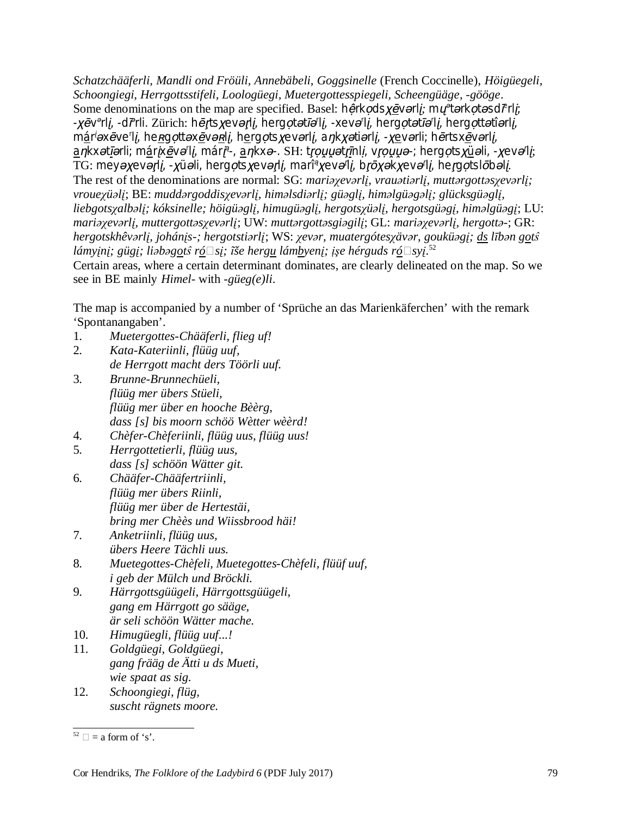*Schatzchääferli, Mandli ond Fröüli, Annebäbeli, Goggsinelle* (French Coccinelle), *Höigüegeli, Schoongiegi, Herrgottsstifeli, Loologüegi, Muetergottesspiegeli, Scheengüäge, -gööge*. Some denominations on the map are specified. Basel: hêrkodsxevarli; mu<sup>e</sup>tarkotasd<sup>e</sup>rli; -xēv<sup>o</sup>rlį, -di<sup>o</sup>rli. Zürich: hērtsxeverlį, hergotetieli, -xevelį, hergotetieli, hergottetierlį, m<u>á</u>r<sup>i</sup>əxēve'li, he<u>rg</u>ottəx<u>ē</u>və<u>r</u>li, h<u>e</u>rgotsxevərli, aŋkxətiərli, -xe</u>vərli; hērtsx<u>ē</u>vərli, ankxət<u>i</u>ərli; m<u>á</u>rix<u>ē</u>və li, mári<sup>a</sup>-, ankxə-. SH: trouyətrinli, vrouyə-; hergots<u>xü</u>əli, -xevə li; TG: meyəχevərli, -хüəli, hergotsχevərli, mari°хevə′li, brōхəkхevə′li, hergotslōbəli. The rest of the denominations are normal: SG: mariayevarli, vrauatiarli, muttargottasyevarli; vrouexiiali; BE: muddargoddisyevarlį, himalsdiarlį; giiaglį, himalgiiagalį; gliicksgiiaglį, liebgotsyalbəli; kóksinelle; höigüəgli, himugüəgli, hergotsyüəli, hergotsgüəgi, himəlgüəgi; LU: mariayevarli, muttergottasyevarli; UW: muttargottasgiagili; GL: mariayevarli, hergotta-; GR: hergotskhêvarli, johánis-; hergotstiarli; WS: xevar, muatergótesxävar, gouküagi; ds līban gots lámyįnį; gügį; liəbə<u>go</u>tŝ r<u>ó</u>□sį; ĩše herg<u>u</u> lám<u>b</u>yenį; įşe hérguds ró□syį.<sup>52</sup> Certain areas, where a certain determinant dominates, are clearly delineated on the map. So we see in BE mainly *Himel-* with *-güeg(e)li*.

The map is accompanied by a number of 'Sprüche an das Marienkäferchen' with the remark 'Spontanangaben'.

- 1. *Muetergottes-Chääferli, flieg uf!*
- 2. *Kata-Kateriinli, flüüg uuf, de Herrgott macht ders Töörli uuf.*
- 3. *Brunne-Brunnechüeli, flüüg mer übers Stüeli, flüüg mer über en hooche Bèèrg, dass [s] bis moorn schöö Wètter wèèrd!*
- 4. *Chèfer-Chèferiinli, flüüg uus, flüüg uus!*
- 5. *Herrgottetierli, flüüg uus, dass [s] schöön Wätter git.*
- 6. *Chääfer-Chääfertriinli, flüüg mer übers Riinli, flüüg mer über de Hertestäi, bring mer Chèès und Wiissbrood häi!*
- 7. *Anketriinli, flüüg uus, übers Heere Tächli uus.*
- 8. *Muetegottes-Chèfeli, Muetegottes-Chèfeli, flüüf uuf, i geb der Mülch und Bröckli.*
- 9. *Härrgottsgüügeli, Härrgottsgüügeli, gang em Härrgott go sääge, är seli schöön Wätter mache.*
- 10. *Himugüegli, flüüg uuf...!*
- 11. *Goldgüegi, Goldgüegi, gang frääg de Ätti u ds Mueti, wie spaat as sig.*
- 12. *Schoongiegi, flüg, suscht rägnets moore.*

 $52 \Box$  = a form of 's'.